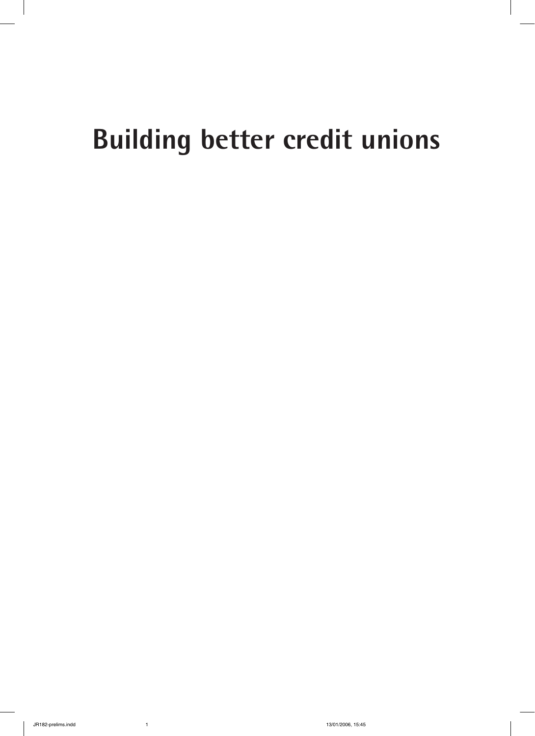# **Building better credit unions**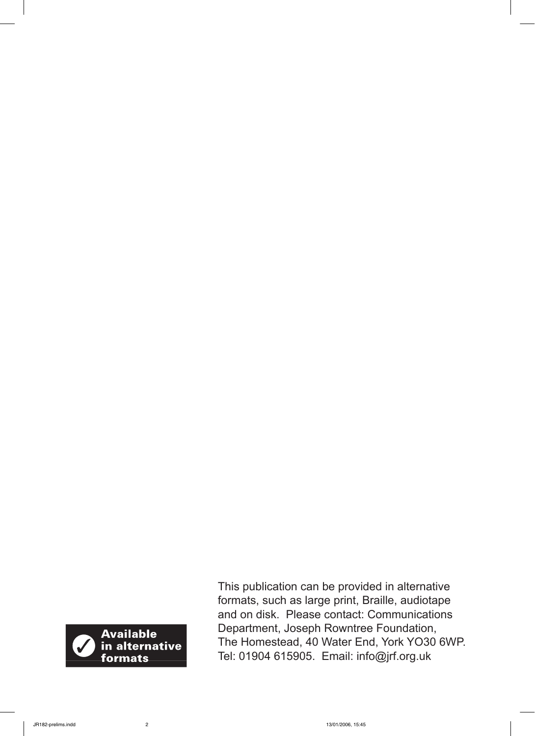

This publication can be provided in alternative formats, such as large print, Braille, audiotape and on disk. Please contact: Communications Department, Joseph Rowntree Foundation, The Homestead, 40 Water End, York YO30 6WP. Tel: 01904 615905. Email: info@jrf.org.uk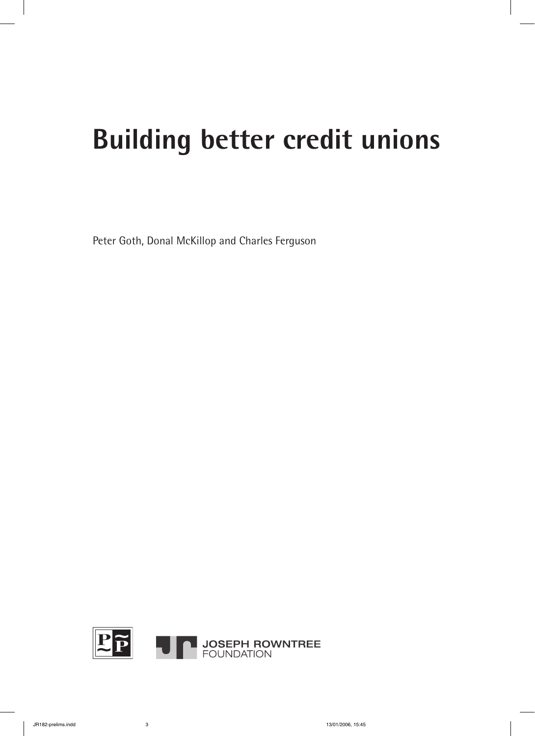# **Building better credit unions**

Peter Goth, Donal McKillop and Charles Ferguson

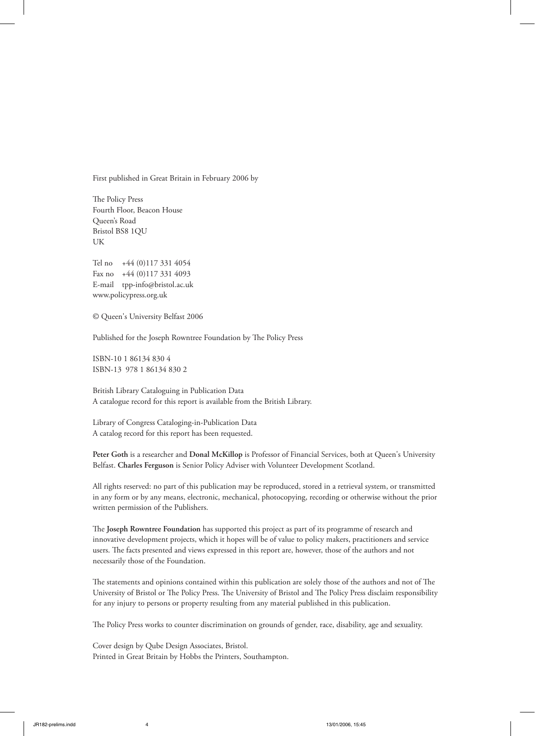First published in Great Britain in February 2006 by

The Policy Press Fourth Floor, Beacon House Queen's Road Bristol BS8 1QU UK

Tel no +44 (0)117 331 4054 Fax no +44 (0)117 331 4093 E-mail tpp-info@bristol.ac.uk www.policypress.org.uk

© Queen's University Belfast 2006

Published for the Joseph Rowntree Foundation by The Policy Press

ISBN-10 1 86134 830 4 ISBN-13 978 1 86134 830 2

British Library Cataloguing in Publication Data A catalogue record for this report is available from the British Library.

Library of Congress Cataloging-in-Publication Data A catalog record for this report has been requested.

**Peter Goth** is a researcher and **Donal McKillop** is Professor of Financial Services, both at Queen's University Belfast. **Charles Ferguson** is Senior Policy Adviser with Volunteer Development Scotland.

All rights reserved: no part of this publication may be reproduced, stored in a retrieval system, or transmitted in any form or by any means, electronic, mechanical, photocopying, recording or otherwise without the prior written permission of the Publishers.

e **Joseph Rowntree Foundation** has supported this project as part of its programme of research and innovative development projects, which it hopes will be of value to policy makers, practitioners and service users. The facts presented and views expressed in this report are, however, those of the authors and not necessarily those of the Foundation.

The statements and opinions contained within this publication are solely those of the authors and not of The University of Bristol or The Policy Press. The University of Bristol and The Policy Press disclaim responsibility for any injury to persons or property resulting from any material published in this publication.

The Policy Press works to counter discrimination on grounds of gender, race, disability, age and sexuality.

Cover design by Qube Design Associates, Bristol. Printed in Great Britain by Hobbs the Printers, Southampton.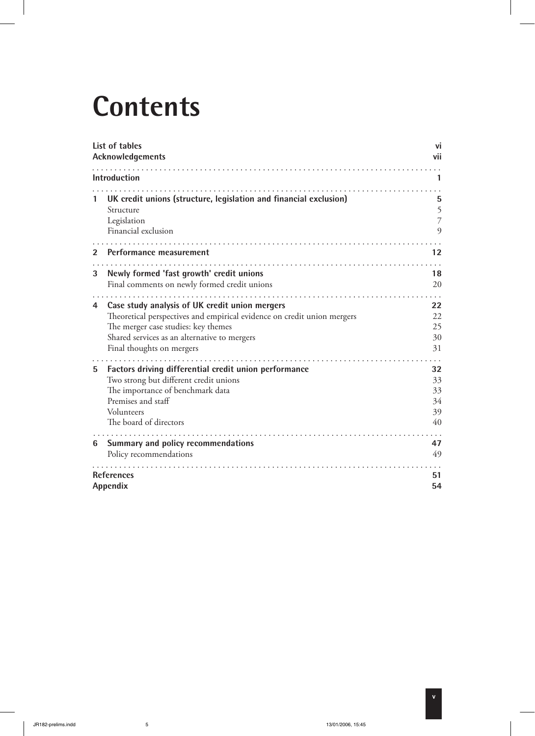# **Contents**

|   | List of tables<br>Acknowledgements                                                                                                                                                                                                                 | V١<br>vii                        |
|---|----------------------------------------------------------------------------------------------------------------------------------------------------------------------------------------------------------------------------------------------------|----------------------------------|
|   | <b>Introduction</b>                                                                                                                                                                                                                                | 1                                |
|   | UK credit unions (structure, legislation and financial exclusion)<br>Structure<br>Legislation<br>Financial exclusion                                                                                                                               | 5<br>5<br>$\overline{7}$<br>9    |
| 2 | Performance measurement                                                                                                                                                                                                                            | $12 \ \mathsf{ }$                |
| 3 | Newly formed 'fast growth' credit unions<br>Final comments on newly formed credit unions                                                                                                                                                           | 18<br>20                         |
| 4 | .<br>Case study analysis of UK credit union mergers<br>Theoretical perspectives and empirical evidence on credit union mergers<br>The merger case studies: key themes<br>Shared services as an alternative to mergers<br>Final thoughts on mergers | 22<br>22<br>25<br>30<br>31       |
| 5 | Factors driving differential credit union performance<br>Two strong but different credit unions<br>The importance of benchmark data<br>Premises and staff<br>Volunteers<br>The board of directors                                                  | 32<br>33<br>33<br>34<br>39<br>40 |
| 6 | Summary and policy recommendations<br>Policy recommendations                                                                                                                                                                                       | 47<br>49                         |
|   | <b>References</b><br>Appendix                                                                                                                                                                                                                      | 51<br>54                         |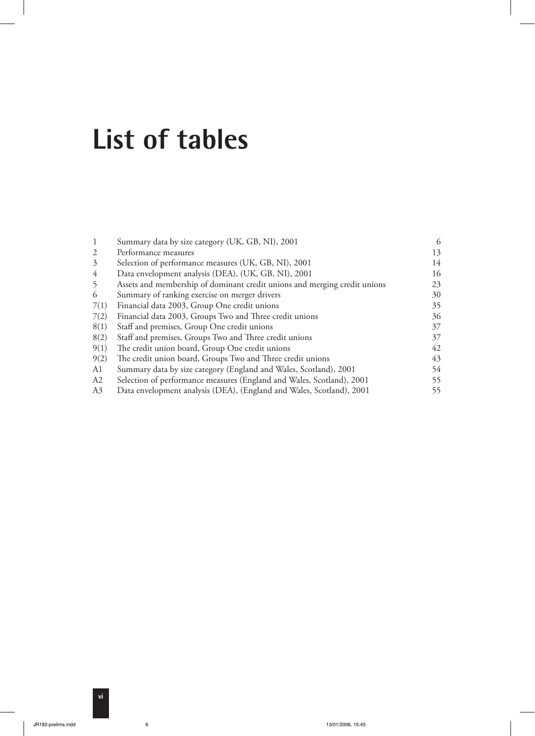### **List of tables**

|                | Summary data by size category (UK, GB, NI), 2001                          |    |
|----------------|---------------------------------------------------------------------------|----|
| $\mathfrak{D}$ | Performance measures                                                      | 13 |
| 3              | Selection of performance measures (UK, GB, NI), 2001                      | 14 |
| 4              | Data envelopment analysis (DEA), (UK, GB, NI), 2001                       | 16 |
| 5              | Assets and membership of dominant credit unions and merging credit unions | 23 |
| 6              | Summary of ranking exercise on merger drivers                             | 30 |
| 7(1)           | Financial data 2003, Group One credit unions                              | 35 |
| 7(2)           | Financial data 2003, Groups Two and Three credit unions                   | 36 |
| 8(1)           | Staff and premises, Group One credit unions                               | 37 |
| 8(2)           | Staff and premises, Groups Two and Three credit unions                    | 37 |
| 9(1)           | The credit union board, Group One credit unions                           | 42 |
| 9(2)           | The credit union board, Groups Two and Three credit unions                | 43 |
| A1             | Summary data by size category (England and Wales, Scotland), 2001         | 54 |
| A2             | Selection of performance measures (England and Wales, Scotland), 2001     | 55 |
| A3             | Data envelopment analysis (DEA), (England and Wales, Scotland), 2001      | 55 |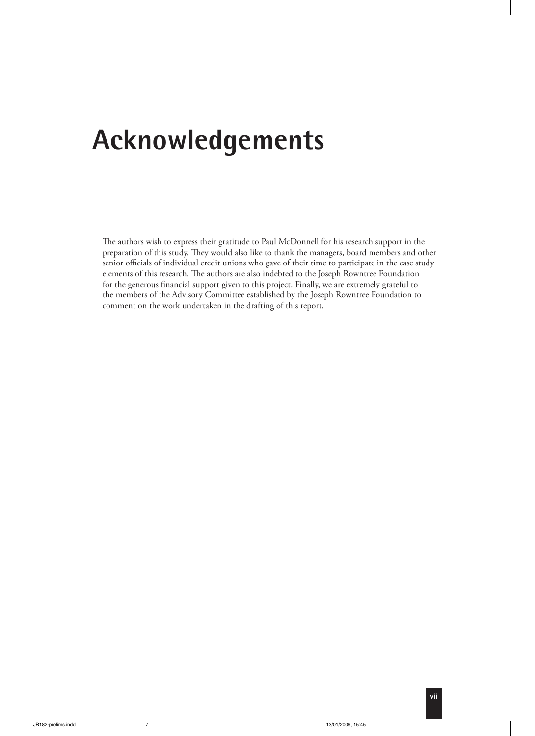## **Acknowledgements**

The authors wish to express their gratitude to Paul McDonnell for his research support in the preparation of this study. They would also like to thank the managers, board members and other senior officials of individual credit unions who gave of their time to participate in the case study elements of this research. The authors are also indebted to the Joseph Rowntree Foundation for the generous financial support given to this project. Finally, we are extremely grateful to the members of the Advisory Committee established by the Joseph Rowntree Foundation to comment on the work undertaken in the drafting of this report.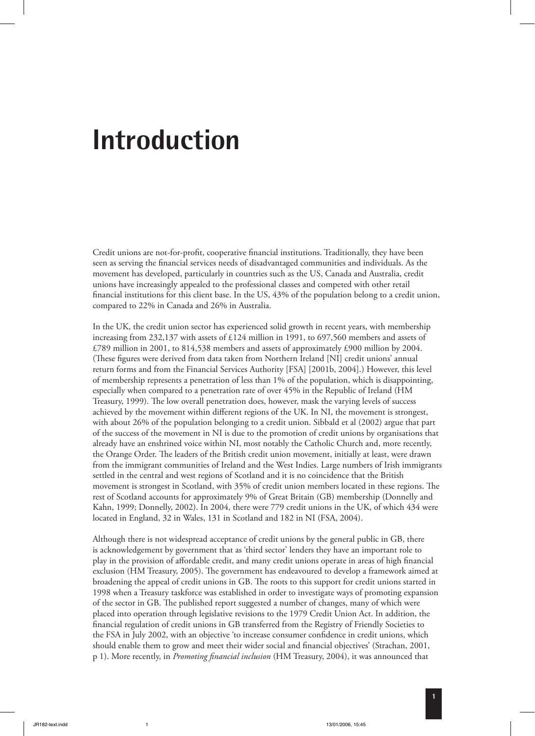### **Introduction**

Credit unions are not-for-profit, cooperative financial institutions. Traditionally, they have been seen as serving the financial services needs of disadvantaged communities and individuals. As the movement has developed, particularly in countries such as the US, Canada and Australia, credit unions have increasingly appealed to the professional classes and competed with other retail financial institutions for this client base. In the US, 43% of the population belong to a credit union, compared to 22% in Canada and 26% in Australia.

In the UK, the credit union sector has experienced solid growth in recent years, with membership increasing from 232,137 with assets of £124 million in 1991, to 697,560 members and assets of £789 million in 2001, to 814,538 members and assets of approximately £900 million by 2004. (These figures were derived from data taken from Northern Ireland [NI] credit unions' annual return forms and from the Financial Services Authority [FSA] [2001b, 2004].) However, this level of membership represents a penetration of less than 1% of the population, which is disappointing, especially when compared to a penetration rate of over 45% in the Republic of Ireland (HM Treasury, 1999). The low overall penetration does, however, mask the varying levels of success achieved by the movement within different regions of the UK. In NI, the movement is strongest, with about 26% of the population belonging to a credit union. Sibbald et al (2002) argue that part of the success of the movement in NI is due to the promotion of credit unions by organisations that already have an enshrined voice within NI, most notably the Catholic Church and, more recently, the Orange Order. The leaders of the British credit union movement, initially at least, were drawn from the immigrant communities of Ireland and the West Indies. Large numbers of Irish immigrants settled in the central and west regions of Scotland and it is no coincidence that the British movement is strongest in Scotland, with 35% of credit union members located in these regions. The rest of Scotland accounts for approximately 9% of Great Britain (GB) membership (Donnelly and Kahn, 1999; Donnelly, 2002). In 2004, there were 779 credit unions in the UK, of which 434 were located in England, 32 in Wales, 131 in Scotland and 182 in NI (FSA, 2004).

Although there is not widespread acceptance of credit unions by the general public in GB, there is acknowledgement by government that as 'third sector' lenders they have an important role to play in the provision of affordable credit, and many credit unions operate in areas of high financial exclusion (HM Treasury, 2005). The government has endeavoured to develop a framework aimed at broadening the appeal of credit unions in GB. The roots to this support for credit unions started in 1998 when a Treasury taskforce was established in order to investigate ways of promoting expansion of the sector in GB. The published report suggested a number of changes, many of which were placed into operation through legislative revisions to the 1979 Credit Union Act. In addition, the financial regulation of credit unions in GB transferred from the Registry of Friendly Societies to the FSA in July 2002, with an objective 'to increase consumer confidence in credit unions, which should enable them to grow and meet their wider social and financial objectives' (Strachan, 2001, p 1). More recently, in *Promoting financial inclusion* (HM Treasury, 2004), it was announced that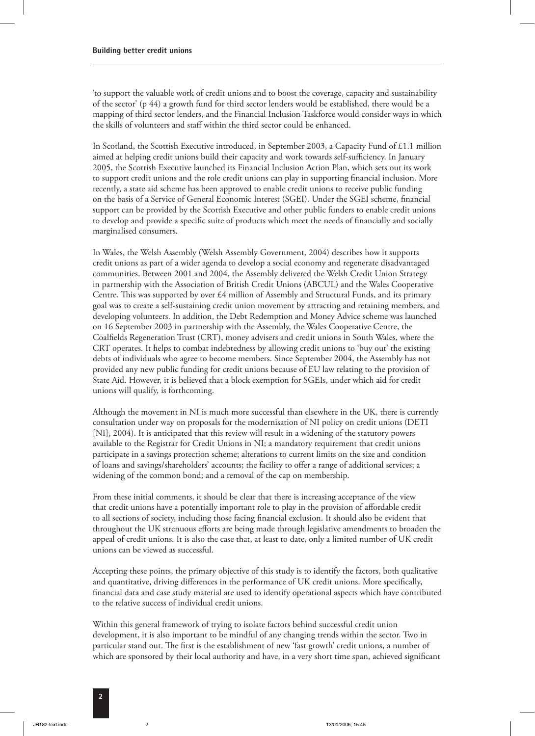'to support the valuable work of credit unions and to boost the coverage, capacity and sustainability of the sector' (p 44) a growth fund for third sector lenders would be established, there would be a mapping of third sector lenders, and the Financial Inclusion Taskforce would consider ways in which the skills of volunteers and staff within the third sector could be enhanced.

In Scotland, the Scottish Executive introduced, in September 2003, a Capacity Fund of £1.1 million aimed at helping credit unions build their capacity and work towards self-sufficiency. In January 2005, the Scottish Executive launched its Financial Inclusion Action Plan, which sets out its work to support credit unions and the role credit unions can play in supporting financial inclusion. More recently, a state aid scheme has been approved to enable credit unions to receive public funding on the basis of a Service of General Economic Interest (SGEI). Under the SGEI scheme, financial support can be provided by the Scottish Executive and other public funders to enable credit unions to develop and provide a specific suite of products which meet the needs of financially and socially marginalised consumers.

In Wales, the Welsh Assembly (Welsh Assembly Government, 2004) describes how it supports credit unions as part of a wider agenda to develop a social economy and regenerate disadvantaged communities. Between 2001 and 2004, the Assembly delivered the Welsh Credit Union Strategy in partnership with the Association of British Credit Unions (ABCUL) and the Wales Cooperative Centre. This was supported by over  $£4$  million of Assembly and Structural Funds, and its primary goal was to create a self-sustaining credit union movement by attracting and retaining members, and developing volunteers. In addition, the Debt Redemption and Money Advice scheme was launched on 16 September 2003 in partnership with the Assembly, the Wales Cooperative Centre, the Coalfields Regeneration Trust (CRT), money advisers and credit unions in South Wales, where the CRT operates. It helps to combat indebtedness by allowing credit unions to 'buy out' the existing debts of individuals who agree to become members. Since September 2004, the Assembly has not provided any new public funding for credit unions because of EU law relating to the provision of State Aid. However, it is believed that a block exemption for SGEIs, under which aid for credit unions will qualify, is forthcoming.

Although the movement in NI is much more successful than elsewhere in the UK, there is currently consultation under way on proposals for the modernisation of NI policy on credit unions (DETI [NI], 2004). It is anticipated that this review will result in a widening of the statutory powers available to the Registrar for Credit Unions in NI; a mandatory requirement that credit unions participate in a savings protection scheme; alterations to current limits on the size and condition of loans and savings/shareholders' accounts; the facility to offer a range of additional services; a widening of the common bond; and a removal of the cap on membership.

From these initial comments, it should be clear that there is increasing acceptance of the view that credit unions have a potentially important role to play in the provision of affordable credit to all sections of society, including those facing financial exclusion. It should also be evident that throughout the UK strenuous efforts are being made through legislative amendments to broaden the appeal of credit unions. It is also the case that, at least to date, only a limited number of UK credit unions can be viewed as successful.

Accepting these points, the primary objective of this study is to identify the factors, both qualitative and quantitative, driving differences in the performance of UK credit unions. More specifically, financial data and case study material are used to identify operational aspects which have contributed to the relative success of individual credit unions.

Within this general framework of trying to isolate factors behind successful credit union development, it is also important to be mindful of any changing trends within the sector. Two in particular stand out. The first is the establishment of new 'fast growth' credit unions, a number of which are sponsored by their local authority and have, in a very short time span, achieved significant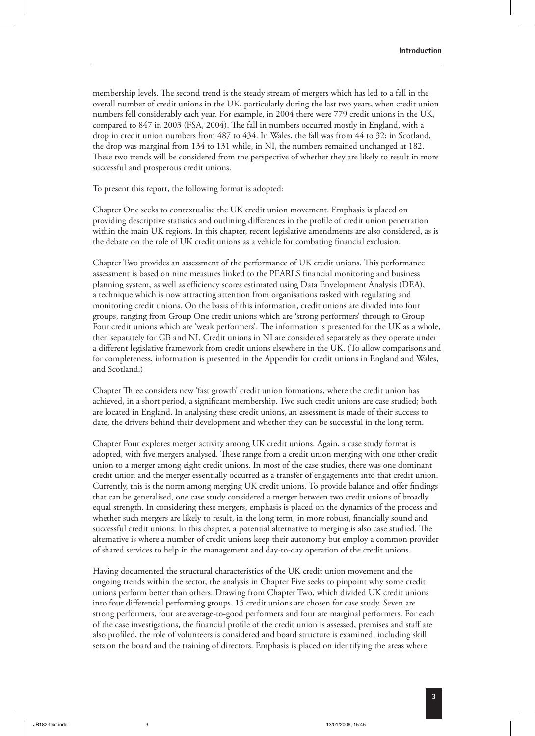membership levels. The second trend is the steady stream of mergers which has led to a fall in the overall number of credit unions in the UK, particularly during the last two years, when credit union numbers fell considerably each year. For example, in 2004 there were 779 credit unions in the UK, compared to 847 in 2003 (FSA, 2004). The fall in numbers occurred mostly in England, with a drop in credit union numbers from 487 to 434. In Wales, the fall was from 44 to 32; in Scotland, the drop was marginal from 134 to 131 while, in NI, the numbers remained unchanged at 182. These two trends will be considered from the perspective of whether they are likely to result in more successful and prosperous credit unions.

To present this report, the following format is adopted:

Chapter One seeks to contextualise the UK credit union movement. Emphasis is placed on providing descriptive statistics and outlining differences in the profile of credit union penetration within the main UK regions. In this chapter, recent legislative amendments are also considered, as is the debate on the role of UK credit unions as a vehicle for combating financial exclusion.

Chapter Two provides an assessment of the performance of UK credit unions. This performance assessment is based on nine measures linked to the PEARLS financial monitoring and business planning system, as well as efficiency scores estimated using Data Envelopment Analysis (DEA), a technique which is now attracting attention from organisations tasked with regulating and monitoring credit unions. On the basis of this information, credit unions are divided into four groups, ranging from Group One credit unions which are 'strong performers' through to Group Four credit unions which are 'weak performers'. The information is presented for the UK as a whole, then separately for GB and NI. Credit unions in NI are considered separately as they operate under a different legislative framework from credit unions elsewhere in the UK. (To allow comparisons and for completeness, information is presented in the Appendix for credit unions in England and Wales, and Scotland.)

Chapter Three considers new 'fast growth' credit union formations, where the credit union has achieved, in a short period, a significant membership. Two such credit unions are case studied; both are located in England. In analysing these credit unions, an assessment is made of their success to date, the drivers behind their development and whether they can be successful in the long term.

Chapter Four explores merger activity among UK credit unions. Again, a case study format is adopted, with five mergers analysed. These range from a credit union merging with one other credit union to a merger among eight credit unions. In most of the case studies, there was one dominant credit union and the merger essentially occurred as a transfer of engagements into that credit union. Currently, this is the norm among merging UK credit unions. To provide balance and offer findings that can be generalised, one case study considered a merger between two credit unions of broadly equal strength. In considering these mergers, emphasis is placed on the dynamics of the process and whether such mergers are likely to result, in the long term, in more robust, financially sound and successful credit unions. In this chapter, a potential alternative to merging is also case studied. The alternative is where a number of credit unions keep their autonomy but employ a common provider of shared services to help in the management and day-to-day operation of the credit unions.

Having documented the structural characteristics of the UK credit union movement and the ongoing trends within the sector, the analysis in Chapter Five seeks to pinpoint why some credit unions perform better than others. Drawing from Chapter Two, which divided UK credit unions into four differential performing groups, 15 credit unions are chosen for case study. Seven are strong performers, four are average-to-good performers and four are marginal performers. For each of the case investigations, the financial profile of the credit union is assessed, premises and staff are also profiled, the role of volunteers is considered and board structure is examined, including skill sets on the board and the training of directors. Emphasis is placed on identifying the areas where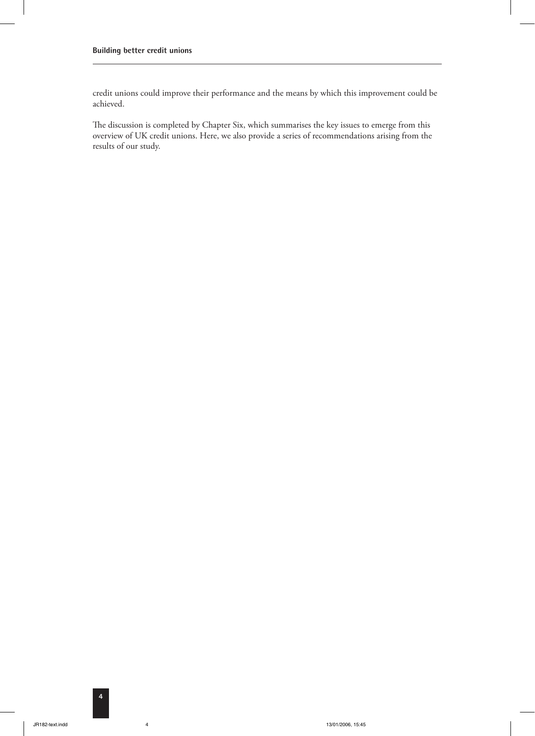credit unions could improve their performance and the means by which this improvement could be achieved.

The discussion is completed by Chapter Six, which summarises the key issues to emerge from this overview of UK credit unions. Here, we also provide a series of recommendations arising from the results of our study.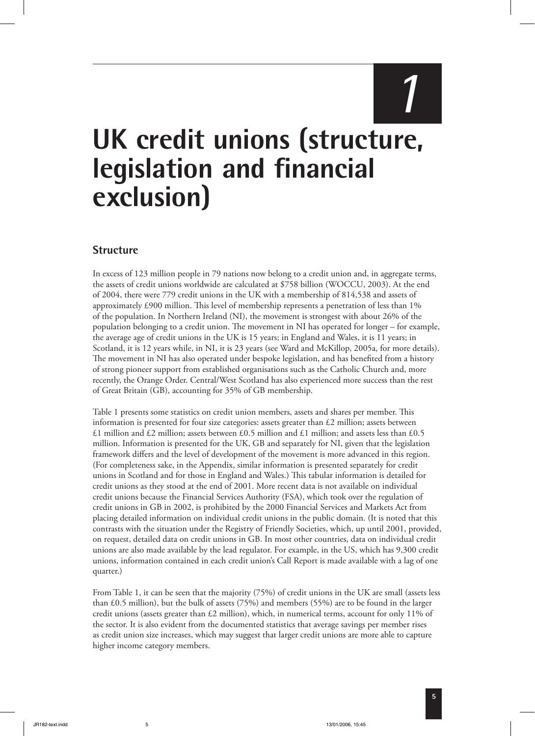# *1*

## **UK credit unions (structure, legislation and financial exclusion)**

#### **Structure**

In excess of 123 million people in 79 nations now belong to a credit union and, in aggregate terms, the assets of credit unions worldwide are calculated at \$758 billion (WOCCU, 2003). At the end of 2004, there were 779 credit unions in the UK with a membership of 814,538 and assets of approximately £900 million. This level of membership represents a penetration of less than  $1\%$ of the population. In Northern Ireland (NI), the movement is strongest with about 26% of the population belonging to a credit union. The movement in NI has operated for longer – for example, the average age of credit unions in the UK is 15 years; in England and Wales, it is 11 years; in Scotland, it is 12 years while, in NI, it is 23 years (see Ward and McKillop, 2005a, for more details). The movement in NI has also operated under bespoke legislation, and has benefited from a history of strong pioneer support from established organisations such as the Catholic Church and, more recently, the Orange Order. Central/West Scotland has also experienced more success than the rest of Great Britain (GB), accounting for 35% of GB membership.

Table 1 presents some statistics on credit union members, assets and shares per member. This information is presented for four size categories: assets greater than  $\epsilon$ 2 million; assets between £1 million and £2 million; assets between £0.5 million and £1 million; and assets less than £0.5 million. Information is presented for the UK, GB and separately for NI, given that the legislation framework differs and the level of development of the movement is more advanced in this region. (For completeness sake, in the Appendix, similar information is presented separately for credit unions in Scotland and for those in England and Wales.) This tabular information is detailed for credit unions as they stood at the end of 2001. More recent data is not available on individual credit unions because the Financial Services Authority (FSA), which took over the regulation of credit unions in GB in 2002, is prohibited by the 2000 Financial Services and Markets Act from placing detailed information on individual credit unions in the public domain. (It is noted that this contrasts with the situation under the Registry of Friendly Societies, which, up until 2001, provided, on request, detailed data on credit unions in GB. In most other countries, data on individual credit unions are also made available by the lead regulator. For example, in the US, which has 9,300 credit unions, information contained in each credit union's Call Report is made available with a lag of one quarter.)

From Table 1, it can be seen that the majority (75%) of credit unions in the UK are small (assets less than £0.5 million), but the bulk of assets (75%) and members (55%) are to be found in the larger credit unions (assets greater than £2 million), which, in numerical terms, account for only 11% of the sector. It is also evident from the documented statistics that average savings per member rises as credit union size increases, which may suggest that larger credit unions are more able to capture higher income category members.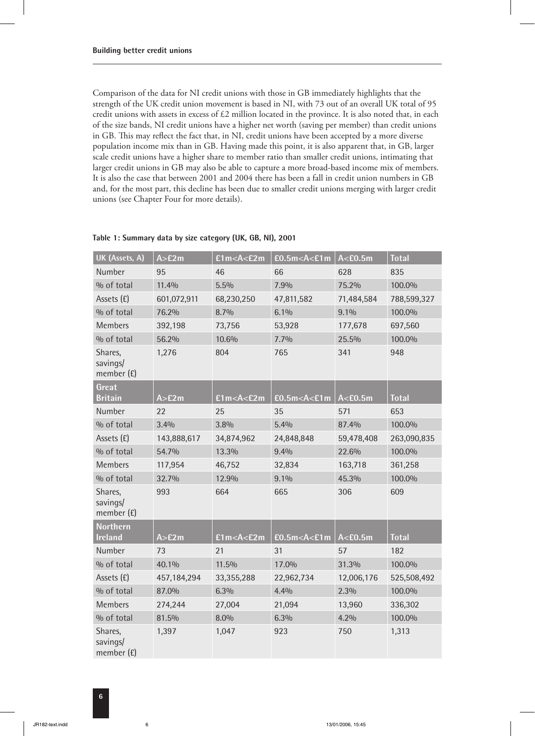Comparison of the data for NI credit unions with those in GB immediately highlights that the strength of the UK credit union movement is based in NI, with 73 out of an overall UK total of 95 credit unions with assets in excess of  $£2$  million located in the province. It is also noted that, in each of the size bands, NI credit unions have a higher net worth (saving per member) than credit unions in GB. This may reflect the fact that, in NI, credit unions have been accepted by a more diverse population income mix than in GB. Having made this point, it is also apparent that, in GB, larger scale credit unions have a higher share to member ratio than smaller credit unions, intimating that larger credit unions in GB may also be able to capture a more broad-based income mix of members. It is also the case that between 2001 and 2004 there has been a fall in credit union numbers in GB and, for the most part, this decline has been due to smaller credit unions merging with larger credit unions (see Chapter Four for more details).

| UK (Assets, A)                      | A > E2m     | £1m < A < E2m                                                                                                | $E0.5m<$ A<£1m | A < E0.5m  | <b>Total</b> |
|-------------------------------------|-------------|--------------------------------------------------------------------------------------------------------------|----------------|------------|--------------|
| Number                              | 95          | 46                                                                                                           | 66             | 628        | 835          |
| % of total                          | 11.4%       | 5.5%                                                                                                         | 7.9%           | 75.2%      | 100.0%       |
| Assets (£)                          | 601,072,911 | 68,230,250                                                                                                   | 47,811,582     | 71,484,584 | 788,599,327  |
| % of total                          | 76.2%       | 8.7%                                                                                                         | 6.1%           | 9.1%       | 100.0%       |
| Members                             | 392,198     | 73,756                                                                                                       | 53,928         | 177,678    | 697,560      |
| % of total                          | 56.2%       | 10.6%                                                                                                        | 7.7%           | 25.5%      | 100.0%       |
| Shares,<br>savings/<br>member $(f)$ | 1,276       | 804                                                                                                          | 765            | 341        | 948          |
| Great                               |             |                                                                                                              |                |            |              |
| <b>Britain</b>                      | A > E2m     | £1m <a<£2m< td=""><td><math>E0.5m&lt;</math>A&lt;£1m</td><td>A &lt; E0.5m</td><td><b>Total</b></td></a<£2m<> | $E0.5m<$ A<£1m | A < E0.5m  | <b>Total</b> |
| Number                              | 22          | 25                                                                                                           | 35             | 571        | 653          |
| % of total                          | 3.4%        | 3.8%                                                                                                         | 5.4%           | 87.4%      | 100.0%       |
| Assets (£)                          | 143,888,617 | 34,874,962                                                                                                   | 24,848,848     | 59,478,408 | 263,090,835  |
| % of total                          | 54.7%       | 13.3%                                                                                                        | 9.4%           | 22.6%      | 100.0%       |
| <b>Members</b>                      | 117,954     | 46,752                                                                                                       | 32,834         | 163,718    | 361,258      |
| % of total                          | 32.7%       | 12.9%                                                                                                        | 9.1%           | 45.3%      | 100.0%       |
| Shares,<br>savings/<br>member $(E)$ | 993         | 664                                                                                                          | 665            | 306        | 609          |
| <b>Northern</b>                     |             |                                                                                                              |                |            |              |
| <b>Ireland</b>                      | A > E2m     | £1m <a<£2m< td=""><td><math>E0.5m&lt;</math>A&lt;£1m</td><td>A &lt; E0.5m</td><td><b>Total</b></td></a<£2m<> | $E0.5m<$ A<£1m | A < E0.5m  | <b>Total</b> |
| Number                              | 73          | 21                                                                                                           | 31             | 57         | 182          |
| % of total                          | 40.1%       | 11.5%                                                                                                        | 17.0%          | 31.3%      | 100.0%       |
| Assets (£)                          | 457,184,294 | 33,355,288                                                                                                   | 22,962,734     | 12,006,176 | 525,508,492  |
| % of total                          | 87.0%       | 6.3%                                                                                                         | 4.4%           | 2.3%       | 100.0%       |
| <b>Members</b>                      | 274,244     | 27,004                                                                                                       | 21,094         | 13,960     | 336,302      |
| % of total                          | 81.5%       | 8.0%                                                                                                         | 6.3%           | 4.2%       | 100.0%       |
| Shares,<br>savings/<br>member (£)   | 1,397       | 1,047                                                                                                        | 923            | 750        | 1,313        |

**Table 1: Summary data by size category (UK, GB, NI), 2001**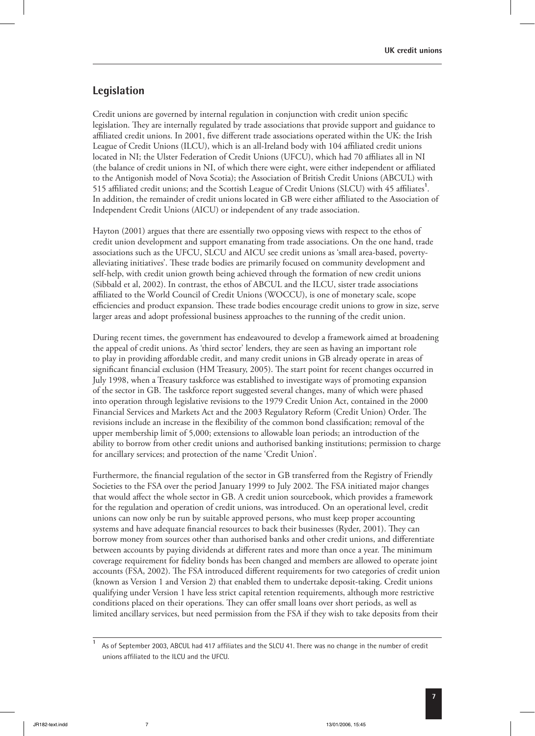#### **Legislation**

Credit unions are governed by internal regulation in conjunction with credit union specific legislation. They are internally regulated by trade associations that provide support and guidance to affiliated credit unions. In 2001, five different trade associations operated within the UK: the Irish League of Credit Unions (ILCU), which is an all-Ireland body with 104 affiliated credit unions located in NI; the Ulster Federation of Credit Unions (UFCU), which had 70 affiliates all in NI (the balance of credit unions in NI, of which there were eight, were either independent or affiliated to the Antigonish model of Nova Scotia); the Association of British Credit Unions (ABCUL) with 515 affiliated credit unions; and the Scottish League of Credit Unions (SLCU) with 45 affiliates<sup>1</sup>. In addition, the remainder of credit unions located in GB were either affiliated to the Association of Independent Credit Unions (AICU) or independent of any trade association.

Hayton (2001) argues that there are essentially two opposing views with respect to the ethos of credit union development and support emanating from trade associations. On the one hand, trade associations such as the UFCU, SLCU and AICU see credit unions as 'small area-based, povertyalleviating initiatives'. These trade bodies are primarily focused on community development and self-help, with credit union growth being achieved through the formation of new credit unions (Sibbald et al, 2002). In contrast, the ethos of ABCUL and the ILCU, sister trade associations affiliated to the World Council of Credit Unions (WOCCU), is one of monetary scale, scope efficiencies and product expansion. These trade bodies encourage credit unions to grow in size, serve larger areas and adopt professional business approaches to the running of the credit union.

During recent times, the government has endeavoured to develop a framework aimed at broadening the appeal of credit unions. As 'third sector' lenders, they are seen as having an important role to play in providing affordable credit, and many credit unions in GB already operate in areas of significant financial exclusion (HM Treasury, 2005). The start point for recent changes occurred in July 1998, when a Treasury taskforce was established to investigate ways of promoting expansion of the sector in GB. The taskforce report suggested several changes, many of which were phased into operation through legislative revisions to the 1979 Credit Union Act, contained in the 2000 Financial Services and Markets Act and the 2003 Regulatory Reform (Credit Union) Order. The revisions include an increase in the flexibility of the common bond classification; removal of the upper membership limit of 5,000; extensions to allowable loan periods; an introduction of the ability to borrow from other credit unions and authorised banking institutions; permission to charge for ancillary services; and protection of the name 'Credit Union'.

Furthermore, the financial regulation of the sector in GB transferred from the Registry of Friendly Societies to the FSA over the period January 1999 to July 2002. The FSA initiated major changes that would affect the whole sector in GB. A credit union sourcebook, which provides a framework for the regulation and operation of credit unions, was introduced. On an operational level, credit unions can now only be run by suitable approved persons, who must keep proper accounting systems and have adequate financial resources to back their businesses (Ryder, 2001). They can borrow money from sources other than authorised banks and other credit unions, and differentiate between accounts by paying dividends at different rates and more than once a year. The minimum coverage requirement for fidelity bonds has been changed and members are allowed to operate joint accounts (FSA, 2002). The FSA introduced different requirements for two categories of credit union (known as Version 1 and Version 2) that enabled them to undertake deposit-taking. Credit unions qualifying under Version 1 have less strict capital retention requirements, although more restrictive conditions placed on their operations. They can offer small loans over short periods, as well as limited ancillary services, but need permission from the FSA if they wish to take deposits from their

**<sup>1</sup>** As of September 2003, ABCUL had 417 affiliates and the SLCU 41. There was no change in the number of credit unions affiliated to the ILCU and the UFCU.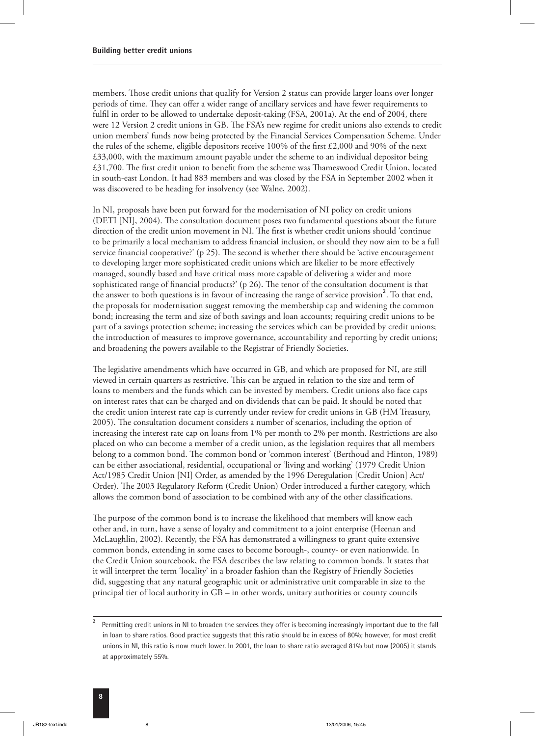members. Those credit unions that qualify for Version 2 status can provide larger loans over longer periods of time. They can offer a wider range of ancillary services and have fewer requirements to fulfil in order to be allowed to undertake deposit-taking (FSA, 2001a). At the end of 2004, there were 12 Version 2 credit unions in GB. The FSA's new regime for credit unions also extends to credit union members' funds now being protected by the Financial Services Compensation Scheme. Under the rules of the scheme, eligible depositors receive 100% of the first £2,000 and 90% of the next £33,000, with the maximum amount payable under the scheme to an individual depositor being  $£31,700.$  The first credit union to benefit from the scheme was Thameswood Credit Union, located in south-east London. It had 883 members and was closed by the FSA in September 2002 when it was discovered to be heading for insolvency (see Walne, 2002).

In NI, proposals have been put forward for the modernisation of NI policy on credit unions (DETI [NI], 2004). The consultation document poses two fundamental questions about the future direction of the credit union movement in NI. The first is whether credit unions should 'continue to be primarily a local mechanism to address financial inclusion, or should they now aim to be a full service financial cooperative?' ( $p$  25). The second is whether there should be 'active encouragement to developing larger more sophisticated credit unions which are likelier to be more effectively managed, soundly based and have critical mass more capable of delivering a wider and more sophisticated range of financial products?' (p 26). The tenor of the consultation document is that the answer to both questions is in favour of increasing the range of service provision**<sup>2</sup>** . To that end, the proposals for modernisation suggest removing the membership cap and widening the common bond; increasing the term and size of both savings and loan accounts; requiring credit unions to be part of a savings protection scheme; increasing the services which can be provided by credit unions; the introduction of measures to improve governance, accountability and reporting by credit unions; and broadening the powers available to the Registrar of Friendly Societies.

The legislative amendments which have occurred in GB, and which are proposed for NI, are still viewed in certain quarters as restrictive. This can be argued in relation to the size and term of loans to members and the funds which can be invested by members. Credit unions also face caps on interest rates that can be charged and on dividends that can be paid. It should be noted that the credit union interest rate cap is currently under review for credit unions in GB (HM Treasury, 2005). The consultation document considers a number of scenarios, including the option of increasing the interest rate cap on loans from 1% per month to 2% per month. Restrictions are also placed on who can become a member of a credit union, as the legislation requires that all members belong to a common bond. The common bond or 'common interest' (Berthoud and Hinton, 1989) can be either associational, residential, occupational or 'living and working' (1979 Credit Union Act/1985 Credit Union [NI] Order, as amended by the 1996 Deregulation [Credit Union] Act/ Order). The 2003 Regulatory Reform (Credit Union) Order introduced a further category, which allows the common bond of association to be combined with any of the other classifications.

The purpose of the common bond is to increase the likelihood that members will know each other and, in turn, have a sense of loyalty and commitment to a joint enterprise (Heenan and McLaughlin, 2002). Recently, the FSA has demonstrated a willingness to grant quite extensive common bonds, extending in some cases to become borough-, county- or even nationwide. In the Credit Union sourcebook, the FSA describes the law relating to common bonds. It states that it will interpret the term 'locality' in a broader fashion than the Registry of Friendly Societies did, suggesting that any natural geographic unit or administrative unit comparable in size to the principal tier of local authority in GB – in other words, unitary authorities or county councils

**<sup>2</sup>** Permitting credit unions in NI to broaden the services they offer is becoming increasingly important due to the fall in loan to share ratios. Good practice suggests that this ratio should be in excess of 80%; however, for most credit unions in NI, this ratio is now much lower. In 2001, the loan to share ratio averaged 81% but now (2005) it stands at approximately 55%.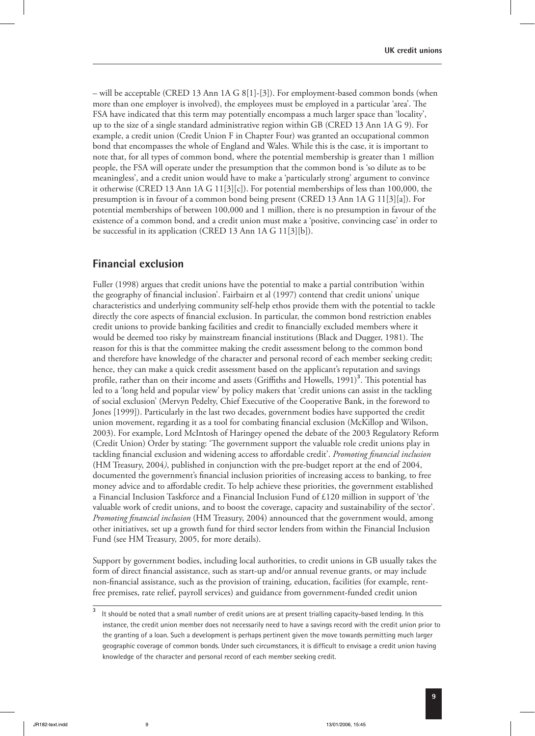– will be acceptable (CRED 13 Ann 1A G 8[1]-[3]). For employment-based common bonds (when more than one employer is involved), the employees must be employed in a particular 'area'. The FSA have indicated that this term may potentially encompass a much larger space than 'locality', up to the size of a single standard administrative region within GB (CRED 13 Ann 1A G 9). For example, a credit union (Credit Union F in Chapter Four) was granted an occupational common bond that encompasses the whole of England and Wales. While this is the case, it is important to note that, for all types of common bond, where the potential membership is greater than 1 million people, the FSA will operate under the presumption that the common bond is 'so dilute as to be meaningless', and a credit union would have to make a 'particularly strong' argument to convince it otherwise (CRED 13 Ann 1A G 11[3][c]). For potential memberships of less than 100,000, the presumption is in favour of a common bond being present (CRED 13 Ann 1A G 11[3][a]). For potential memberships of between 100,000 and 1 million, there is no presumption in favour of the existence of a common bond, and a credit union must make a 'positive, convincing case' in order to be successful in its application (CRED 13 Ann 1A G 11[3][b]).

#### **Financial exclusion**

Fuller (1998) argues that credit unions have the potential to make a partial contribution 'within the geography of financial inclusion'. Fairbairn et al (1997) contend that credit unions' unique characteristics and underlying community self-help ethos provide them with the potential to tackle directly the core aspects of financial exclusion. In particular, the common bond restriction enables credit unions to provide banking facilities and credit to financially excluded members where it would be deemed too risky by mainstream financial institutions (Black and Dugger, 1981). The reason for this is that the committee making the credit assessment belong to the common bond and therefore have knowledge of the character and personal record of each member seeking credit; hence, they can make a quick credit assessment based on the applicant's reputation and savings profile, rather than on their income and assets (Griffiths and Howells, 1991)<sup>3</sup>. This potential has led to a 'long held and popular view' by policy makers that 'credit unions can assist in the tackling of social exclusion' (Mervyn Pedelty, Chief Executive of the Cooperative Bank, in the foreword to Jones [1999]). Particularly in the last two decades, government bodies have supported the credit union movement, regarding it as a tool for combating financial exclusion (McKillop and Wilson, 2003). For example, Lord McIntosh of Haringey opened the debate of the 2003 Regulatory Reform (Credit Union) Order by stating: 'The government support the valuable role credit unions play in tackling financial exclusion and widening access to affordable credit'. *Promoting financial inclusion* (HM Treasury, 2004*)*, published in conjunction with the pre-budget report at the end of 2004, documented the government's financial inclusion priorities of increasing access to banking, to free money advice and to affordable credit. To help achieve these priorities, the government established a Financial Inclusion Taskforce and a Financial Inclusion Fund of £120 million in support of 'the valuable work of credit unions, and to boost the coverage, capacity and sustainability of the sector'. *Promoting financial inclusion* (HM Treasury, 2004) announced that the government would, among other initiatives, set up a growth fund for third sector lenders from within the Financial Inclusion Fund (see HM Treasury, 2005, for more details).

Support by government bodies, including local authorities, to credit unions in GB usually takes the form of direct financial assistance, such as start-up and/or annual revenue grants, or may include non-financial assistance, such as the provision of training, education, facilities (for example, rentfree premises, rate relief, payroll services) and guidance from government-funded credit union

**<sup>3</sup>** It should be noted that a small number of credit unions are at present trialling capacity-based lending. In this instance, the credit union member does not necessarily need to have a savings record with the credit union prior to the granting of a loan. Such a development is perhaps pertinent given the move towards permitting much larger geographic coverage of common bonds. Under such circumstances, it is difficult to envisage a credit union having knowledge of the character and personal record of each member seeking credit.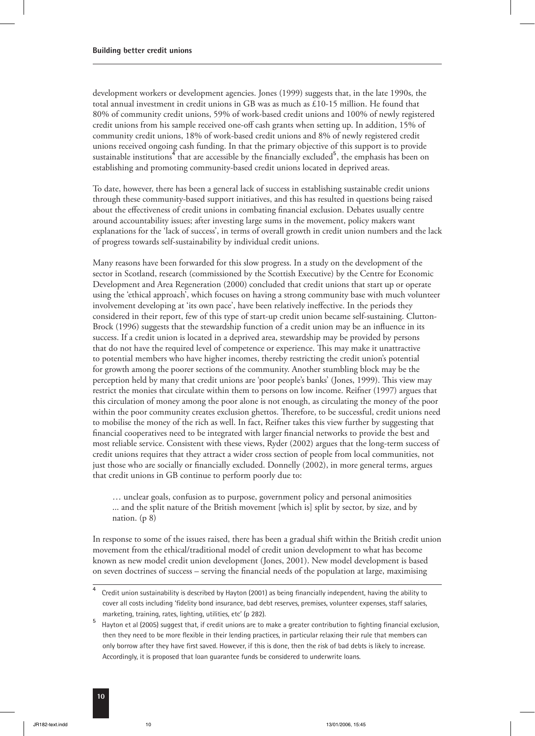development workers or development agencies. Jones (1999) suggests that, in the late 1990s, the total annual investment in credit unions in GB was as much as  $£10-15$  million. He found that 80% of community credit unions, 59% of work-based credit unions and 100% of newly registered credit unions from his sample received one-off cash grants when setting up. In addition, 15% of community credit unions, 18% of work-based credit unions and 8% of newly registered credit unions received ongoing cash funding. In that the primary objective of this support is to provide sustainable institutions**<sup>4</sup>** that are accessible by the financially excluded**<sup>5</sup>** , the emphasis has been on establishing and promoting community-based credit unions located in deprived areas.

To date, however, there has been a general lack of success in establishing sustainable credit unions through these community-based support initiatives, and this has resulted in questions being raised about the effectiveness of credit unions in combating financial exclusion. Debates usually centre around accountability issues; after investing large sums in the movement, policy makers want explanations for the 'lack of success', in terms of overall growth in credit union numbers and the lack of progress towards self-sustainability by individual credit unions.

Many reasons have been forwarded for this slow progress. In a study on the development of the sector in Scotland, research (commissioned by the Scottish Executive) by the Centre for Economic Development and Area Regeneration (2000) concluded that credit unions that start up or operate using the 'ethical approach', which focuses on having a strong community base with much volunteer involvement developing at 'its own pace', have been relatively ineffective. In the periods they considered in their report, few of this type of start-up credit union became self-sustaining. Clutton-Brock (1996) suggests that the stewardship function of a credit union may be an influence in its success. If a credit union is located in a deprived area, stewardship may be provided by persons that do not have the required level of competence or experience. This may make it unattractive to potential members who have higher incomes, thereby restricting the credit union's potential for growth among the poorer sections of the community. Another stumbling block may be the perception held by many that credit unions are 'poor people's banks' (Jones, 1999). This view may restrict the monies that circulate within them to persons on low income. Reifner (1997) argues that this circulation of money among the poor alone is not enough, as circulating the money of the poor within the poor community creates exclusion ghettos. Therefore, to be successful, credit unions need to mobilise the money of the rich as well. In fact, Reifner takes this view further by suggesting that financial cooperatives need to be integrated with larger financial networks to provide the best and most reliable service. Consistent with these views, Ryder (2002) argues that the long-term success of credit unions requires that they attract a wider cross section of people from local communities, not just those who are socially or financially excluded. Donnelly (2002), in more general terms, argues that credit unions in GB continue to perform poorly due to:

… unclear goals, confusion as to purpose, government policy and personal animosities ... and the split nature of the British movement [which is] split by sector, by size, and by nation. (p 8)

In response to some of the issues raised, there has been a gradual shift within the British credit union movement from the ethical/traditional model of credit union development to what has become known as new model credit union development (Jones, 2001). New model development is based on seven doctrines of success – serving the financial needs of the population at large, maximising

**<sup>4</sup>** Credit union sustainability is described by Hayton (2001) as being financially independent, having the ability to cover all costs including 'fidelity bond insurance, bad debt reserves, premises, volunteer expenses, staff salaries, marketing, training, rates, lighting, utilities, etc' (p 282).

**<sup>5</sup>** Hayton et al (2005) suggest that, if credit unions are to make a greater contribution to fighting financial exclusion, then they need to be more flexible in their lending practices, in particular relaxing their rule that members can only borrow after they have first saved. However, if this is done, then the risk of bad debts is likely to increase. Accordingly, it is proposed that loan guarantee funds be considered to underwrite loans.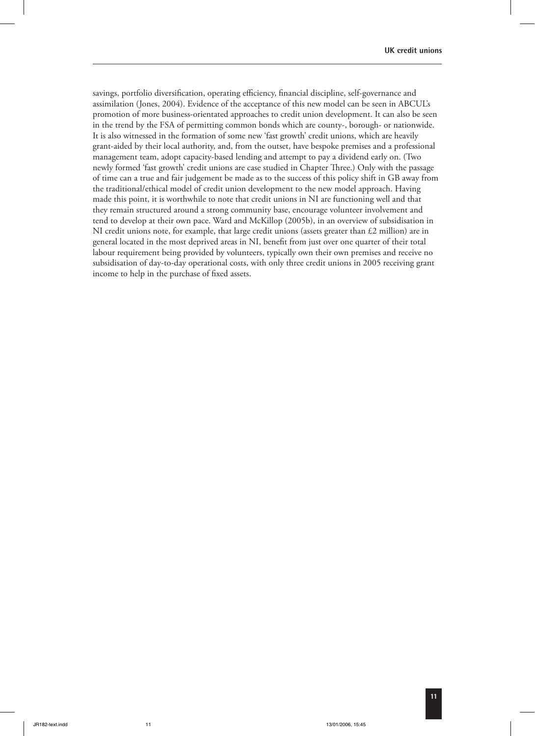savings, portfolio diversification, operating efficiency, financial discipline, self-governance and assimilation (Jones, 2004). Evidence of the acceptance of this new model can be seen in ABCUL's promotion of more business-orientated approaches to credit union development. It can also be seen in the trend by the FSA of permitting common bonds which are county-, borough- or nationwide. It is also witnessed in the formation of some new 'fast growth' credit unions, which are heavily grant-aided by their local authority, and, from the outset, have bespoke premises and a professional management team, adopt capacity-based lending and attempt to pay a dividend early on. (Two newly formed 'fast growth' credit unions are case studied in Chapter Three.) Only with the passage of time can a true and fair judgement be made as to the success of this policy shift in GB away from the traditional/ethical model of credit union development to the new model approach. Having made this point, it is worthwhile to note that credit unions in NI are functioning well and that they remain structured around a strong community base, encourage volunteer involvement and tend to develop at their own pace. Ward and McKillop (2005b), in an overview of subsidisation in NI credit unions note, for example, that large credit unions (assets greater than  $£2$  million) are in general located in the most deprived areas in NI, benefit from just over one quarter of their total labour requirement being provided by volunteers, typically own their own premises and receive no subsidisation of day-to-day operational costs, with only three credit unions in 2005 receiving grant income to help in the purchase of fixed assets.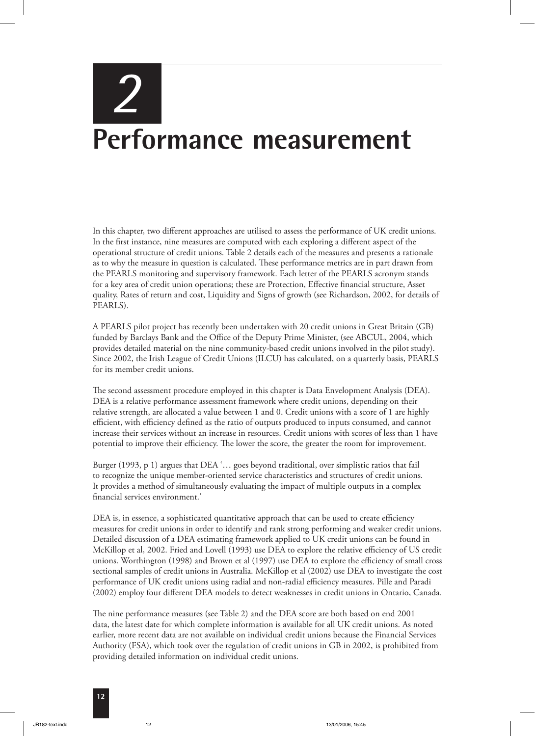# *2* **Performance measurement**

In this chapter, two different approaches are utilised to assess the performance of UK credit unions. In the first instance, nine measures are computed with each exploring a different aspect of the operational structure of credit unions. Table 2 details each of the measures and presents a rationale as to why the measure in question is calculated. These performance metrics are in part drawn from the PEARLS monitoring and supervisory framework. Each letter of the PEARLS acronym stands for a key area of credit union operations; these are Protection, Effective financial structure, Asset quality, Rates of return and cost, Liquidity and Signs of growth (see Richardson, 2002, for details of PEARLS).

A PEARLS pilot project has recently been undertaken with 20 credit unions in Great Britain (GB) funded by Barclays Bank and the Office of the Deputy Prime Minister, (see ABCUL, 2004, which provides detailed material on the nine community-based credit unions involved in the pilot study). Since 2002, the Irish League of Credit Unions (ILCU) has calculated, on a quarterly basis, PEARLS for its member credit unions.

The second assessment procedure employed in this chapter is Data Envelopment Analysis (DEA). DEA is a relative performance assessment framework where credit unions, depending on their relative strength, are allocated a value between 1 and 0. Credit unions with a score of 1 are highly efficient, with efficiency defined as the ratio of outputs produced to inputs consumed, and cannot increase their services without an increase in resources. Credit unions with scores of less than 1 have potential to improve their efficiency. The lower the score, the greater the room for improvement.

Burger (1993, p 1) argues that DEA '… goes beyond traditional, over simplistic ratios that fail to recognize the unique member-oriented service characteristics and structures of credit unions. It provides a method of simultaneously evaluating the impact of multiple outputs in a complex financial services environment.'

DEA is, in essence, a sophisticated quantitative approach that can be used to create efficiency measures for credit unions in order to identify and rank strong performing and weaker credit unions. Detailed discussion of a DEA estimating framework applied to UK credit unions can be found in McKillop et al, 2002. Fried and Lovell (1993) use DEA to explore the relative efficiency of US credit unions. Worthington (1998) and Brown et al (1997) use DEA to explore the efficiency of small cross sectional samples of credit unions in Australia. McKillop et al (2002) use DEA to investigate the cost performance of UK credit unions using radial and non-radial efficiency measures. Pille and Paradi (2002) employ four different DEA models to detect weaknesses in credit unions in Ontario, Canada.

The nine performance measures (see Table 2) and the DEA score are both based on end 2001 data, the latest date for which complete information is available for all UK credit unions. As noted earlier, more recent data are not available on individual credit unions because the Financial Services Authority (FSA), which took over the regulation of credit unions in GB in 2002, is prohibited from providing detailed information on individual credit unions.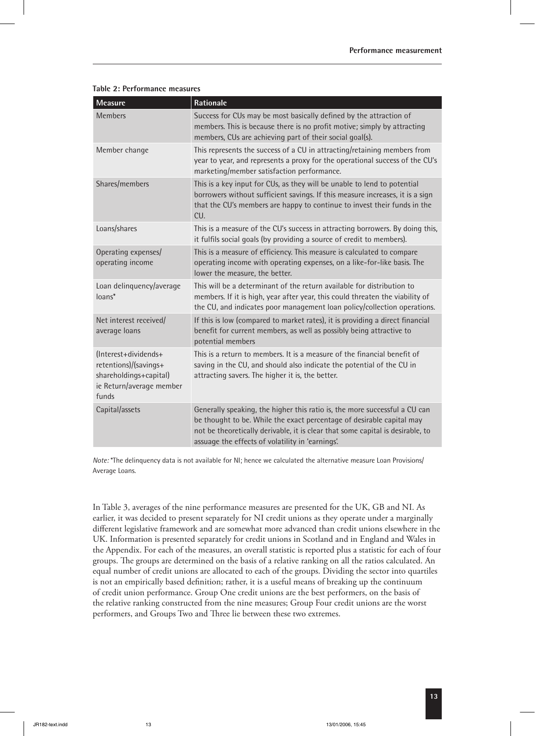| Measure                                                                                                      | Rationale                                                                                                                                                                                                                                                                                 |
|--------------------------------------------------------------------------------------------------------------|-------------------------------------------------------------------------------------------------------------------------------------------------------------------------------------------------------------------------------------------------------------------------------------------|
| <b>Members</b>                                                                                               | Success for CUs may be most basically defined by the attraction of<br>members. This is because there is no profit motive; simply by attracting<br>members, CUs are achieving part of their social goal(s).                                                                                |
| Member change                                                                                                | This represents the success of a CU in attracting/retaining members from<br>year to year, and represents a proxy for the operational success of the CU's<br>marketing/member satisfaction performance.                                                                                    |
| Shares/members                                                                                               | This is a key input for CUs, as they will be unable to lend to potential<br>borrowers without sufficient savings. If this measure increases, it is a sign<br>that the CU's members are happy to continue to invest their funds in the<br>CU.                                              |
| Loans/shares                                                                                                 | This is a measure of the CU's success in attracting borrowers. By doing this,<br>it fulfils social goals (by providing a source of credit to members).                                                                                                                                    |
| Operating expenses/<br>operating income                                                                      | This is a measure of efficiency. This measure is calculated to compare<br>operating income with operating expenses, on a like-for-like basis. The<br>lower the measure, the better.                                                                                                       |
| Loan delinquency/average<br>loans*                                                                           | This will be a determinant of the return available for distribution to<br>members. If it is high, year after year, this could threaten the viability of<br>the CU, and indicates poor management loan policy/collection operations.                                                       |
| Net interest received/<br>average loans                                                                      | If this is low (compared to market rates), it is providing a direct financial<br>benefit for current members, as well as possibly being attractive to<br>potential members                                                                                                                |
| (Interest+dividends+<br>retentions)/(savings+<br>shareholdings+capital)<br>ie Return/average member<br>funds | This is a return to members. It is a measure of the financial benefit of<br>saving in the CU, and should also indicate the potential of the CU in<br>attracting savers. The higher it is, the better.                                                                                     |
| Capital/assets                                                                                               | Generally speaking, the higher this ratio is, the more successful a CU can<br>be thought to be. While the exact percentage of desirable capital may<br>not be theoretically derivable, it is clear that some capital is desirable, to<br>assuage the effects of volatility in 'earnings'. |

#### **Table 2: Performance measures**

*Note:* \*The delinquency data is not available for NI; hence we calculated the alternative measure Loan Provisions/ Average Loans.

In Table 3, averages of the nine performance measures are presented for the UK, GB and NI. As earlier, it was decided to present separately for NI credit unions as they operate under a marginally different legislative framework and are somewhat more advanced than credit unions elsewhere in the UK. Information is presented separately for credit unions in Scotland and in England and Wales in the Appendix. For each of the measures, an overall statistic is reported plus a statistic for each of four groups. The groups are determined on the basis of a relative ranking on all the ratios calculated. An equal number of credit unions are allocated to each of the groups. Dividing the sector into quartiles is not an empirically based definition; rather, it is a useful means of breaking up the continuum of credit union performance. Group One credit unions are the best performers, on the basis of the relative ranking constructed from the nine measures; Group Four credit unions are the worst performers, and Groups Two and Three lie between these two extremes.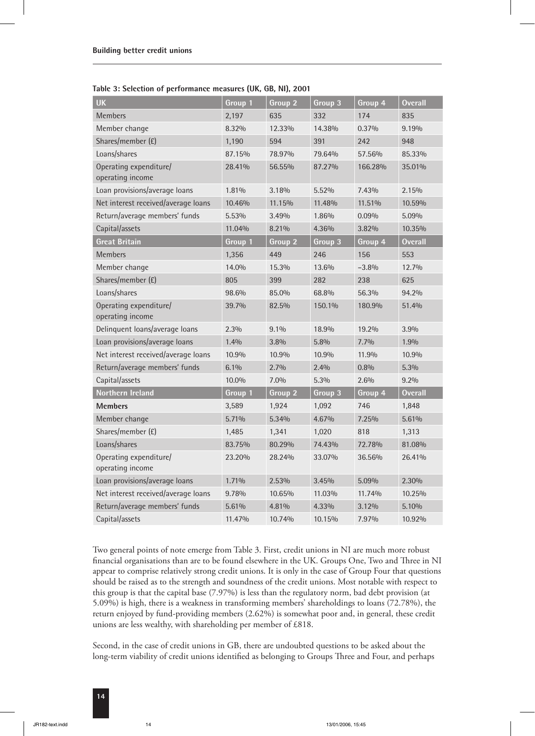|  | Table 3: Selection of performance measures (UK, GB, NI), 2001 |  |  |
|--|---------------------------------------------------------------|--|--|
|--|---------------------------------------------------------------|--|--|

| <b>UK</b>                                  | Group 1 | Group 2 | Group 3 | Group 4 | <b>Overall</b> |
|--------------------------------------------|---------|---------|---------|---------|----------------|
| Members                                    | 2,197   | 635     | 332     | 174     | 835            |
| Member change                              | 8.32%   | 12.33%  | 14.38%  | 0.37%   | 9.19%          |
| Shares/member (£)                          | 1,190   | 594     | 391     | 242     | 948            |
| Loans/shares                               | 87.15%  | 78.97%  | 79.64%  | 57.56%  | 85.33%         |
| Operating expenditure/<br>operating income | 28.41%  | 56.55%  | 87.27%  | 166.28% | 35.01%         |
| Loan provisions/average loans              | 1.81%   | 3.18%   | 5.52%   | 7.43%   | 2.15%          |
| Net interest received/average loans        | 10.46%  | 11.15%  | 11.48%  | 11.51%  | 10.59%         |
| Return/average members' funds              | 5.53%   | 3.49%   | 1.86%   | 0.09%   | 5.09%          |
| Capital/assets                             | 11.04%  | 8.21%   | 4.36%   | 3.82%   | 10.35%         |
| <b>Great Britain</b>                       | Group 1 | Group 2 | Group 3 | Group 4 | <b>Overall</b> |
| Members                                    | 1,356   | 449     | 246     | 156     | 553            |
| Member change                              | 14.0%   | 15.3%   | 13.6%   | $-3.8%$ | 12.7%          |
| Shares/member (£)                          | 805     | 399     | 282     | 238     | 625            |
| Loans/shares                               | 98.6%   | 85.0%   | 68.8%   | 56.3%   | 94.2%          |
| Operating expenditure/<br>operating income | 39.7%   | 82.5%   | 150.1%  | 180.9%  | 51.4%          |
| Delinquent loans/average loans             | 2.3%    | 9.1%    | 18.9%   | 19.2%   | 3.9%           |
| Loan provisions/average loans              | 1.4%    | 3.8%    | 5.8%    | 7.7%    | 1.9%           |
| Net interest received/average loans        | 10.9%   | 10.9%   | 10.9%   | 11.9%   | 10.9%          |
| Return/average members' funds              | 6.1%    | 2.7%    | 2.4%    | 0.8%    | 5.3%           |
| Capital/assets                             | 10.0%   | 7.0%    | 5.3%    | 2.6%    | 9.2%           |
| Northern Ireland                           | Group 1 | Group 2 | Group 3 | Group 4 | <b>Overall</b> |
| <b>Members</b>                             | 3,589   | 1,924   | 1,092   | 746     | 1,848          |
| Member change                              | 5.71%   | 5.34%   | 4.67%   | 7.25%   | 5.61%          |
| Shares/member (£)                          | 1,485   | 1,341   | 1,020   | 818     | 1,313          |
| Loans/shares                               | 83.75%  | 80.29%  | 74.43%  | 72.78%  | 81.08%         |
| Operating expenditure/<br>operating income | 23.20%  | 28.24%  | 33.07%  | 36.56%  | 26.41%         |
| Loan provisions/average loans              | 1.71%   | 2.53%   | 3.45%   | 5.09%   | 2.30%          |
| Net interest received/average loans        | 9.78%   | 10.65%  | 11.03%  | 11.74%  | 10.25%         |
| Return/average members' funds              | 5.61%   | 4.81%   | 4.33%   | 3.12%   | 5.10%          |
| Capital/assets                             | 11.47%  | 10.74%  | 10.15%  | 7.97%   | 10.92%         |

Two general points of note emerge from Table 3. First, credit unions in NI are much more robust financial organisations than are to be found elsewhere in the UK. Groups One, Two and Three in NI appear to comprise relatively strong credit unions. It is only in the case of Group Four that questions should be raised as to the strength and soundness of the credit unions. Most notable with respect to this group is that the capital base (7.97%) is less than the regulatory norm, bad debt provision (at 5.09%) is high, there is a weakness in transforming members' shareholdings to loans (72.78%), the return enjoyed by fund-providing members (2.62%) is somewhat poor and, in general, these credit unions are less wealthy, with shareholding per member of £818.

Second, in the case of credit unions in GB, there are undoubted questions to be asked about the long-term viability of credit unions identified as belonging to Groups Three and Four, and perhaps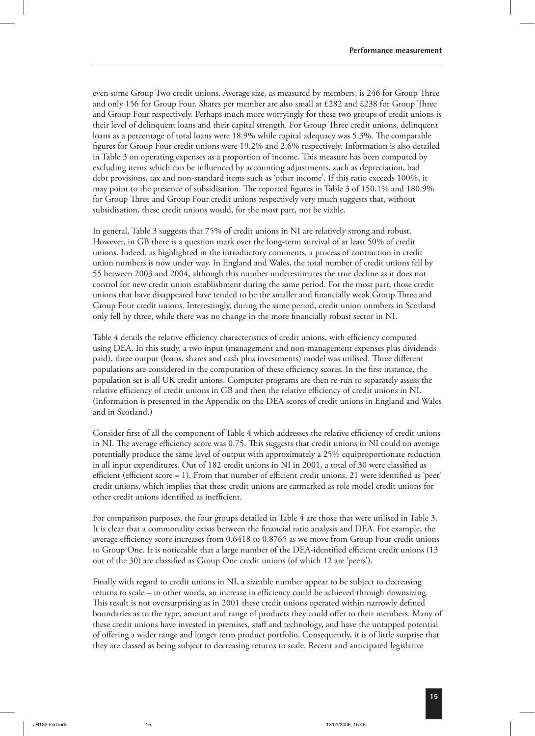even some Group Two credit unions. Average size, as measured by members, is 246 for Group Three and only 156 for Group Four. Shares per member are also small at £282 and £238 for Group Three and Group Four respectively. Perhaps much more worryingly for these two groups of credit unions is their level of delinquent loans and their capital strength. For Group Three credit unions, delinquent loans as a percentage of total loans were 18.9% while capital adequacy was 5.3%. The comparable figures for Group Four credit unions were 19.2% and 2.6% respectively. Information is also detailed in Table 3 on operating expenses as a proportion of income. This measure has been computed by excluding items which can be influenced by accounting adjustments, such as depreciation, bad debt provisions, tax and non-standard items such as 'other income'. If this ratio exceeds 100%, it may point to the presence of subsidisation. The reported figures in Table 3 of 150.1% and 180.9% for Group Three and Group Four credit unions respectively very much suggests that, without subsidisation, these credit unions would, for the most part, not be viable.

In general, Table 3 suggests that 75% of credit unions in NI are relatively strong and robust. However, in GB there is a question mark over the long-term survival of at least 50% of credit unions. Indeed, as highlighted in the introductory comments, a process of contraction in credit union numbers is now under way. In England and Wales, the total number of credit unions fell by 55 between 2003 and 2004, although this number underestimates the true decline as it does not control for new credit union establishment during the same period. For the most part, those credit unions that have disappeared have tended to be the smaller and financially weak Group Three and Group Four credit unions. Interestingly, during the same period, credit union numbers in Scotland only fell by three, while there was no change in the more financially robust sector in NI.

Table 4 details the relative efficiency characteristics of credit unions, with efficiency computed using DEA. In this study, a two input (management and non-management expenses plus dividends paid), three output (loans, shares and cash plus investments) model was utilised. Three different populations are considered in the computation of these efficiency scores. In the first instance, the population set is all UK credit unions. Computer programs are then re-run to separately assess the relative efficiency of credit unions in GB and then the relative efficiency of credit unions in NI. (Information is presented in the Appendix on the DEA scores of credit unions in England and Wales and in Scotland.)

Consider first of all the component of Table 4 which addresses the relative efficiency of credit unions in NI. The average efficiency score was 0.75. This suggests that credit unions in NI could on average potentially produce the same level of output with approximately a 25% equiproportionate reduction in all input expenditures. Out of 182 credit unions in NI in 2001, a total of 30 were classified as efficient (efficient score = 1). From that number of efficient credit unions, 21 were identified as 'peer' credit unions, which implies that these credit unions are earmarked as role model credit unions for other credit unions identified as inefficient.

For comparison purposes, the four groups detailed in Table 4 are those that were utilised in Table 3. It is clear that a commonality exists between the financial ratio analysis and DEA. For example, the average efficiency score increases from 0.6418 to 0.8765 as we move from Group Four credit unions to Group One. It is noticeable that a large number of the DEA-identified efficient credit unions (13 out of the 30) are classified as Group One credit unions (of which 12 are 'peers').

Finally with regard to credit unions in NI, a sizeable number appear to be subject to decreasing returns to scale – in other words, an increase in efficiency could be achieved through downsizing. This result is not oversurprising as in 2001 these credit unions operated within narrowly defined boundaries as to the type, amount and range of products they could offer to their members. Many of these credit unions have invested in premises, staff and technology, and have the untapped potential of offering a wider range and longer term product portfolio. Consequently, it is of little surprise that they are classed as being subject to decreasing returns to scale. Recent and anticipated legislative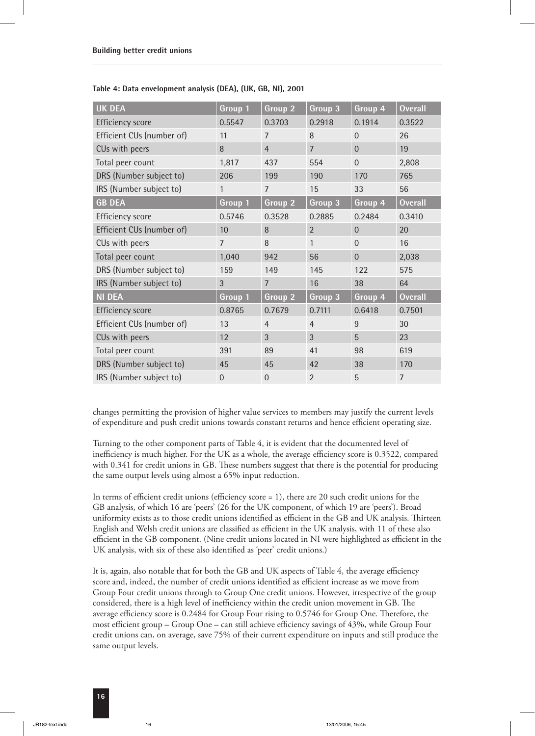| <b>UK DEA</b>             | Group 1        | Group <sub>2</sub> | Group 3        | Group 4        | <b>Overall</b> |
|---------------------------|----------------|--------------------|----------------|----------------|----------------|
| <b>Efficiency score</b>   | 0.5547         | 0.3703             | 0.2918         | 0.1914         | 0.3522         |
| Efficient CUs (number of) | 11             | 7                  | 8              | $\Omega$       | 26             |
| CUs with peers            | 8              | $\overline{4}$     | $\overline{7}$ | $\overline{0}$ | 19             |
| Total peer count          | 1,817          | 437                | 554            | $\overline{0}$ | 2,808          |
| DRS (Number subject to)   | 206            | 199                | 190            | 170            | 765            |
| IRS (Number subject to)   | 1              | $\overline{7}$     | 15             | 33             | 56             |
| <b>GB DEA</b>             | Group 1        | Group 2            | Group 3        | Group 4        | <b>Overall</b> |
| <b>Efficiency score</b>   | 0.5746         | 0.3528             | 0.2885         | 0.2484         | 0.3410         |
| Efficient CUs (number of) | 10             | 8                  | $\overline{2}$ | $\overline{0}$ | 20             |
| CUs with peers            | $\overline{7}$ | 8                  | $\mathbf{1}$   | $\overline{0}$ | 16             |
| Total peer count          | 1,040          | 942                | 56             | $\overline{0}$ | 2,038          |
| DRS (Number subject to)   | 159            | 149                | 145            | 122            | 575            |
| IRS (Number subject to)   | 3              | $\overline{7}$     | 16             | 38             | 64             |
| <b>NI DEA</b>             | Group 1        | Group 2            | Group 3        | Group 4        | <b>Overall</b> |
| <b>Efficiency score</b>   | 0.8765         | 0.7679             | 0.7111         | 0.6418         | 0.7501         |
| Efficient CUs (number of) | 13             | $\overline{4}$     | $\overline{4}$ | 9              | 30             |
| CUs with peers            | 12             | 3                  | 3              | 5              | 23             |
| Total peer count          | 391            | 89                 | 41             | 98             | 619            |
| DRS (Number subject to)   | 45             | 45                 | 42             | 38             | 170            |
| IRS (Number subject to)   | $\theta$       | $\Omega$           | $\overline{2}$ | 5              | $\overline{7}$ |

#### **Table 4: Data envelopment analysis (DEA), (UK, GB, NI), 2001**

changes permitting the provision of higher value services to members may justify the current levels of expenditure and push credit unions towards constant returns and hence efficient operating size.

Turning to the other component parts of Table 4, it is evident that the documented level of inefficiency is much higher. For the UK as a whole, the average efficiency score is 0.3522, compared with 0.341 for credit unions in GB. These numbers suggest that there is the potential for producing the same output levels using almost a 65% input reduction.

In terms of efficient credit unions (efficiency score = 1), there are 20 such credit unions for the GB analysis, of which 16 are 'peers' (26 for the UK component, of which 19 are 'peers'). Broad uniformity exists as to those credit unions identified as efficient in the GB and UK analysis. Thirteen English and Welsh credit unions are classified as efficient in the UK analysis, with 11 of these also efficient in the GB component. (Nine credit unions located in NI were highlighted as efficient in the UK analysis, with six of these also identified as 'peer' credit unions.)

It is, again, also notable that for both the GB and UK aspects of Table 4, the average efficiency score and, indeed, the number of credit unions identified as efficient increase as we move from Group Four credit unions through to Group One credit unions. However, irrespective of the group considered, there is a high level of inefficiency within the credit union movement in GB. The average efficiency score is 0.2484 for Group Four rising to 0.5746 for Group One. Therefore, the most efficient group – Group One – can still achieve efficiency savings of 43%, while Group Four credit unions can, on average, save 75% of their current expenditure on inputs and still produce the same output levels.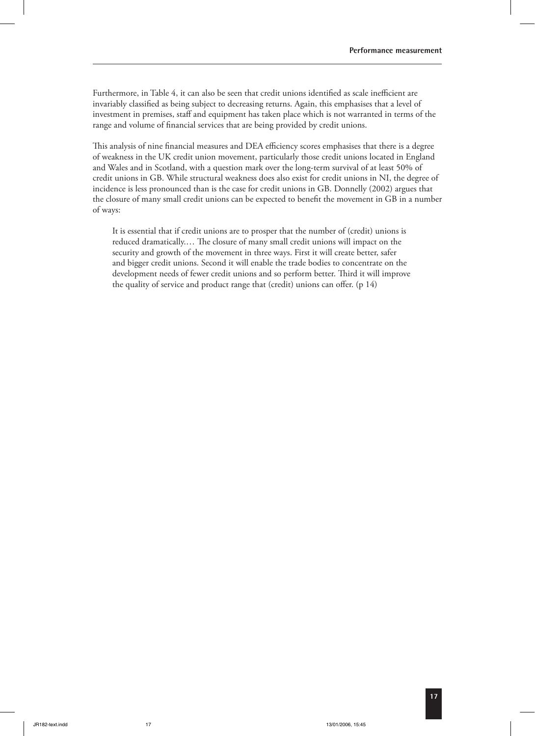Furthermore, in Table 4, it can also be seen that credit unions identified as scale inefficient are invariably classified as being subject to decreasing returns. Again, this emphasises that a level of investment in premises, staff and equipment has taken place which is not warranted in terms of the range and volume of financial services that are being provided by credit unions.

This analysis of nine financial measures and DEA efficiency scores emphasises that there is a degree of weakness in the UK credit union movement, particularly those credit unions located in England and Wales and in Scotland, with a question mark over the long-term survival of at least 50% of credit unions in GB. While structural weakness does also exist for credit unions in NI, the degree of incidence is less pronounced than is the case for credit unions in GB. Donnelly (2002) argues that the closure of many small credit unions can be expected to benefit the movement in GB in a number of ways:

It is essential that if credit unions are to prosper that the number of (credit) unions is reduced dramatically.... The closure of many small credit unions will impact on the security and growth of the movement in three ways. First it will create better, safer and bigger credit unions. Second it will enable the trade bodies to concentrate on the development needs of fewer credit unions and so perform better. Third it will improve the quality of service and product range that (credit) unions can offer. (p 14)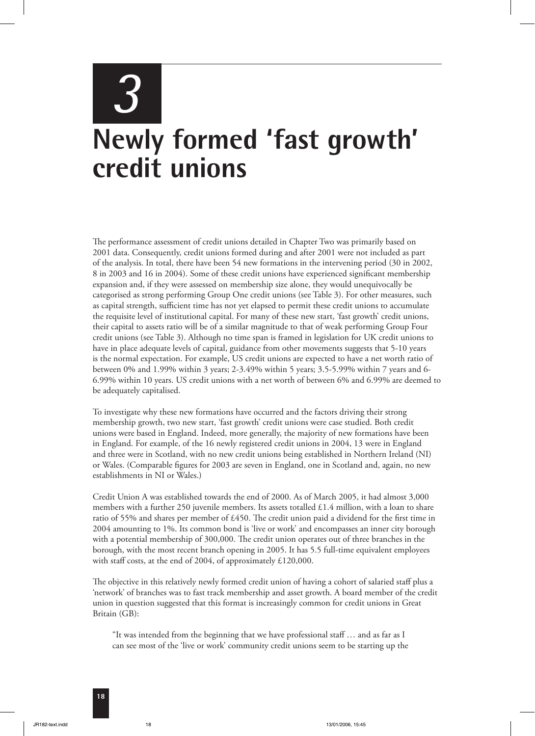# *3* **Newly formed 'fast growth' credit unions**

The performance assessment of credit unions detailed in Chapter Two was primarily based on 2001 data. Consequently, credit unions formed during and after 2001 were not included as part of the analysis. In total, there have been 54 new formations in the intervening period (30 in 2002, 8 in 2003 and 16 in 2004). Some of these credit unions have experienced significant membership expansion and, if they were assessed on membership size alone, they would unequivocally be categorised as strong performing Group One credit unions (see Table 3). For other measures, such as capital strength, sufficient time has not yet elapsed to permit these credit unions to accumulate the requisite level of institutional capital. For many of these new start, 'fast growth' credit unions, their capital to assets ratio will be of a similar magnitude to that of weak performing Group Four credit unions (see Table 3). Although no time span is framed in legislation for UK credit unions to have in place adequate levels of capital, guidance from other movements suggests that 5-10 years is the normal expectation. For example, US credit unions are expected to have a net worth ratio of between 0% and 1.99% within 3 years; 2-3.49% within 5 years; 3.5-5.99% within 7 years and 6- 6.99% within 10 years. US credit unions with a net worth of between 6% and 6.99% are deemed to be adequately capitalised.

To investigate why these new formations have occurred and the factors driving their strong membership growth, two new start, 'fast growth' credit unions were case studied. Both credit unions were based in England. Indeed, more generally, the majority of new formations have been in England. For example, of the 16 newly registered credit unions in 2004, 13 were in England and three were in Scotland, with no new credit unions being established in Northern Ireland (NI) or Wales. (Comparable figures for 2003 are seven in England, one in Scotland and, again, no new establishments in NI or Wales.)

Credit Union A was established towards the end of 2000. As of March 2005, it had almost 3,000 members with a further 250 juvenile members. Its assets totalled £1.4 million, with a loan to share ratio of 55% and shares per member of £450. The credit union paid a dividend for the first time in 2004 amounting to 1%. Its common bond is 'live or work' and encompasses an inner city borough with a potential membership of 300,000. The credit union operates out of three branches in the borough, with the most recent branch opening in 2005. It has 5.5 full-time equivalent employees with staff costs, at the end of 2004, of approximately £120,000.

The objective in this relatively newly formed credit union of having a cohort of salaried staff plus a 'network' of branches was to fast track membership and asset growth. A board member of the credit union in question suggested that this format is increasingly common for credit unions in Great Britain (GB):

"It was intended from the beginning that we have professional staff … and as far as I can see most of the 'live or work' community credit unions seem to be starting up the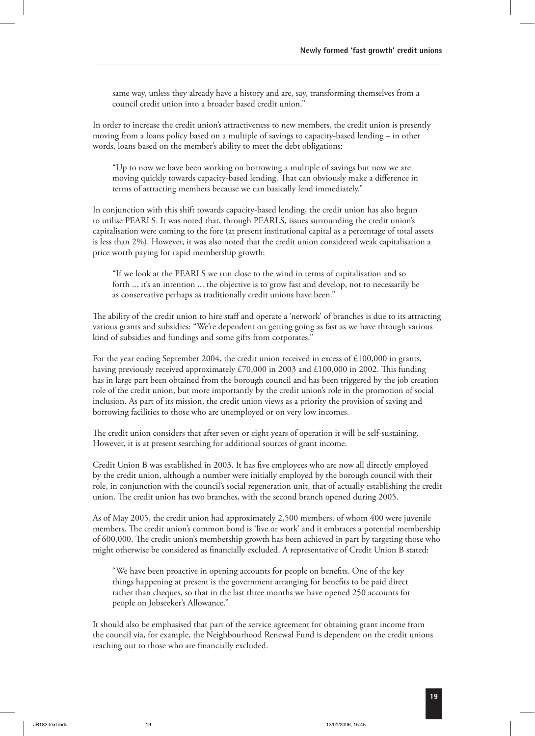same way, unless they already have a history and are, say, transforming themselves from a council credit union into a broader based credit union."

In order to increase the credit union's attractiveness to new members, the credit union is presently moving from a loans policy based on a multiple of savings to capacity-based lending – in other words, loans based on the member's ability to meet the debt obligations:

"Up to now we have been working on borrowing a multiple of savings but now we are moving quickly towards capacity-based lending. That can obviously make a difference in terms of attracting members because we can basically lend immediately."

In conjunction with this shift towards capacity-based lending, the credit union has also begun to utilise PEARLS. It was noted that, through PEARLS, issues surrounding the credit union's capitalisation were coming to the fore (at present institutional capital as a percentage of total assets is less than 2%). However, it was also noted that the credit union considered weak capitalisation a price worth paying for rapid membership growth:

"If we look at the PEARLS we run close to the wind in terms of capitalisation and so forth ... it's an intention ... the objective is to grow fast and develop, not to necessarily be as conservative perhaps as traditionally credit unions have been."

The ability of the credit union to hire staff and operate a 'network' of branches is due to its attracting various grants and subsidies: "We're dependent on getting going as fast as we have through various kind of subsidies and fundings and some gifts from corporates."

For the year ending September 2004, the credit union received in excess of £100,000 in grants, having previously received approximately £70,000 in 2003 and £100,000 in 2002. This funding has in large part been obtained from the borough council and has been triggered by the job creation role of the credit union, but more importantly by the credit union's role in the promotion of social inclusion. As part of its mission, the credit union views as a priority the provision of saving and borrowing facilities to those who are unemployed or on very low incomes.

The credit union considers that after seven or eight years of operation it will be self-sustaining. However, it is at present searching for additional sources of grant income.

Credit Union B was established in 2003. It has five employees who are now all directly employed by the credit union, although a number were initially employed by the borough council with their role, in conjunction with the council's social regeneration unit, that of actually establishing the credit union. The credit union has two branches, with the second branch opened during 2005.

As of May 2005, the credit union had approximately 2,500 members, of whom 400 were juvenile members. The credit union's common bond is 'live or work' and it embraces a potential membership of 600,000. The credit union's membership growth has been achieved in part by targeting those who might otherwise be considered as financially excluded. A representative of Credit Union B stated:

"We have been proactive in opening accounts for people on benefits. One of the key things happening at present is the government arranging for benefits to be paid direct rather than cheques, so that in the last three months we have opened 250 accounts for people on Jobseeker's Allowance."

It should also be emphasised that part of the service agreement for obtaining grant income from the council via, for example, the Neighbourhood Renewal Fund is dependent on the credit unions reaching out to those who are financially excluded.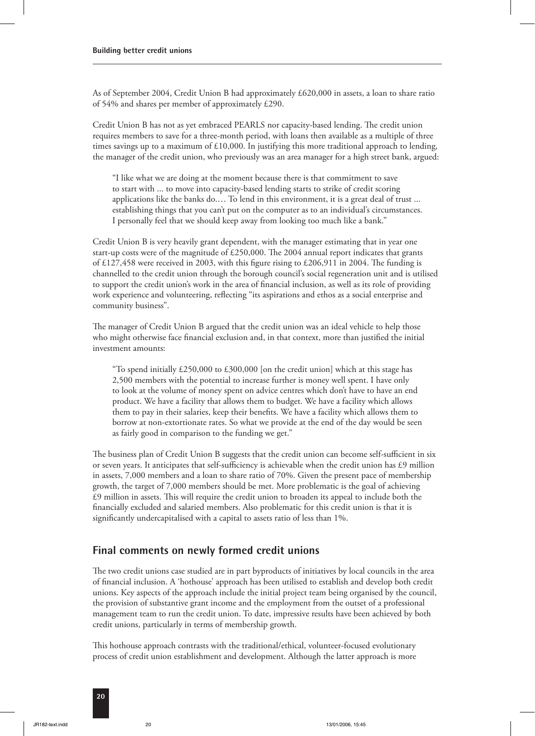As of September 2004, Credit Union B had approximately £620,000 in assets, a loan to share ratio of 54% and shares per member of approximately £290.

Credit Union B has not as yet embraced PEARLS nor capacity-based lending. The credit union requires members to save for a three-month period, with loans then available as a multiple of three times savings up to a maximum of  $£10,000$ . In justifying this more traditional approach to lending, the manager of the credit union, who previously was an area manager for a high street bank, argued:

"I like what we are doing at the moment because there is that commitment to save to start with ... to move into capacity-based lending starts to strike of credit scoring applications like the banks do.… To lend in this environment, it is a great deal of trust ... establishing things that you can't put on the computer as to an individual's circumstances. I personally feel that we should keep away from looking too much like a bank."

Credit Union B is very heavily grant dependent, with the manager estimating that in year one start-up costs were of the magnitude of  $£250,000$ . The 2004 annual report indicates that grants of £127,458 were received in 2003, with this figure rising to £206,911 in 2004. The funding is channelled to the credit union through the borough council's social regeneration unit and is utilised to support the credit union's work in the area of financial inclusion, as well as its role of providing work experience and volunteering, reflecting "its aspirations and ethos as a social enterprise and community business".

The manager of Credit Union B argued that the credit union was an ideal vehicle to help those who might otherwise face financial exclusion and, in that context, more than justified the initial investment amounts:

"To spend initially £250,000 to £300,000 [on the credit union] which at this stage has 2,500 members with the potential to increase further is money well spent. I have only to look at the volume of money spent on advice centres which don't have to have an end product. We have a facility that allows them to budget. We have a facility which allows them to pay in their salaries, keep their benefits. We have a facility which allows them to borrow at non-extortionate rates. So what we provide at the end of the day would be seen as fairly good in comparison to the funding we get."

The business plan of Credit Union B suggests that the credit union can become self-sufficient in six or seven years. It anticipates that self-sufficiency is achievable when the credit union has £9 million in assets, 7,000 members and a loan to share ratio of 70%. Given the present pace of membership growth, the target of 7,000 members should be met. More problematic is the goal of achieving  $£9$  million in assets. This will require the credit union to broaden its appeal to include both the financially excluded and salaried members. Also problematic for this credit union is that it is significantly undercapitalised with a capital to assets ratio of less than 1%.

#### **Final comments on newly formed credit unions**

The two credit unions case studied are in part byproducts of initiatives by local councils in the area of financial inclusion. A 'hothouse' approach has been utilised to establish and develop both credit unions. Key aspects of the approach include the initial project team being organised by the council, the provision of substantive grant income and the employment from the outset of a professional management team to run the credit union. To date, impressive results have been achieved by both credit unions, particularly in terms of membership growth.

This hothouse approach contrasts with the traditional/ethical, volunteer-focused evolutionary process of credit union establishment and development. Although the latter approach is more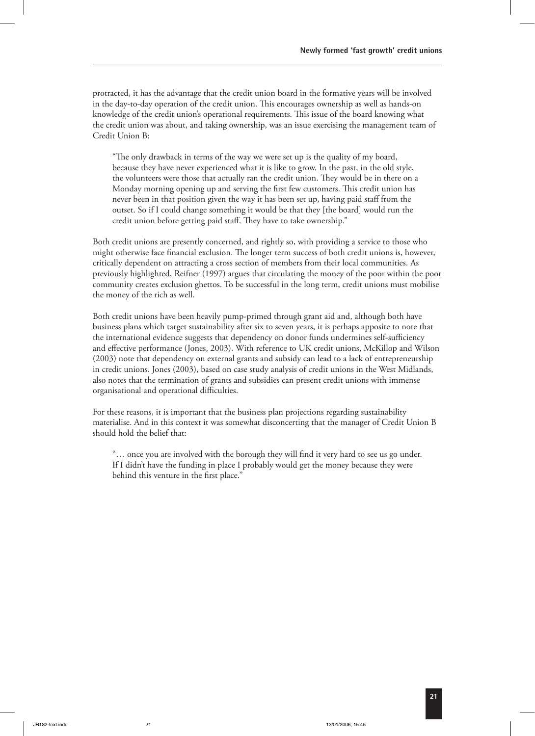protracted, it has the advantage that the credit union board in the formative years will be involved in the day-to-day operation of the credit union. This encourages ownership as well as hands-on knowledge of the credit union's operational requirements. This issue of the board knowing what the credit union was about, and taking ownership, was an issue exercising the management team of Credit Union B:

"The only drawback in terms of the way we were set up is the quality of my board, because they have never experienced what it is like to grow. In the past, in the old style, the volunteers were those that actually ran the credit union. They would be in there on a Monday morning opening up and serving the first few customers. This credit union has never been in that position given the way it has been set up, having paid staff from the outset. So if I could change something it would be that they [the board] would run the credit union before getting paid staff. They have to take ownership."

Both credit unions are presently concerned, and rightly so, with providing a service to those who might otherwise face financial exclusion. The longer term success of both credit unions is, however, critically dependent on attracting a cross section of members from their local communities. As previously highlighted, Reifner (1997) argues that circulating the money of the poor within the poor community creates exclusion ghettos. To be successful in the long term, credit unions must mobilise the money of the rich as well.

Both credit unions have been heavily pump-primed through grant aid and, although both have business plans which target sustainability after six to seven years, it is perhaps apposite to note that the international evidence suggests that dependency on donor funds undermines self-sufficiency and effective performance (Jones, 2003). With reference to UK credit unions, McKillop and Wilson (2003) note that dependency on external grants and subsidy can lead to a lack of entrepreneurship in credit unions. Jones (2003), based on case study analysis of credit unions in the West Midlands, also notes that the termination of grants and subsidies can present credit unions with immense organisational and operational difficulties.

For these reasons, it is important that the business plan projections regarding sustainability materialise. And in this context it was somewhat disconcerting that the manager of Credit Union B should hold the belief that:

"… once you are involved with the borough they will find it very hard to see us go under. If I didn't have the funding in place I probably would get the money because they were behind this venture in the first place."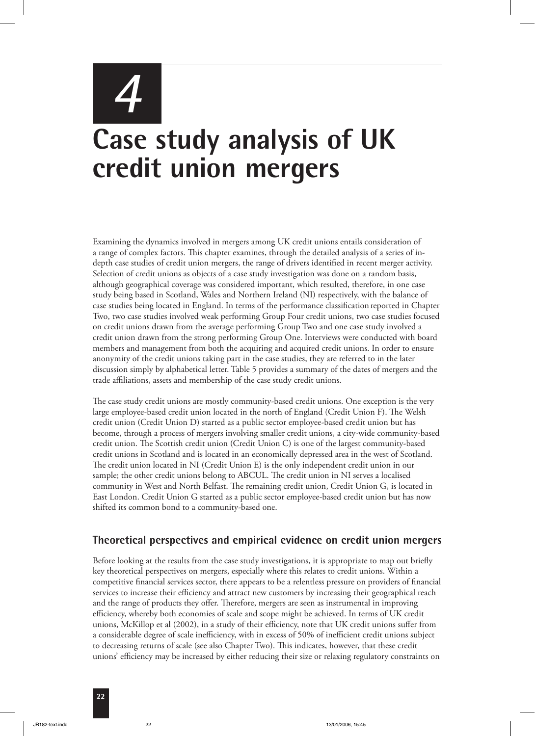# *4* **Case study analysis of UK credit union mergers**

Examining the dynamics involved in mergers among UK credit unions entails consideration of a range of complex factors. This chapter examines, through the detailed analysis of a series of indepth case studies of credit union mergers, the range of drivers identified in recent merger activity. Selection of credit unions as objects of a case study investigation was done on a random basis, although geographical coverage was considered important, which resulted, therefore, in one case study being based in Scotland, Wales and Northern Ireland (NI) respectively, with the balance of case studies being located in England. In terms of the performance classification reported in Chapter Two, two case studies involved weak performing Group Four credit unions, two case studies focused on credit unions drawn from the average performing Group Two and one case study involved a credit union drawn from the strong performing Group One. Interviews were conducted with board members and management from both the acquiring and acquired credit unions. In order to ensure anonymity of the credit unions taking part in the case studies, they are referred to in the later discussion simply by alphabetical letter. Table 5 provides a summary of the dates of mergers and the trade affiliations, assets and membership of the case study credit unions.

The case study credit unions are mostly community-based credit unions. One exception is the very large employee-based credit union located in the north of England (Credit Union F). The Welsh credit union (Credit Union D) started as a public sector employee-based credit union but has become, through a process of mergers involving smaller credit unions, a city-wide community-based credit union. The Scottish credit union (Credit Union C) is one of the largest community-based credit unions in Scotland and is located in an economically depressed area in the west of Scotland. The credit union located in NI (Credit Union E) is the only independent credit union in our sample; the other credit unions belong to ABCUL. The credit union in NI serves a localised community in West and North Belfast. The remaining credit union, Credit Union G, is located in East London. Credit Union G started as a public sector employee-based credit union but has now shifted its common bond to a community-based one.

#### **Theoretical perspectives and empirical evidence on credit union mergers**

Before looking at the results from the case study investigations, it is appropriate to map out briefly key theoretical perspectives on mergers, especially where this relates to credit unions. Within a competitive financial services sector, there appears to be a relentless pressure on providers of financial services to increase their efficiency and attract new customers by increasing their geographical reach and the range of products they offer. Therefore, mergers are seen as instrumental in improving efficiency, whereby both economies of scale and scope might be achieved. In terms of UK credit unions, McKillop et al (2002), in a study of their efficiency, note that UK credit unions suffer from a considerable degree of scale inefficiency, with in excess of 50% of inefficient credit unions subject to decreasing returns of scale (see also Chapter Two). This indicates, however, that these credit unions' efficiency may be increased by either reducing their size or relaxing regulatory constraints on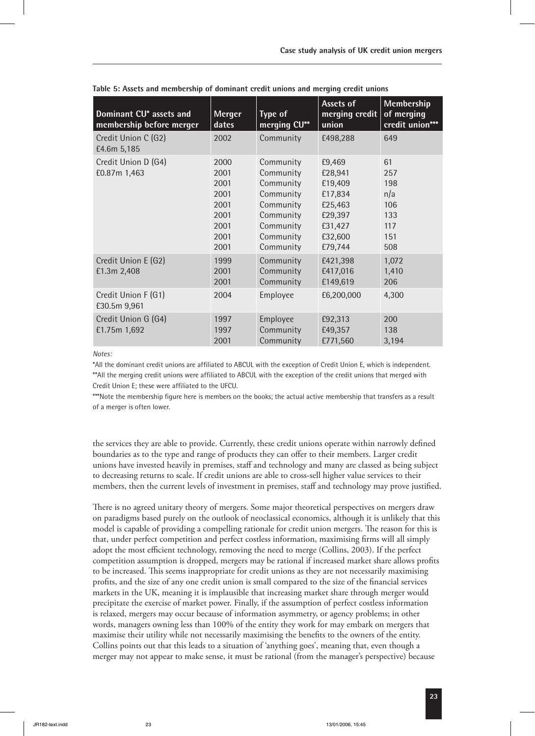| Dominant CU* assets and<br>membership before merger | <b>Merger</b><br>dates                                               | <b>Type of</b><br>merging CU**                                                                                    | Assets of<br>merging credit<br>union                                                           | Membership<br>of merging<br>credit union***                |
|-----------------------------------------------------|----------------------------------------------------------------------|-------------------------------------------------------------------------------------------------------------------|------------------------------------------------------------------------------------------------|------------------------------------------------------------|
| Credit Union C (G2)<br>£4.6m 5,185                  | 2002                                                                 | Community                                                                                                         | £498,288                                                                                       | 649                                                        |
| Credit Union D (G4)<br>£0.87m 1,463                 | 2000<br>2001<br>2001<br>2001<br>2001<br>2001<br>2001<br>2001<br>2001 | Community<br>Community<br>Community<br>Community<br>Community<br>Community<br>Community<br>Community<br>Community | £9,469<br>£28,941<br>£19,409<br>£17,834<br>£25,463<br>£29,397<br>£31,427<br>£32,600<br>£79,744 | 61<br>257<br>198<br>n/a<br>106<br>133<br>117<br>151<br>508 |
| Credit Union E (G2)<br>£1.3m 2,408                  | 1999<br>2001<br>2001                                                 | Community<br>Community<br>Community                                                                               | £421,398<br>£417,016<br>£149,619                                                               | 1,072<br>1,410<br>206                                      |
| Credit Union F (G1)<br>£30.5m 9,961                 | 2004                                                                 | Employee                                                                                                          | £6,200,000                                                                                     | 4,300                                                      |
| Credit Union G (G4)<br>£1.75m 1,692                 | 1997<br>1997<br>2001                                                 | Employee<br>Community<br>Community                                                                                | £92,313<br>£49,357<br>£771,560                                                                 | 200<br>138<br>3,194                                        |

**Table 5: Assets and membership of dominant credit unions and merging credit unions**

*Notes:*

\*All the dominant credit unions are affiliated to ABCUL with the exception of Credit Union E, which is independent. \*\*All the merging credit unions were affiliated to ABCUL with the exception of the credit unions that merged with Credit Union E; these were affiliated to the UFCU.

\*\*\*Note the membership figure here is members on the books; the actual active membership that transfers as a result of a merger is often lower.

the services they are able to provide. Currently, these credit unions operate within narrowly defined boundaries as to the type and range of products they can offer to their members. Larger credit unions have invested heavily in premises, staff and technology and many are classed as being subject to decreasing returns to scale. If credit unions are able to cross-sell higher value services to their members, then the current levels of investment in premises, staff and technology may prove justified.

There is no agreed unitary theory of mergers. Some major theoretical perspectives on mergers draw on paradigms based purely on the outlook of neoclassical economics, although it is unlikely that this model is capable of providing a compelling rationale for credit union mergers. The reason for this is that, under perfect competition and perfect costless information, maximising firms will all simply adopt the most efficient technology, removing the need to merge (Collins, 2003). If the perfect competition assumption is dropped, mergers may be rational if increased market share allows profits to be increased. This seems inappropriate for credit unions as they are not necessarily maximising profits, and the size of any one credit union is small compared to the size of the financial services markets in the UK, meaning it is implausible that increasing market share through merger would precipitate the exercise of market power. Finally, if the assumption of perfect costless information is relaxed, mergers may occur because of information asymmetry, or agency problems; in other words, managers owning less than 100% of the entity they work for may embark on mergers that maximise their utility while not necessarily maximising the benefits to the owners of the entity. Collins points out that this leads to a situation of 'anything goes', meaning that, even though a merger may not appear to make sense, it must be rational (from the manager's perspective) because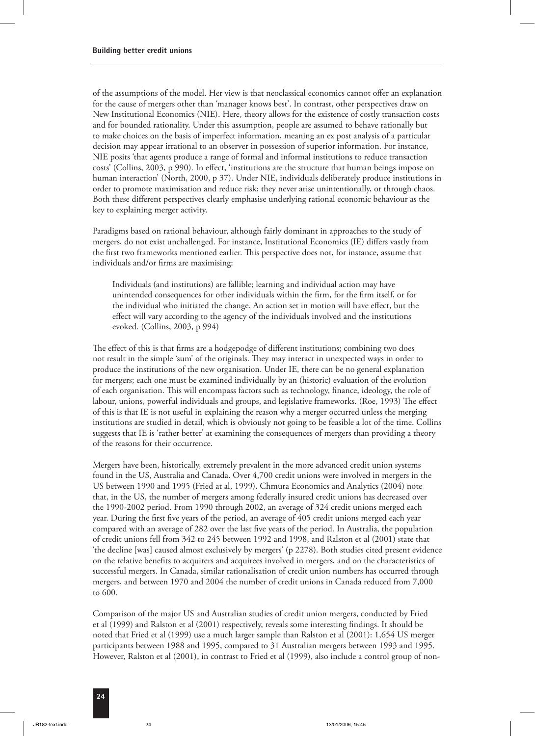of the assumptions of the model. Her view is that neoclassical economics cannot offer an explanation for the cause of mergers other than 'manager knows best'. In contrast, other perspectives draw on New Institutional Economics (NIE). Here, theory allows for the existence of costly transaction costs and for bounded rationality. Under this assumption, people are assumed to behave rationally but to make choices on the basis of imperfect information, meaning an ex post analysis of a particular decision may appear irrational to an observer in possession of superior information. For instance, NIE posits 'that agents produce a range of formal and informal institutions to reduce transaction costs' (Collins, 2003, p 990). In effect, 'institutions are the structure that human beings impose on human interaction' (North, 2000, p 37). Under NIE, individuals deliberately produce institutions in order to promote maximisation and reduce risk; they never arise unintentionally, or through chaos. Both these different perspectives clearly emphasise underlying rational economic behaviour as the key to explaining merger activity.

Paradigms based on rational behaviour, although fairly dominant in approaches to the study of mergers, do not exist unchallenged. For instance, Institutional Economics (IE) differs vastly from the first two frameworks mentioned earlier. This perspective does not, for instance, assume that individuals and/or firms are maximising:

Individuals (and institutions) are fallible; learning and individual action may have unintended consequences for other individuals within the firm, for the firm itself, or for the individual who initiated the change. An action set in motion will have effect, but the effect will vary according to the agency of the individuals involved and the institutions evoked. (Collins, 2003, p 994)

The effect of this is that firms are a hodgepodge of different institutions; combining two does not result in the simple 'sum' of the originals. They may interact in unexpected ways in order to produce the institutions of the new organisation. Under IE, there can be no general explanation for mergers; each one must be examined individually by an (historic) evaluation of the evolution of each organisation. This will encompass factors such as technology, finance, ideology, the role of labour, unions, powerful individuals and groups, and legislative frameworks. (Roe, 1993) The effect of this is that IE is not useful in explaining the reason why a merger occurred unless the merging institutions are studied in detail, which is obviously not going to be feasible a lot of the time. Collins suggests that IE is 'rather better' at examining the consequences of mergers than providing a theory of the reasons for their occurrence.

Mergers have been, historically, extremely prevalent in the more advanced credit union systems found in the US, Australia and Canada. Over 4,700 credit unions were involved in mergers in the US between 1990 and 1995 (Fried at al, 1999). Chmura Economics and Analytics (2004) note that, in the US, the number of mergers among federally insured credit unions has decreased over the 1990-2002 period. From 1990 through 2002, an average of 324 credit unions merged each year. During the first five years of the period, an average of 405 credit unions merged each year compared with an average of 282 over the last five years of the period. In Australia, the population of credit unions fell from 342 to 245 between 1992 and 1998, and Ralston et al (2001) state that 'the decline [was] caused almost exclusively by mergers' **(**p 2278**)**. Both studies cited present evidence on the relative benefits to acquirers and acquirees involved in mergers, and on the characteristics of successful mergers. In Canada, similar rationalisation of credit union numbers has occurred through mergers, and between 1970 and 2004 the number of credit unions in Canada reduced from 7,000 to 600.

Comparison of the major US and Australian studies of credit union mergers, conducted by Fried et al (1999) and Ralston et al (2001) respectively, reveals some interesting findings. It should be noted that Fried et al (1999) use a much larger sample than Ralston et al (2001): 1,654 US merger participants between 1988 and 1995, compared to 31 Australian mergers between 1993 and 1995. However, Ralston et al (2001), in contrast to Fried et al (1999), also include a control group of non-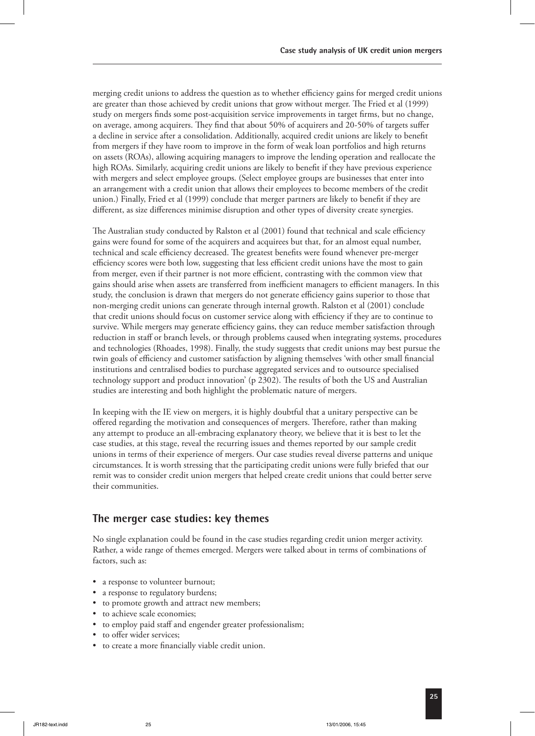merging credit unions to address the question as to whether efficiency gains for merged credit unions are greater than those achieved by credit unions that grow without merger. The Fried et al (1999) study on mergers finds some post-acquisition service improvements in target firms, but no change, on average, among acquirers. They find that about 50% of acquirers and 20-50% of targets suffer a decline in service after a consolidation. Additionally, acquired credit unions are likely to benefit from mergers if they have room to improve in the form of weak loan portfolios and high returns on assets (ROAs), allowing acquiring managers to improve the lending operation and reallocate the high ROAs. Similarly, acquiring credit unions are likely to benefit if they have previous experience with mergers and select employee groups. (Select employee groups are businesses that enter into an arrangement with a credit union that allows their employees to become members of the credit union.) Finally, Fried et al (1999) conclude that merger partners are likely to benefit if they are different, as size differences minimise disruption and other types of diversity create synergies.

The Australian study conducted by Ralston et al (2001) found that technical and scale efficiency gains were found for some of the acquirers and acquirees but that, for an almost equal number, technical and scale efficiency decreased. The greatest benefits were found whenever pre-merger efficiency scores were both low, suggesting that less efficient credit unions have the most to gain from merger, even if their partner is not more efficient, contrasting with the common view that gains should arise when assets are transferred from inefficient managers to efficient managers. In this study, the conclusion is drawn that mergers do not generate efficiency gains superior to those that non-merging credit unions can generate through internal growth. Ralston et al (2001) conclude that credit unions should focus on customer service along with efficiency if they are to continue to survive. While mergers may generate efficiency gains, they can reduce member satisfaction through reduction in staff or branch levels, or through problems caused when integrating systems, procedures and technologies (Rhoades, 1998). Finally, the study suggests that credit unions may best pursue the twin goals of efficiency and customer satisfaction by aligning themselves 'with other small financial institutions and centralised bodies to purchase aggregated services and to outsource specialised technology support and product innovation' (p 2302). The results of both the US and Australian studies are interesting and both highlight the problematic nature of mergers.

In keeping with the IE view on mergers, it is highly doubtful that a unitary perspective can be offered regarding the motivation and consequences of mergers. Therefore, rather than making any attempt to produce an all-embracing explanatory theory, we believe that it is best to let the case studies, at this stage, reveal the recurring issues and themes reported by our sample credit unions in terms of their experience of mergers. Our case studies reveal diverse patterns and unique circumstances. It is worth stressing that the participating credit unions were fully briefed that our remit was to consider credit union mergers that helped create credit unions that could better serve their communities.

#### **The merger case studies: key themes**

No single explanation could be found in the case studies regarding credit union merger activity. Rather, a wide range of themes emerged. Mergers were talked about in terms of combinations of factors, such as:

- a response to volunteer burnout;
- a response to regulatory burdens;
- to promote growth and attract new members;
- to achieve scale economies;
- to employ paid staff and engender greater professionalism;
- to offer wider services;
- to create a more financially viable credit union.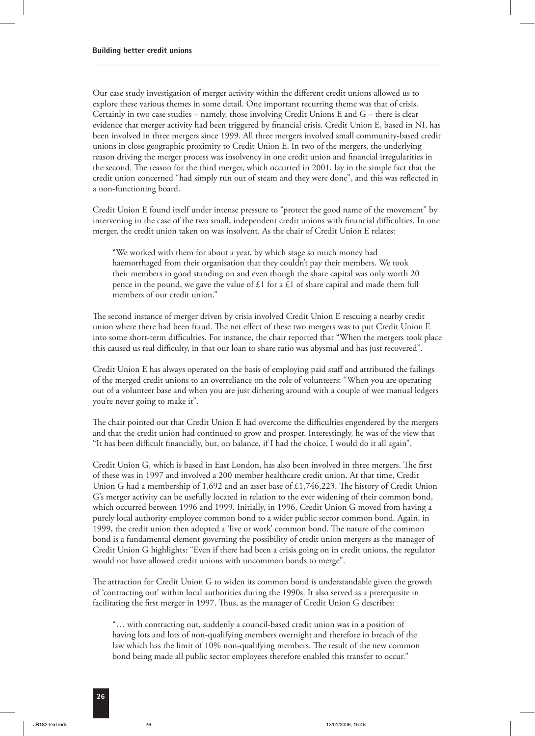Our case study investigation of merger activity within the different credit unions allowed us to explore these various themes in some detail. One important recurring theme was that of crisis. Certainly in two case studies – namely, those involving Credit Unions E and G – there is clear evidence that merger activity had been triggered by financial crisis. Credit Union E, based in NI, has been involved in three mergers since 1999. All three mergers involved small community-based credit unions in close geographic proximity to Credit Union E. In two of the mergers, the underlying reason driving the merger process was insolvency in one credit union and financial irregularities in the second. The reason for the third merger, which occurred in 2001, lay in the simple fact that the credit union concerned "had simply run out of steam and they were done", and this was reflected in a non-functioning board.

Credit Union E found itself under intense pressure to "protect the good name of the movement" by intervening in the case of the two small, independent credit unions with financial difficulties. In one merger, the credit union taken on was insolvent. As the chair of Credit Union E relates:

"We worked with them for about a year, by which stage so much money had haemorrhaged from their organisation that they couldn't pay their members. We took their members in good standing on and even though the share capital was only worth 20 pence in the pound, we gave the value of  $\pounds 1$  for a  $\pounds 1$  of share capital and made them full members of our credit union."

The second instance of merger driven by crisis involved Credit Union E rescuing a nearby credit union where there had been fraud. The net effect of these two mergers was to put Credit Union E into some short-term difficulties. For instance, the chair reported that "When the mergers took place this caused us real difficulty, in that our loan to share ratio was abysmal and has just recovered".

Credit Union E has always operated on the basis of employing paid staff and attributed the failings of the merged credit unions to an overreliance on the role of volunteers: "When you are operating out of a volunteer base and when you are just dithering around with a couple of wee manual ledgers you're never going to make it".

The chair pointed out that Credit Union E had overcome the difficulties engendered by the mergers and that the credit union had continued to grow and prosper. Interestingly, he was of the view that "It has been difficult financially, but, on balance, if I had the choice, I would do it all again".

Credit Union G, which is based in East London, has also been involved in three mergers. The first of these was in 1997 and involved a 200 member healthcare credit union. At that time, Credit Union G had a membership of 1,692 and an asset base of £1,746,223. The history of Credit Union G's merger activity can be usefully located in relation to the ever widening of their common bond, which occurred between 1996 and 1999. Initially, in 1996, Credit Union G moved from having a purely local authority employee common bond to a wider public sector common bond. Again, in 1999, the credit union then adopted a 'live or work' common bond. The nature of the common bond is a fundamental element governing the possibility of credit union mergers as the manager of Credit Union G highlights: "Even if there had been a crisis going on in credit unions, the regulator would not have allowed credit unions with uncommon bonds to merge".

The attraction for Credit Union G to widen its common bond is understandable given the growth of 'contracting out' within local authorities during the 1990s. It also served as a prerequisite in facilitating the first merger in 1997. Thus, as the manager of Credit Union G describes:

"… with contracting out, suddenly a council-based credit union was in a position of having lots and lots of non-qualifying members overnight and therefore in breach of the law which has the limit of 10% non-qualifying members. The result of the new common bond being made all public sector employees therefore enabled this transfer to occur."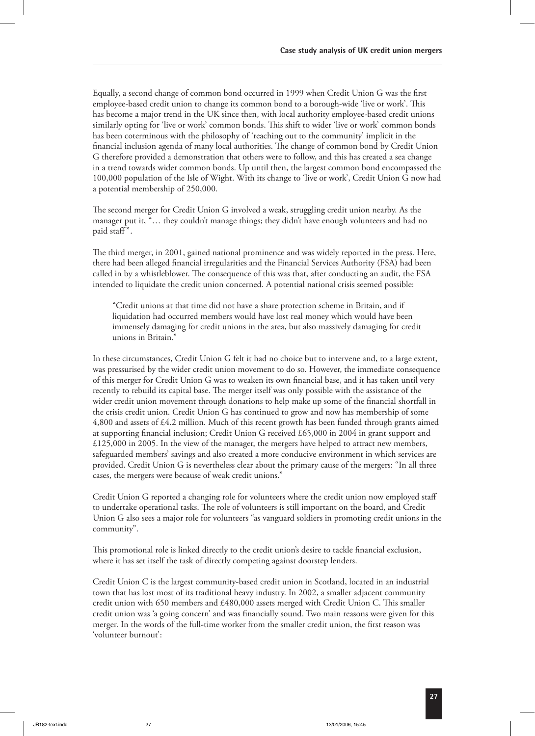Equally, a second change of common bond occurred in 1999 when Credit Union G was the first employee-based credit union to change its common bond to a borough-wide 'live or work'. This has become a major trend in the UK since then, with local authority employee-based credit unions similarly opting for 'live or work' common bonds. This shift to wider 'live or work' common bonds has been coterminous with the philosophy of 'reaching out to the community' implicit in the financial inclusion agenda of many local authorities. The change of common bond by Credit Union G therefore provided a demonstration that others were to follow, and this has created a sea change in a trend towards wider common bonds. Up until then, the largest common bond encompassed the 100,000 population of the Isle of Wight. With its change to 'live or work', Credit Union G now had a potential membership of 250,000.

The second merger for Credit Union G involved a weak, struggling credit union nearby. As the manager put it, "… they couldn't manage things; they didn't have enough volunteers and had no paid staff".

The third merger, in 2001, gained national prominence and was widely reported in the press. Here, there had been alleged financial irregularities and the Financial Services Authority (FSA) had been called in by a whistleblower. The consequence of this was that, after conducting an audit, the FSA intended to liquidate the credit union concerned. A potential national crisis seemed possible:

"Credit unions at that time did not have a share protection scheme in Britain, and if liquidation had occurred members would have lost real money which would have been immensely damaging for credit unions in the area, but also massively damaging for credit unions in Britain."

In these circumstances, Credit Union G felt it had no choice but to intervene and, to a large extent, was pressurised by the wider credit union movement to do so. However, the immediate consequence of this merger for Credit Union G was to weaken its own financial base, and it has taken until very recently to rebuild its capital base. The merger itself was only possible with the assistance of the wider credit union movement through donations to help make up some of the financial shortfall in the crisis credit union. Credit Union G has continued to grow and now has membership of some 4,800 and assets of £4.2 million. Much of this recent growth has been funded through grants aimed at supporting financial inclusion; Credit Union G received £65,000 in 2004 in grant support and  $£125,000$  in 2005. In the view of the manager, the mergers have helped to attract new members, safeguarded members' savings and also created a more conducive environment in which services are provided. Credit Union G is nevertheless clear about the primary cause of the mergers: "In all three cases, the mergers were because of weak credit unions."

Credit Union G reported a changing role for volunteers where the credit union now employed staff to undertake operational tasks. The role of volunteers is still important on the board, and Credit Union G also sees a major role for volunteers "as vanguard soldiers in promoting credit unions in the community".

This promotional role is linked directly to the credit union's desire to tackle financial exclusion, where it has set itself the task of directly competing against doorstep lenders.

Credit Union C is the largest community-based credit union in Scotland, located in an industrial town that has lost most of its traditional heavy industry. In 2002, a smaller adjacent community credit union with 650 members and  $£480,000$  assets merged with Credit Union C. This smaller credit union was 'a going concern' and was financially sound. Two main reasons were given for this merger. In the words of the full-time worker from the smaller credit union, the first reason was 'volunteer burnout':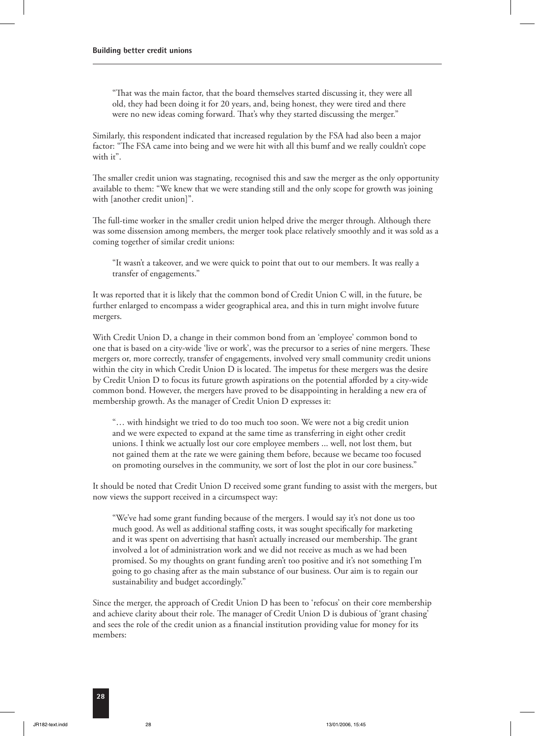"That was the main factor, that the board themselves started discussing it, they were all old, they had been doing it for 20 years, and, being honest, they were tired and there were no new ideas coming forward. That's why they started discussing the merger."

Similarly, this respondent indicated that increased regulation by the FSA had also been a major factor: "The FSA came into being and we were hit with all this bumf and we really couldn't cope with it".

The smaller credit union was stagnating, recognised this and saw the merger as the only opportunity available to them: "We knew that we were standing still and the only scope for growth was joining with [another credit union]".

The full-time worker in the smaller credit union helped drive the merger through. Although there was some dissension among members, the merger took place relatively smoothly and it was sold as a coming together of similar credit unions:

"It wasn't a takeover, and we were quick to point that out to our members. It was really a transfer of engagements."

It was reported that it is likely that the common bond of Credit Union C will, in the future, be further enlarged to encompass a wider geographical area, and this in turn might involve future mergers.

With Credit Union D, a change in their common bond from an 'employee' common bond to one that is based on a city-wide 'live or work', was the precursor to a series of nine mergers. These mergers or, more correctly, transfer of engagements, involved very small community credit unions within the city in which Credit Union  $D$  is located. The impetus for these mergers was the desire by Credit Union D to focus its future growth aspirations on the potential afforded by a city-wide common bond. However, the mergers have proved to be disappointing in heralding a new era of membership growth. As the manager of Credit Union D expresses it:

"… with hindsight we tried to do too much too soon. We were not a big credit union and we were expected to expand at the same time as transferring in eight other credit unions. I think we actually lost our core employee members ... well, not lost them, but not gained them at the rate we were gaining them before, because we became too focused on promoting ourselves in the community, we sort of lost the plot in our core business."

It should be noted that Credit Union D received some grant funding to assist with the mergers, but now views the support received in a circumspect way:

"We've had some grant funding because of the mergers. I would say it's not done us too much good. As well as additional staffing costs, it was sought specifically for marketing and it was spent on advertising that hasn't actually increased our membership. The grant involved a lot of administration work and we did not receive as much as we had been promised. So my thoughts on grant funding aren't too positive and it's not something I'm going to go chasing after as the main substance of our business. Our aim is to regain our sustainability and budget accordingly."

Since the merger, the approach of Credit Union D has been to 'refocus' on their core membership and achieve clarity about their role. The manager of Credit Union  $D$  is dubious of 'grant chasing' and sees the role of the credit union as a financial institution providing value for money for its members: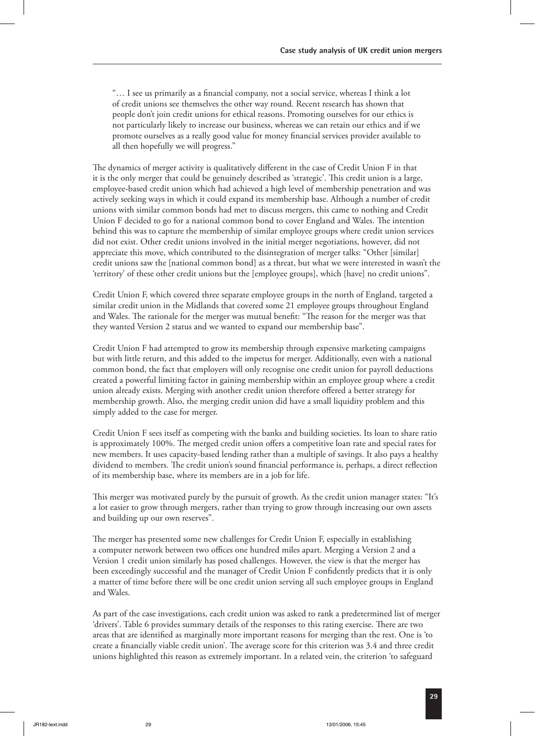"… I see us primarily as a financial company, not a social service, whereas I think a lot of credit unions see themselves the other way round. Recent research has shown that people don't join credit unions for ethical reasons. Promoting ourselves for our ethics is not particularly likely to increase our business, whereas we can retain our ethics and if we promote ourselves as a really good value for money financial services provider available to all then hopefully we will progress."

The dynamics of merger activity is qualitatively different in the case of Credit Union F in that it is the only merger that could be genuinely described as 'strategic'. This credit union is a large, employee-based credit union which had achieved a high level of membership penetration and was actively seeking ways in which it could expand its membership base. Although a number of credit unions with similar common bonds had met to discuss mergers, this came to nothing and Credit Union F decided to go for a national common bond to cover England and Wales. The intention behind this was to capture the membership of similar employee groups where credit union services did not exist. Other credit unions involved in the initial merger negotiations, however, did not appreciate this move, which contributed to the disintegration of merger talks: "Other [similar] credit unions saw the [national common bond] as a threat, but what we were interested in wasn't the 'territory' of these other credit unions but the [employee groups], which [have] no credit unions".

Credit Union F, which covered three separate employee groups in the north of England, targeted a similar credit union in the Midlands that covered some 21 employee groups throughout England and Wales. The rationale for the merger was mutual benefit: "The reason for the merger was that they wanted Version 2 status and we wanted to expand our membership base".

Credit Union F had attempted to grow its membership through expensive marketing campaigns but with little return, and this added to the impetus for merger. Additionally, even with a national common bond, the fact that employers will only recognise one credit union for payroll deductions created a powerful limiting factor in gaining membership within an employee group where a credit union already exists. Merging with another credit union therefore offered a better strategy for membership growth. Also, the merging credit union did have a small liquidity problem and this simply added to the case for merger.

Credit Union F sees itself as competing with the banks and building societies. Its loan to share ratio is approximately 100%. The merged credit union offers a competitive loan rate and special rates for new members. It uses capacity-based lending rather than a multiple of savings. It also pays a healthy dividend to members. The credit union's sound financial performance is, perhaps, a direct reflection of its membership base, where its members are in a job for life.

This merger was motivated purely by the pursuit of growth. As the credit union manager states: "It's a lot easier to grow through mergers, rather than trying to grow through increasing our own assets and building up our own reserves".

The merger has presented some new challenges for Credit Union F, especially in establishing a computer network between two offices one hundred miles apart. Merging a Version 2 and a Version 1 credit union similarly has posed challenges. However, the view is that the merger has been exceedingly successful and the manager of Credit Union F confidently predicts that it is only a matter of time before there will be one credit union serving all such employee groups in England and Wales.

As part of the case investigations, each credit union was asked to rank a predetermined list of merger 'drivers'. Table 6 provides summary details of the responses to this rating exercise. There are two areas that are identified as marginally more important reasons for merging than the rest. One is 'to create a financially viable credit union'. The average score for this criterion was 3.4 and three credit unions highlighted this reason as extremely important. In a related vein, the criterion 'to safeguard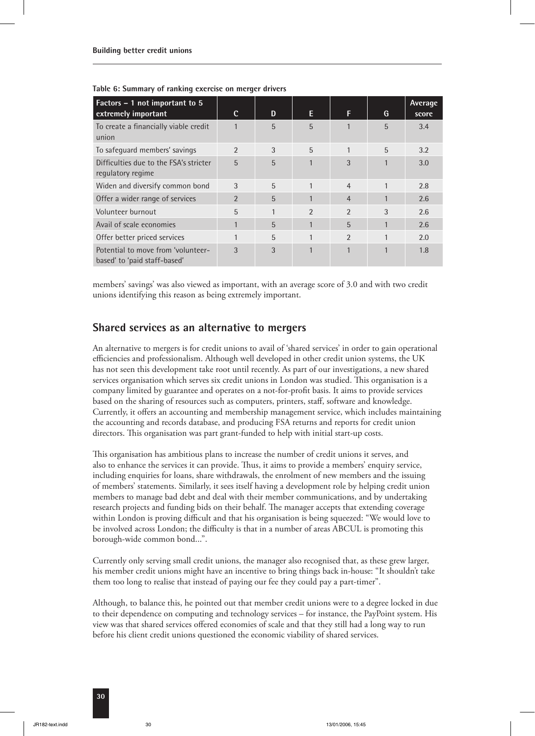| Factors - 1 not important to 5<br>extremely important              | C              | D | E.             | F              | G | Average<br>score |
|--------------------------------------------------------------------|----------------|---|----------------|----------------|---|------------------|
| To create a financially viable credit<br>union                     |                | 5 | 5              |                | 5 | 3.4              |
| To safequard members' savings                                      | $\mathfrak{D}$ | 3 | 5              |                | 5 | 3.2              |
| Difficulties due to the FSA's stricter<br>regulatory regime        | 5              | 5 |                | 3              |   | 3.0              |
| Widen and diversify common bond                                    | 3              | 5 |                | $\overline{4}$ |   | 2.8              |
| Offer a wider range of services                                    | $\mathfrak{p}$ | 5 |                | $\overline{4}$ |   | 2.6              |
| Volunteer burnout                                                  | 5              | 1 | $\mathfrak{D}$ | $\mathfrak{D}$ | 3 | 2.6              |
| Avail of scale economies                                           |                | 5 | 1              | 5              |   | 2.6              |
| Offer better priced services                                       |                | 5 | 1              | $\mathfrak{D}$ |   | 2.0              |
| Potential to move from 'volunteer-<br>based' to 'paid staff-based' | 3              | 3 | 1              |                |   | 1.8              |

**Table 6: Summary of ranking exercise on merger drivers**

members' savings' was also viewed as important, with an average score of 3.0 and with two credit unions identifying this reason as being extremely important.

#### **Shared services as an alternative to mergers**

An alternative to mergers is for credit unions to avail of 'shared services' in order to gain operational efficiencies and professionalism. Although well developed in other credit union systems, the UK has not seen this development take root until recently. As part of our investigations, a new shared services organisation which serves six credit unions in London was studied. This organisation is a company limited by guarantee and operates on a not-for-profit basis. It aims to provide services based on the sharing of resources such as computers, printers, staff, software and knowledge. Currently, it offers an accounting and membership management service, which includes maintaining the accounting and records database, and producing FSA returns and reports for credit union directors. This organisation was part grant-funded to help with initial start-up costs.

This organisation has ambitious plans to increase the number of credit unions it serves, and also to enhance the services it can provide. Thus, it aims to provide a members' enquiry service, including enquiries for loans, share withdrawals, the enrolment of new members and the issuing of members' statements. Similarly, it sees itself having a development role by helping credit union members to manage bad debt and deal with their member communications, and by undertaking research projects and funding bids on their behalf. The manager accepts that extending coverage within London is proving difficult and that his organisation is being squeezed: "We would love to be involved across London; the difficulty is that in a number of areas ABCUL is promoting this borough-wide common bond...".

Currently only serving small credit unions, the manager also recognised that, as these grew larger, his member credit unions might have an incentive to bring things back in-house: "It shouldn't take them too long to realise that instead of paying our fee they could pay a part-timer".

Although, to balance this, he pointed out that member credit unions were to a degree locked in due to their dependence on computing and technology services – for instance, the PayPoint system. His view was that shared services offered economies of scale and that they still had a long way to run before his client credit unions questioned the economic viability of shared services.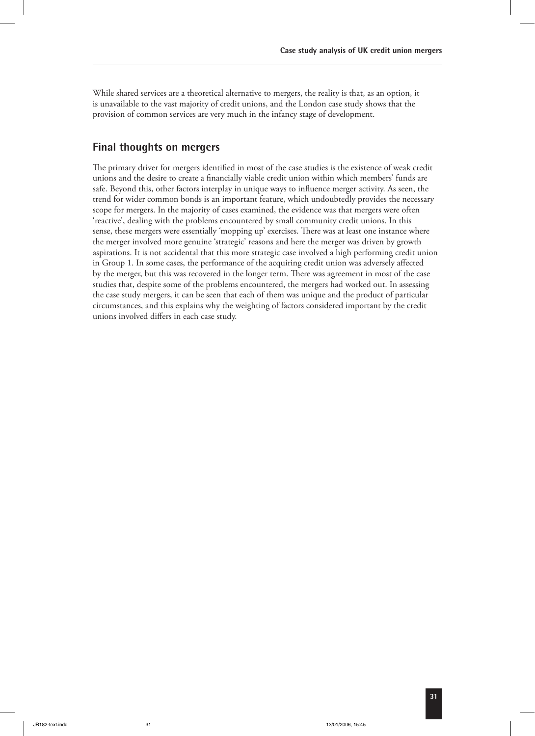While shared services are a theoretical alternative to mergers, the reality is that, as an option, it is unavailable to the vast majority of credit unions, and the London case study shows that the provision of common services are very much in the infancy stage of development.

#### **Final thoughts on mergers**

The primary driver for mergers identified in most of the case studies is the existence of weak credit unions and the desire to create a financially viable credit union within which members' funds are safe. Beyond this, other factors interplay in unique ways to influence merger activity. As seen, the trend for wider common bonds is an important feature, which undoubtedly provides the necessary scope for mergers. In the majority of cases examined, the evidence was that mergers were often 'reactive', dealing with the problems encountered by small community credit unions. In this sense, these mergers were essentially 'mopping up' exercises. There was at least one instance where the merger involved more genuine 'strategic' reasons and here the merger was driven by growth aspirations. It is not accidental that this more strategic case involved a high performing credit union in Group 1. In some cases, the performance of the acquiring credit union was adversely affected by the merger, but this was recovered in the longer term. There was agreement in most of the case studies that, despite some of the problems encountered, the mergers had worked out. In assessing the case study mergers, it can be seen that each of them was unique and the product of particular circumstances, and this explains why the weighting of factors considered important by the credit unions involved differs in each case study.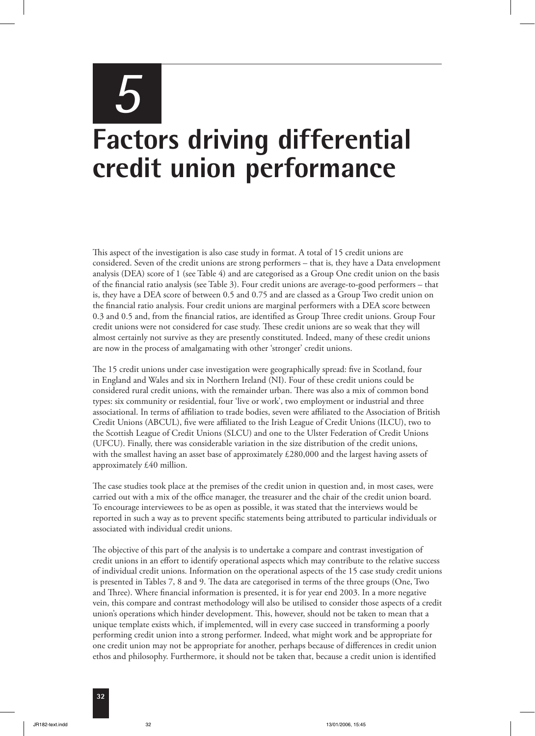# *5* **Factors driving differential credit union performance**

This aspect of the investigation is also case study in format. A total of 15 credit unions are considered. Seven of the credit unions are strong performers – that is, they have a Data envelopment analysis (DEA) score of 1 (see Table 4) and are categorised as a Group One credit union on the basis of the financial ratio analysis (see Table 3). Four credit unions are average-to-good performers – that is, they have a DEA score of between 0.5 and 0.75 and are classed as a Group Two credit union on the financial ratio analysis. Four credit unions are marginal performers with a DEA score between 0.3 and 0.5 and, from the financial ratios, are identified as Group Three credit unions. Group Four credit unions were not considered for case study. These credit unions are so weak that they will almost certainly not survive as they are presently constituted. Indeed, many of these credit unions are now in the process of amalgamating with other 'stronger' credit unions.

e 15 credit unions under case investigation were geographically spread: five in Scotland, four in England and Wales and six in Northern Ireland (NI). Four of these credit unions could be considered rural credit unions, with the remainder urban. There was also a mix of common bond types: six community or residential, four 'live or work', two employment or industrial and three associational. In terms of affiliation to trade bodies, seven were affiliated to the Association of British Credit Unions (ABCUL), five were affiliated to the Irish League of Credit Unions (ILCU), two to the Scottish League of Credit Unions (SLCU) and one to the Ulster Federation of Credit Unions (UFCU). Finally, there was considerable variation in the size distribution of the credit unions, with the smallest having an asset base of approximately £280,000 and the largest having assets of approximately £40 million.

The case studies took place at the premises of the credit union in question and, in most cases, were carried out with a mix of the office manager, the treasurer and the chair of the credit union board. To encourage interviewees to be as open as possible, it was stated that the interviews would be reported in such a way as to prevent specific statements being attributed to particular individuals or associated with individual credit unions.

The objective of this part of the analysis is to undertake a compare and contrast investigation of credit unions in an effort to identify operational aspects which may contribute to the relative success of individual credit unions. Information on the operational aspects of the 15 case study credit unions is presented in Tables 7, 8 and 9. The data are categorised in terms of the three groups (One, Two and Three). Where financial information is presented, it is for year end 2003. In a more negative vein, this compare and contrast methodology will also be utilised to consider those aspects of a credit union's operations which hinder development. This, however, should not be taken to mean that a unique template exists which, if implemented, will in every case succeed in transforming a poorly performing credit union into a strong performer. Indeed, what might work and be appropriate for one credit union may not be appropriate for another, perhaps because of differences in credit union ethos and philosophy. Furthermore, it should not be taken that, because a credit union is identified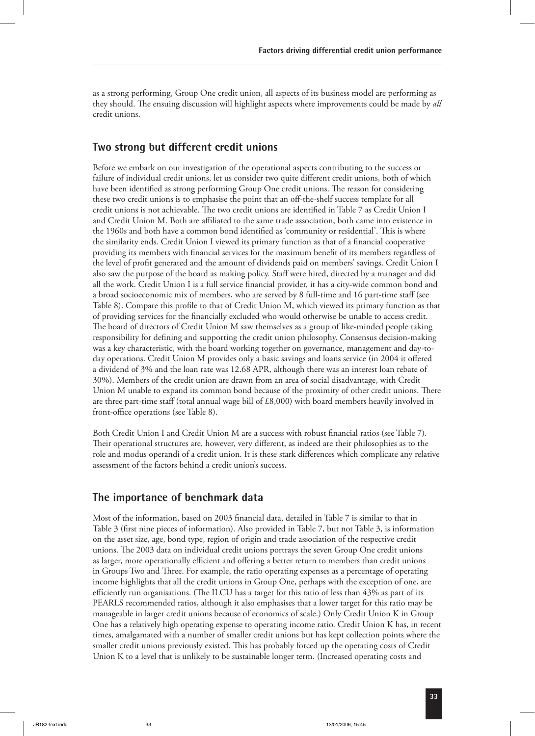as a strong performing, Group One credit union, all aspects of its business model are performing as they should. The ensuing discussion will highlight aspects where improvements could be made by *all* credit unions.

#### **Two strong but different credit unions**

Before we embark on our investigation of the operational aspects contributing to the success or failure of individual credit unions, let us consider two quite different credit unions, both of which have been identified as strong performing Group One credit unions. The reason for considering these two credit unions is to emphasise the point that an off-the-shelf success template for all credit unions is not achievable. The two credit unions are identified in Table 7 as Credit Union I and Credit Union M. Both are affiliated to the same trade association, both came into existence in the 1960s and both have a common bond identified as 'community or residential'. This is where the similarity ends. Credit Union I viewed its primary function as that of a financial cooperative providing its members with financial services for the maximum benefit of its members regardless of the level of profit generated and the amount of dividends paid on members' savings. Credit Union I also saw the purpose of the board as making policy. Staff were hired, directed by a manager and did all the work. Credit Union I is a full service financial provider, it has a city-wide common bond and a broad socioeconomic mix of members, who are served by 8 full-time and 16 part-time staff (see Table 8). Compare this profile to that of Credit Union M, which viewed its primary function as that of providing services for the financially excluded who would otherwise be unable to access credit. The board of directors of Credit Union M saw themselves as a group of like-minded people taking responsibility for defining and supporting the credit union philosophy. Consensus decision-making was a key characteristic, with the board working together on governance, management and day-today operations. Credit Union M provides only a basic savings and loans service (in 2004 it offered a dividend of 3% and the loan rate was 12.68 APR, although there was an interest loan rebate of 30%). Members of the credit union are drawn from an area of social disadvantage, with Credit Union M unable to expand its common bond because of the proximity of other credit unions. There are three part-time staff (total annual wage bill of  $£8,000$ ) with board members heavily involved in front-office operations (see Table 8).

Both Credit Union I and Credit Union M are a success with robust financial ratios (see Table 7). Their operational structures are, however, very different, as indeed are their philosophies as to the role and modus operandi of a credit union. It is these stark differences which complicate any relative assessment of the factors behind a credit union's success.

#### **The importance of benchmark data**

Most of the information, based on 2003 financial data, detailed in Table 7 is similar to that in Table 3 (first nine pieces of information). Also provided in Table 7, but not Table 3, is information on the asset size, age, bond type, region of origin and trade association of the respective credit unions. The 2003 data on individual credit unions portrays the seven Group One credit unions as larger, more operationally efficient and offering a better return to members than credit unions in Groups Two and Three. For example, the ratio operating expenses as a percentage of operating income highlights that all the credit unions in Group One, perhaps with the exception of one, are efficiently run organisations. (The ILCU has a target for this ratio of less than  $43\%$  as part of its PEARLS recommended ratios, although it also emphasises that a lower target for this ratio may be manageable in larger credit unions because of economics of scale.) Only Credit Union K in Group One has a relatively high operating expense to operating income ratio. Credit Union K has, in recent times, amalgamated with a number of smaller credit unions but has kept collection points where the smaller credit unions previously existed. This has probably forced up the operating costs of Credit Union K to a level that is unlikely to be sustainable longer term. (Increased operating costs and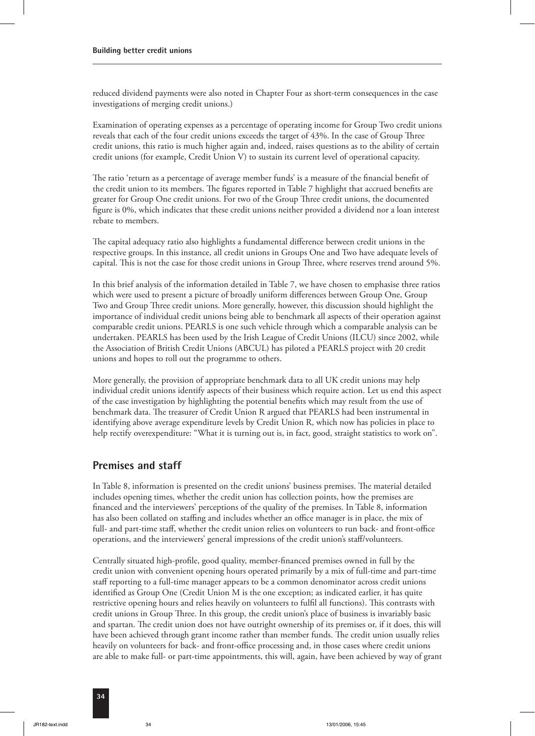reduced dividend payments were also noted in Chapter Four as short-term consequences in the case investigations of merging credit unions.)

Examination of operating expenses as a percentage of operating income for Group Two credit unions reveals that each of the four credit unions exceeds the target of 43%. In the case of Group Three credit unions, this ratio is much higher again and, indeed, raises questions as to the ability of certain credit unions (for example, Credit Union V) to sustain its current level of operational capacity.

The ratio 'return as a percentage of average member funds' is a measure of the financial benefit of the credit union to its members. The figures reported in Table 7 highlight that accrued benefits are greater for Group One credit unions. For two of the Group Three credit unions, the documented figure is 0%, which indicates that these credit unions neither provided a dividend nor a loan interest rebate to members.

The capital adequacy ratio also highlights a fundamental difference between credit unions in the respective groups. In this instance, all credit unions in Groups One and Two have adequate levels of capital. This is not the case for those credit unions in Group Three, where reserves trend around 5%.

In this brief analysis of the information detailed in Table 7, we have chosen to emphasise three ratios which were used to present a picture of broadly uniform differences between Group One, Group Two and Group Three credit unions. More generally, however, this discussion should highlight the importance of individual credit unions being able to benchmark all aspects of their operation against comparable credit unions. PEARLS is one such vehicle through which a comparable analysis can be undertaken. PEARLS has been used by the Irish League of Credit Unions (ILCU) since 2002, while the Association of British Credit Unions (ABCUL) has piloted a PEARLS project with 20 credit unions and hopes to roll out the programme to others.

More generally, the provision of appropriate benchmark data to all UK credit unions may help individual credit unions identify aspects of their business which require action. Let us end this aspect of the case investigation by highlighting the potential benefits which may result from the use of benchmark data. The treasurer of Credit Union R argued that PEARLS had been instrumental in identifying above average expenditure levels by Credit Union R, which now has policies in place to help rectify overexpenditure: "What it is turning out is, in fact, good, straight statistics to work on".

#### **Premises and staff**

In Table 8, information is presented on the credit unions' business premises. The material detailed includes opening times, whether the credit union has collection points, how the premises are financed and the interviewers' perceptions of the quality of the premises. In Table 8, information has also been collated on staffing and includes whether an office manager is in place, the mix of full- and part-time staff, whether the credit union relies on volunteers to run back- and front-office operations, and the interviewers' general impressions of the credit union's staff/volunteers.

Centrally situated high-profile, good quality, member-financed premises owned in full by the credit union with convenient opening hours operated primarily by a mix of full-time and part-time staff reporting to a full-time manager appears to be a common denominator across credit unions identified as Group One (Credit Union M is the one exception; as indicated earlier, it has quite restrictive opening hours and relies heavily on volunteers to fulfil all functions). This contrasts with credit unions in Group Three. In this group, the credit union's place of business is invariably basic and spartan. The credit union does not have outright ownership of its premises or, if it does, this will have been achieved through grant income rather than member funds. The credit union usually relies heavily on volunteers for back- and front-office processing and, in those cases where credit unions are able to make full- or part-time appointments, this will, again, have been achieved by way of grant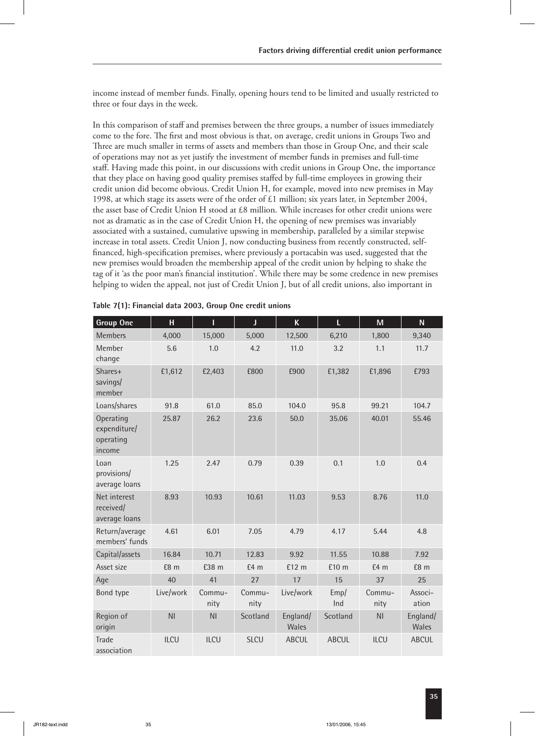income instead of member funds. Finally, opening hours tend to be limited and usually restricted to three or four days in the week.

In this comparison of staff and premises between the three groups, a number of issues immediately come to the fore. The first and most obvious is that, on average, credit unions in Groups Two and Three are much smaller in terms of assets and members than those in Group One, and their scale of operations may not as yet justify the investment of member funds in premises and full-time staff. Having made this point, in our discussions with credit unions in Group One, the importance that they place on having good quality premises staffed by full-time employees in growing their credit union did become obvious. Credit Union H, for example, moved into new premises in May 1998, at which stage its assets were of the order of  $\pounds1$  million; six years later, in September 2004, the asset base of Credit Union H stood at £8 million. While increases for other credit unions were not as dramatic as in the case of Credit Union H, the opening of new premises was invariably associated with a sustained, cumulative upswing in membership, paralleled by a similar stepwise increase in total assets. Credit Union J, now conducting business from recently constructed, selffinanced, high-specification premises, where previously a portacabin was used, suggested that the new premises would broaden the membership appeal of the credit union by helping to shake the tag of it 'as the poor man's financial institution'. While there may be some credence in new premises helping to widen the appeal, not just of Credit Union J, but of all credit unions, also important in

| <b>Group One</b>                                 | H              | L              | J              | $\mathsf K$       | L            | M              | ${\sf N}$         |
|--------------------------------------------------|----------------|----------------|----------------|-------------------|--------------|----------------|-------------------|
| <b>Members</b>                                   | 4,000          | 15,000         | 5,000          | 12,500            | 6,210        | 1,800          | 9,340             |
| Member<br>change                                 | 5.6            | 1.0            | 4.2            | 11.0              | 3.2          | 1.1            | 11.7              |
| Shares+<br>savings/<br>member                    | £1,612         | £2,403         | £800           | £900              | £1,382       | £1,896         | £793              |
| Loans/shares                                     | 91.8           | 61.0           | 85.0           | 104.0             | 95.8         | 99.21          | 104.7             |
| Operating<br>expenditure/<br>operating<br>income | 25.87          | 26.2           | 23.6           | 50.0              | 35.06        | 40.01          | 55.46             |
| Loan<br>provisions/<br>average loans             | 1.25           | 2.47           | 0.79           | 0.39              | 0.1          | 1.0            | 0.4               |
| Net interest<br>received/<br>average loans       | 8.93           | 10.93          | 10.61          | 11.03             | 9.53         | 8.76           | 11.0              |
| Return/average<br>members' funds                 | 4.61           | 6.01           | 7.05           | 4.79              | 4.17         | 5.44           | 4.8               |
| Capital/assets                                   | 16.84          | 10.71          | 12.83          | 9.92              | 11.55        | 10.88          | 7.92              |
| Asset size                                       | £8 m           | £38 m          | E4m            | £12 m             | £10 m        | E4m            | £8 m              |
| Age                                              | 40             | 41             | 27             | 17                | 15           | 37             | 25                |
| Bond type                                        | Live/work      | Commu-<br>nity | Commu-<br>nity | Live/work         | Emp/<br>Ind  | Commu-<br>nity | Associ-<br>ation  |
| Region of<br>origin                              | N <sub>l</sub> | N <sub>l</sub> | Scotland       | England/<br>Wales | Scotland     | N <sub>l</sub> | England/<br>Wales |
| <b>Trade</b><br>association                      | ILCU           | ILCU           | <b>SLCU</b>    | <b>ABCUL</b>      | <b>ABCUL</b> | ILCU           | <b>ABCUL</b>      |

| Table 7(1): Financial data 2003, Group One credit unions |
|----------------------------------------------------------|
|----------------------------------------------------------|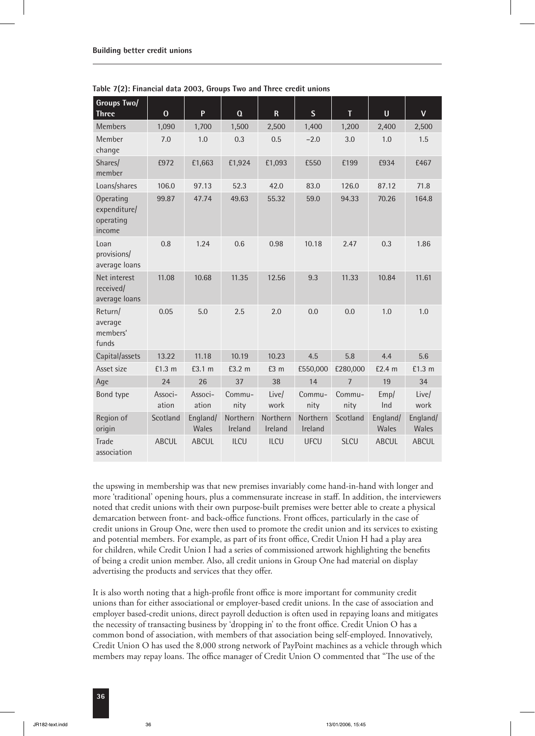| <b>Groups Two/</b><br><b>Three</b>               | $\bf{0}$         | P                 | $\Omega$            | $\mathsf{R}$        | $\mathsf{S}$        | T              | $\mathbf U$       | $\mathbf{V}$      |
|--------------------------------------------------|------------------|-------------------|---------------------|---------------------|---------------------|----------------|-------------------|-------------------|
| Members                                          | 1,090            | 1,700             | 1,500               | 2,500               | 1,400               | 1,200          | 2,400             | 2,500             |
| Member<br>change                                 | 7.0              | 1.0               | 0.3                 | 0.5                 | $-2.0$              | 3.0            | 1.0               | 1.5               |
| Shares/<br>member                                | £972             | £1,663            | £1,924              | £1,093              | £550                | £199           | £934              | £467              |
| Loans/shares                                     | 106.0            | 97.13             | 52.3                | 42.0                | 83.0                | 126.0          | 87.12             | 71.8              |
| Operating<br>expenditure/<br>operating<br>income | 99.87            | 47.74             | 49.63               | 55.32               | 59.0                | 94.33          | 70.26             | 164.8             |
| Loan<br>provisions/<br>average loans             | 0.8              | 1.24              | 0.6                 | 0.98                | 10.18               | 2.47           | 0.3               | 1.86              |
| Net interest<br>received/<br>average loans       | 11.08            | 10.68             | 11.35               | 12.56               | 9.3                 | 11.33          | 10.84             | 11.61             |
| Return/<br>average<br>members'<br>funds          | 0.05             | 5.0               | 2.5                 | 2.0                 | 0.0                 | 0.0            | 1.0               | 1.0               |
| Capital/assets                                   | 13.22            | 11.18             | 10.19               | 10.23               | 4.5                 | 5.8            | 4.4               | 5.6               |
| Asset size                                       | £1.3 m           | £3.1 m            | £3.2 m              | £3 m                | £550,000            | £280,000       | £2.4 m            | £1.3 m            |
| Age                                              | 24               | 26                | 37                  | 38                  | 14                  | $\overline{7}$ | 19                | 34                |
| Bond type                                        | Associ-<br>ation | Associ-<br>ation  | Commu-<br>nity      | Live/<br>work       | Commu-<br>nity      | Commu-<br>nity | Emp/<br>Ind       | Live/<br>work     |
| Region of<br>origin                              | Scotland         | England/<br>Wales | Northern<br>Ireland | Northern<br>Ireland | Northern<br>Ireland | Scotland       | England/<br>Wales | England/<br>Wales |
| <b>Trade</b><br>association                      | <b>ABCUL</b>     | <b>ABCUL</b>      | <b>ILCU</b>         | <b>ILCU</b>         | <b>UFCU</b>         | <b>SLCU</b>    | <b>ABCUL</b>      | <b>ABCUL</b>      |

**Table 7(2): Financial data 2003, Groups Two and Three credit unions**

the upswing in membership was that new premises invariably come hand-in-hand with longer and more 'traditional' opening hours, plus a commensurate increase in staff. In addition, the interviewers noted that credit unions with their own purpose-built premises were better able to create a physical demarcation between front- and back-office functions. Front offices, particularly in the case of credit unions in Group One, were then used to promote the credit union and its services to existing and potential members. For example, as part of its front office, Credit Union H had a play area for children, while Credit Union I had a series of commissioned artwork highlighting the benefits of being a credit union member. Also, all credit unions in Group One had material on display advertising the products and services that they offer.

It is also worth noting that a high-profile front office is more important for community credit unions than for either associational or employer-based credit unions. In the case of association and employer based-credit unions, direct payroll deduction is often used in repaying loans and mitigates the necessity of transacting business by 'dropping in' to the front office. Credit Union O has a common bond of association, with members of that association being self-employed. Innovatively, Credit Union O has used the 8,000 strong network of PayPoint machines as a vehicle through which members may repay loans. The office manager of Credit Union O commented that "The use of the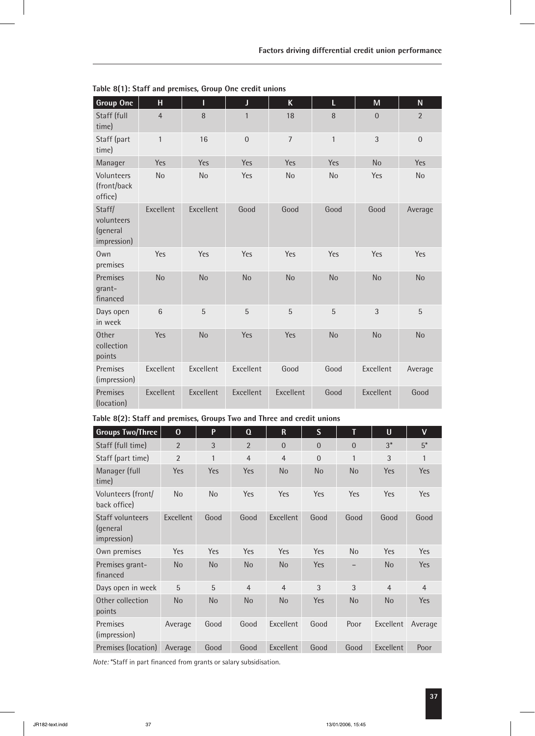| <b>Group One</b>                                | H               | Т         | J              | $\mathsf K$    | L              | M            | N              |
|-------------------------------------------------|-----------------|-----------|----------------|----------------|----------------|--------------|----------------|
| Staff (full<br>time)                            | $\overline{4}$  | 8         | $\mathbf{1}$   | 18             | 8              | $\mathbf{0}$ | $\overline{2}$ |
| Staff (part<br>time)                            | $\mathbf{1}$    | 16        | $\overline{0}$ | $\overline{7}$ | $\mathbf{1}$   | 3            | $\overline{0}$ |
| Manager                                         | <b>Yes</b>      | Yes       | Yes            | Yes            | Yes            | <b>No</b>    | Yes            |
| Volunteers<br>(front/back<br>office)            | <b>No</b>       | <b>No</b> | Yes            | <b>No</b>      | N <sub>o</sub> | Yes          | N <sub>o</sub> |
| Staff/<br>volunteers<br>(general<br>impression) | Excellent       | Excellent | Good           | Good           | Good           | Good         | Average        |
| Own<br>premises                                 | Yes             | Yes       | Yes            | Yes            | Yes            | <b>Yes</b>   | Yes            |
| Premises<br>grant-<br>financed                  | <b>No</b>       | <b>No</b> | <b>No</b>      | <b>No</b>      | <b>No</b>      | <b>No</b>    | <b>No</b>      |
| Days open<br>in week                            | $6\phantom{1}6$ | 5         | 5              | 5              | 5              | $\sqrt{3}$   | 5              |
| Other<br>collection<br>points                   | Yes             | <b>No</b> | Yes            | Yes            | <b>No</b>      | <b>No</b>    | <b>No</b>      |
| Premises<br>(impression)                        | Excellent       | Excellent | Excellent      | Good           | Good           | Excellent    | Average        |
| Premises<br>(location)                          | Excellent       | Excellent | Excellent      | Excellent      | Good           | Excellent    | Good           |

**Table 8(1): Staff and premises, Group One credit unions**

| Table 8(2): Staff and premises, Groups Two and Three and credit unions |  |  |  |
|------------------------------------------------------------------------|--|--|--|
|------------------------------------------------------------------------|--|--|--|

| <b>Groups Two/Three</b>                            | $\mathbf 0$    | P            | $\Omega$       | $\mathbf R$    | S              | T         | $\mathsf{U}$   | V              |
|----------------------------------------------------|----------------|--------------|----------------|----------------|----------------|-----------|----------------|----------------|
| Staff (full time)                                  | $\overline{2}$ | 3            | $\overline{2}$ | $\Omega$       | $\overline{0}$ | $\Omega$  | $3*$           | $5^*$          |
| Staff (part time)                                  | $\overline{2}$ | $\mathbf{1}$ | $\overline{4}$ | $\overline{4}$ | $\overline{0}$ | 1         | 3              | 1              |
| Manager (full<br>time)                             | <b>Yes</b>     | Yes          | <b>Yes</b>     | <b>No</b>      | <b>No</b>      | <b>No</b> | <b>Yes</b>     | <b>Yes</b>     |
| Volunteers (front/<br>back office)                 | No             | <b>No</b>    | <b>Yes</b>     | <b>Yes</b>     | Yes            | Yes       | <b>Yes</b>     | <b>Yes</b>     |
| <b>Staff volunteers</b><br>(general<br>impression) | Excellent      | Good         | Good           | Excellent      | Good           | Good      | Good           | Good           |
| Own premises                                       | <b>Yes</b>     | Yes          | <b>Yes</b>     | Yes            | Yes            | <b>No</b> | <b>Yes</b>     | Yes            |
| Premises grant-<br>financed                        | N <sub>o</sub> | <b>No</b>    | <b>No</b>      | <b>No</b>      | Yes            |           | <b>No</b>      | <b>Yes</b>     |
| Days open in week                                  | 5              | 5            | $\overline{4}$ | $\overline{4}$ | 3              | 3         | $\overline{4}$ | $\overline{4}$ |
| Other collection<br>points                         | <b>No</b>      | <b>No</b>    | <b>No</b>      | <b>No</b>      | Yes            | <b>No</b> | <b>No</b>      | Yes            |
| Premises<br>(impression)                           | Average        | Good         | Good           | Excellent      | Good           | Poor      | Excellent      | Average        |
| Premises (location)                                | Average        | Good         | Good           | Excellent      | Good           | Good      | Excellent      | Poor           |

*Note:* \*Staff in part financed from grants or salary subsidisation.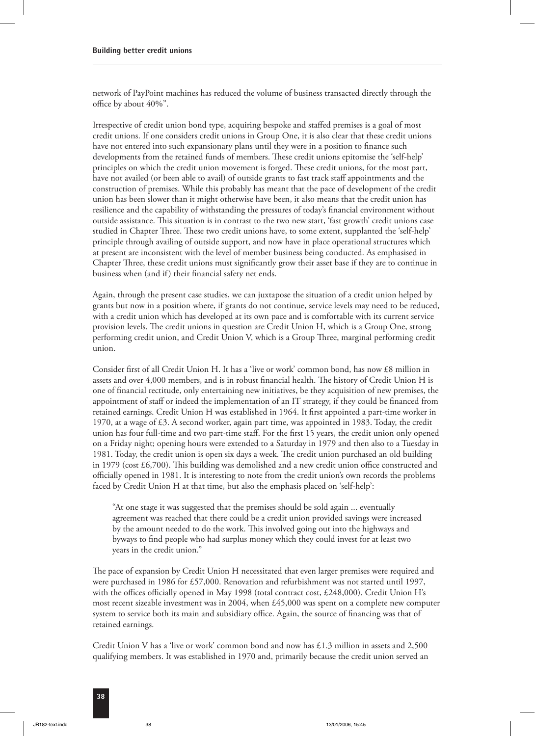network of PayPoint machines has reduced the volume of business transacted directly through the office by about 40%".

Irrespective of credit union bond type, acquiring bespoke and staffed premises is a goal of most credit unions. If one considers credit unions in Group One, it is also clear that these credit unions have not entered into such expansionary plans until they were in a position to finance such developments from the retained funds of members. These credit unions epitomise the 'self-help' principles on which the credit union movement is forged. These credit unions, for the most part, have not availed (or been able to avail) of outside grants to fast track staff appointments and the construction of premises. While this probably has meant that the pace of development of the credit union has been slower than it might otherwise have been, it also means that the credit union has resilience and the capability of withstanding the pressures of today's financial environment without outside assistance. This situation is in contrast to the two new start, 'fast growth' credit unions case studied in Chapter Three. These two credit unions have, to some extent, supplanted the 'self-help' principle through availing of outside support, and now have in place operational structures which at present are inconsistent with the level of member business being conducted. As emphasised in Chapter Three, these credit unions must significantly grow their asset base if they are to continue in business when (and if) their financial safety net ends.

Again, through the present case studies, we can juxtapose the situation of a credit union helped by grants but now in a position where, if grants do not continue, service levels may need to be reduced, with a credit union which has developed at its own pace and is comfortable with its current service provision levels. The credit unions in question are Credit Union H, which is a Group One, strong performing credit union, and Credit Union V, which is a Group Three, marginal performing credit union.

Consider first of all Credit Union H. It has a 'live or work' common bond, has now £8 million in assets and over 4,000 members, and is in robust financial health. The history of Credit Union H is one of financial rectitude, only entertaining new initiatives, be they acquisition of new premises, the appointment of staff or indeed the implementation of an IT strategy, if they could be financed from retained earnings. Credit Union H was established in 1964. It first appointed a part-time worker in 1970, at a wage of £3. A second worker, again part time, was appointed in 1983. Today, the credit union has four full-time and two part-time staff. For the first 15 years, the credit union only opened on a Friday night; opening hours were extended to a Saturday in 1979 and then also to a Tuesday in 1981. Today, the credit union is open six days a week. The credit union purchased an old building in 1979 (cost  $£6,700$ ). This building was demolished and a new credit union office constructed and officially opened in 1981. It is interesting to note from the credit union's own records the problems faced by Credit Union H at that time, but also the emphasis placed on 'self-help':

"At one stage it was suggested that the premises should be sold again ... eventually agreement was reached that there could be a credit union provided savings were increased by the amount needed to do the work. This involved going out into the highways and byways to find people who had surplus money which they could invest for at least two years in the credit union."

The pace of expansion by Credit Union H necessitated that even larger premises were required and were purchased in 1986 for £57,000. Renovation and refurbishment was not started until 1997, with the offices officially opened in May 1998 (total contract cost, £248,000). Credit Union H's most recent sizeable investment was in 2004, when £45,000 was spent on a complete new computer system to service both its main and subsidiary office. Again, the source of financing was that of retained earnings.

Credit Union V has a 'live or work' common bond and now has  $\pounds$ 1.3 million in assets and 2,500 qualifying members. It was established in 1970 and, primarily because the credit union served an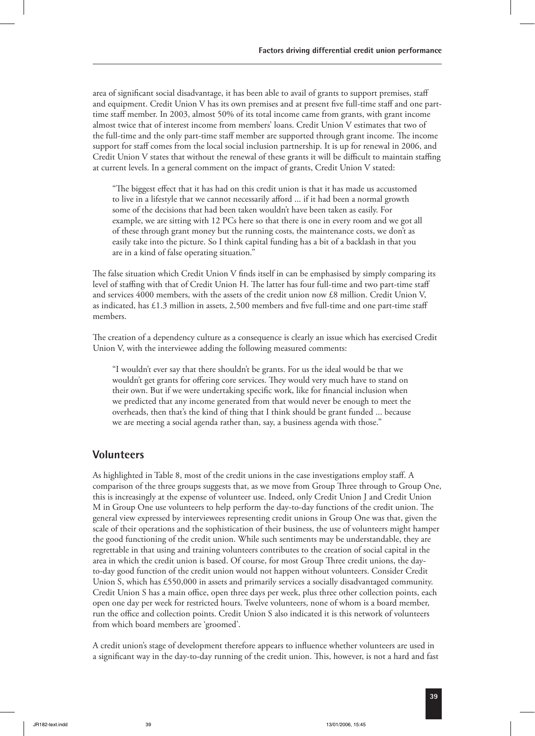area of significant social disadvantage, it has been able to avail of grants to support premises, staff and equipment. Credit Union V has its own premises and at present five full-time staff and one parttime staff member. In 2003, almost 50% of its total income came from grants, with grant income almost twice that of interest income from members' loans. Credit Union V estimates that two of the full-time and the only part-time staff member are supported through grant income. The income support for staff comes from the local social inclusion partnership. It is up for renewal in 2006, and Credit Union V states that without the renewal of these grants it will be difficult to maintain staffing at current levels. In a general comment on the impact of grants, Credit Union V stated:

"The biggest effect that it has had on this credit union is that it has made us accustomed to live in a lifestyle that we cannot necessarily afford ... if it had been a normal growth some of the decisions that had been taken wouldn't have been taken as easily. For example, we are sitting with 12 PCs here so that there is one in every room and we got all of these through grant money but the running costs, the maintenance costs, we don't as easily take into the picture. So I think capital funding has a bit of a backlash in that you are in a kind of false operating situation."

The false situation which Credit Union V finds itself in can be emphasised by simply comparing its level of staffing with that of Credit Union H. The latter has four full-time and two part-time staff and services 4000 members, with the assets of the credit union now £8 million. Credit Union V, as indicated, has £1.3 million in assets, 2,500 members and five full-time and one part-time staff members.

The creation of a dependency culture as a consequence is clearly an issue which has exercised Credit Union V, with the interviewee adding the following measured comments:

"I wouldn't ever say that there shouldn't be grants. For us the ideal would be that we wouldn't get grants for offering core services. They would very much have to stand on their own. But if we were undertaking specific work, like for financial inclusion when we predicted that any income generated from that would never be enough to meet the overheads, then that's the kind of thing that I think should be grant funded ... because we are meeting a social agenda rather than, say, a business agenda with those."

#### **Volunteers**

As highlighted in Table 8, most of the credit unions in the case investigations employ staff. A comparison of the three groups suggests that, as we move from Group Three through to Group One, this is increasingly at the expense of volunteer use. Indeed, only Credit Union J and Credit Union M in Group One use volunteers to help perform the day-to-day functions of the credit union. The general view expressed by interviewees representing credit unions in Group One was that, given the scale of their operations and the sophistication of their business, the use of volunteers might hamper the good functioning of the credit union. While such sentiments may be understandable, they are regrettable in that using and training volunteers contributes to the creation of social capital in the area in which the credit union is based. Of course, for most Group Three credit unions, the dayto-day good function of the credit union would not happen without volunteers. Consider Credit Union S, which has £550,000 in assets and primarily services a socially disadvantaged community. Credit Union S has a main office, open three days per week, plus three other collection points, each open one day per week for restricted hours. Twelve volunteers, none of whom is a board member, run the office and collection points. Credit Union S also indicated it is this network of volunteers from which board members are 'groomed'.

A credit union's stage of development therefore appears to influence whether volunteers are used in a significant way in the day-to-day running of the credit union. This, however, is not a hard and fast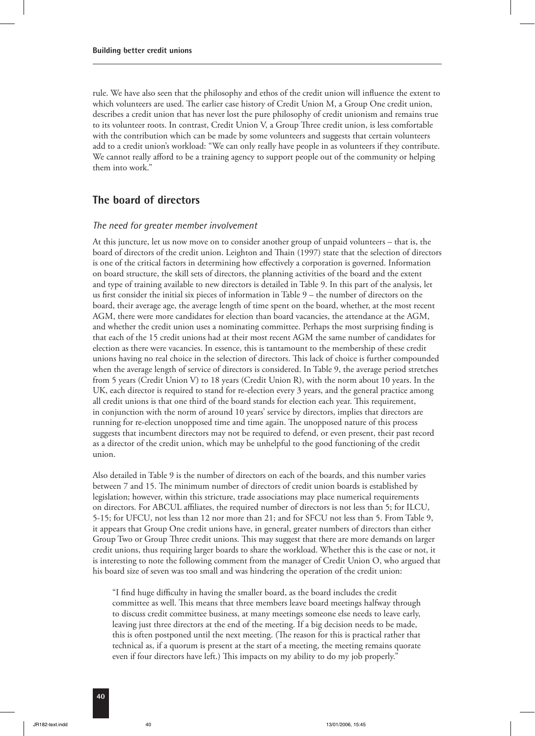rule. We have also seen that the philosophy and ethos of the credit union will influence the extent to which volunteers are used. The earlier case history of Credit Union M, a Group One credit union, describes a credit union that has never lost the pure philosophy of credit unionism and remains true to its volunteer roots. In contrast, Credit Union V, a Group Three credit union, is less comfortable with the contribution which can be made by some volunteers and suggests that certain volunteers add to a credit union's workload: "We can only really have people in as volunteers if they contribute. We cannot really afford to be a training agency to support people out of the community or helping them into work."

#### **The board of directors**

#### *The need for greater member involvement*

At this juncture, let us now move on to consider another group of unpaid volunteers – that is, the board of directors of the credit union. Leighton and Thain (1997) state that the selection of directors is one of the critical factors in determining how effectively a corporation is governed. Information on board structure, the skill sets of directors, the planning activities of the board and the extent and type of training available to new directors is detailed in Table 9. In this part of the analysis, let us first consider the initial six pieces of information in Table 9 – the number of directors on the board, their average age, the average length of time spent on the board, whether, at the most recent AGM, there were more candidates for election than board vacancies, the attendance at the AGM, and whether the credit union uses a nominating committee. Perhaps the most surprising finding is that each of the 15 credit unions had at their most recent AGM the same number of candidates for election as there were vacancies. In essence, this is tantamount to the membership of these credit unions having no real choice in the selection of directors. This lack of choice is further compounded when the average length of service of directors is considered. In Table 9, the average period stretches from 5 years (Credit Union V) to 18 years (Credit Union R), with the norm about 10 years. In the UK, each director is required to stand for re-election every 3 years, and the general practice among all credit unions is that one third of the board stands for election each year. This requirement, in conjunction with the norm of around 10 years' service by directors, implies that directors are running for re-election unopposed time and time again. The unopposed nature of this process suggests that incumbent directors may not be required to defend, or even present, their past record as a director of the credit union, which may be unhelpful to the good functioning of the credit union.

Also detailed in Table 9 is the number of directors on each of the boards, and this number varies between 7 and 15. The minimum number of directors of credit union boards is established by legislation; however, within this stricture, trade associations may place numerical requirements on directors. For ABCUL affiliates, the required number of directors is not less than 5; for ILCU, 5-15; for UFCU, not less than 12 nor more than 21; and for SFCU not less than 5. From Table 9, it appears that Group One credit unions have, in general, greater numbers of directors than either Group Two or Group Three credit unions. This may suggest that there are more demands on larger credit unions, thus requiring larger boards to share the workload. Whether this is the case or not, it is interesting to note the following comment from the manager of Credit Union O, who argued that his board size of seven was too small and was hindering the operation of the credit union:

"I find huge difficulty in having the smaller board, as the board includes the credit committee as well. This means that three members leave board meetings halfway through to discuss credit committee business, at many meetings someone else needs to leave early, leaving just three directors at the end of the meeting. If a big decision needs to be made, this is often postponed until the next meeting. (The reason for this is practical rather that technical as, if a quorum is present at the start of a meeting, the meeting remains quorate even if four directors have left.) This impacts on my ability to do my job properly."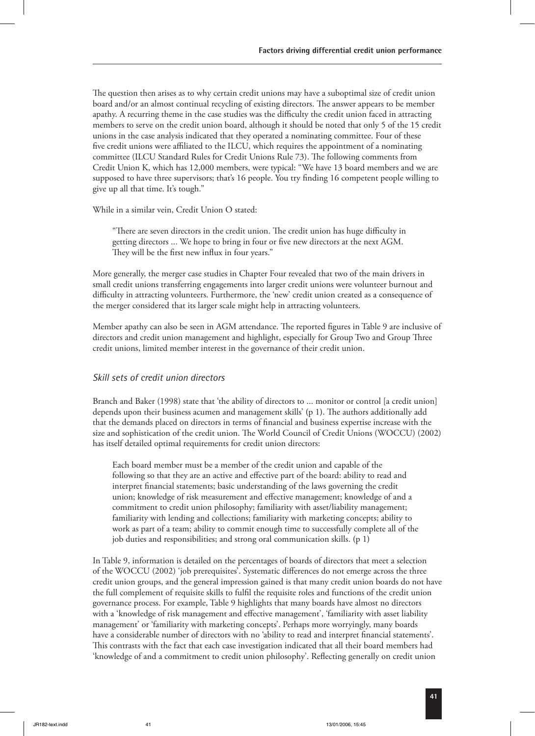The question then arises as to why certain credit unions may have a suboptimal size of credit union board and/or an almost continual recycling of existing directors. The answer appears to be member apathy. A recurring theme in the case studies was the difficulty the credit union faced in attracting members to serve on the credit union board, although it should be noted that only 5 of the 15 credit unions in the case analysis indicated that they operated a nominating committee. Four of these five credit unions were affiliated to the ILCU, which requires the appointment of a nominating committee (ILCU Standard Rules for Credit Unions Rule 73). The following comments from Credit Union K, which has 12,000 members, were typical: "We have 13 board members and we are supposed to have three supervisors; that's 16 people. You try finding 16 competent people willing to give up all that time. It's tough."

While in a similar vein, Credit Union O stated:

"There are seven directors in the credit union. The credit union has huge difficulty in getting directors ... We hope to bring in four or five new directors at the next AGM. They will be the first new influx in four years."

More generally, the merger case studies in Chapter Four revealed that two of the main drivers in small credit unions transferring engagements into larger credit unions were volunteer burnout and difficulty in attracting volunteers. Furthermore, the 'new' credit union created as a consequence of the merger considered that its larger scale might help in attracting volunteers.

Member apathy can also be seen in AGM attendance. The reported figures in Table 9 are inclusive of directors and credit union management and highlight, especially for Group Two and Group Three credit unions, limited member interest in the governance of their credit union.

#### *Skill sets of credit union directors*

Branch and Baker (1998) state that 'the ability of directors to ... monitor or control [a credit union] depends upon their business acumen and management skills' (p 1). The authors additionally add that the demands placed on directors in terms of financial and business expertise increase with the size and sophistication of the credit union. The World Council of Credit Unions (WOCCU) (2002) has itself detailed optimal requirements for credit union directors:

Each board member must be a member of the credit union and capable of the following so that they are an active and effective part of the board: ability to read and interpret financial statements; basic understanding of the laws governing the credit union; knowledge of risk measurement and effective management; knowledge of and a commitment to credit union philosophy; familiarity with asset/liability management; familiarity with lending and collections; familiarity with marketing concepts; ability to work as part of a team; ability to commit enough time to successfully complete all of the job duties and responsibilities; and strong oral communication skills. **(**p 1**)**

In Table 9, information is detailed on the percentages of boards of directors that meet a selection of the WOCCU (2002) 'job prerequisites'. Systematic differences do not emerge across the three credit union groups, and the general impression gained is that many credit union boards do not have the full complement of requisite skills to fulfil the requisite roles and functions of the credit union governance process. For example, Table 9 highlights that many boards have almost no directors with a 'knowledge of risk management and effective management', 'familiarity with asset liability management' or 'familiarity with marketing concepts'. Perhaps more worryingly, many boards have a considerable number of directors with no 'ability to read and interpret financial statements'. This contrasts with the fact that each case investigation indicated that all their board members had 'knowledge of and a commitment to credit union philosophy'. Reflecting generally on credit union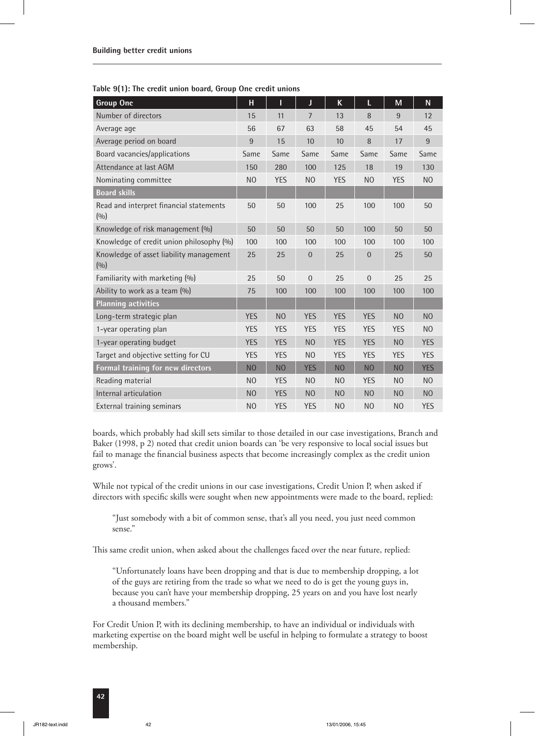**Table 9(1): The credit union board, Group One credit unions**

| <b>Group One</b>                                 | н              | I              | J              | K              | L              | M              | N              |
|--------------------------------------------------|----------------|----------------|----------------|----------------|----------------|----------------|----------------|
| Number of directors                              | 15             | 11             | 7              | 13             | 8              | 9              | 12             |
| Average age                                      | 56             | 67             | 63             | 58             | 45             | 54             | 45             |
| Average period on board                          | 9              | 15             | 10             | 10             | 8              | 17             | 9              |
| Board vacancies/applications                     | Same           | Same           | Same           | Same           | Same           | Same           | Same           |
| Attendance at last AGM                           | 150            | 280            | 100            | 125            | 18             | 19             | 130            |
| Nominating committee                             | N <sub>O</sub> | <b>YES</b>     | N <sub>O</sub> | <b>YES</b>     | N <sub>O</sub> | <b>YES</b>     | N <sub>O</sub> |
| <b>Board skills</b>                              |                |                |                |                |                |                |                |
| Read and interpret financial statements<br>(0/0) | 50             | 50             | 100            | 25             | 100            | 100            | 50             |
| Knowledge of risk management (%)                 | 50             | 50             | 50             | 50             | 100            | 50             | 50             |
| Knowledge of credit union philosophy (%)         | 100            | 100            | 100            | 100            | 100            | 100            | 100            |
| Knowledge of asset liability management<br>(0/0) | 25             | 25             | $\overline{0}$ | 25             | $\overline{0}$ | 25             | 50             |
| Familiarity with marketing (%)                   | 25             | 50             | $\Omega$       | 25             | $\Omega$       | 25             | 25             |
| Ability to work as a team (%)                    | 75             | 100            | 100            | 100            | 100            | 100            | 100            |
| <b>Planning activities</b>                       |                |                |                |                |                |                |                |
| Long-term strategic plan                         | <b>YES</b>     | N <sub>O</sub> | <b>YES</b>     | <b>YES</b>     | <b>YES</b>     | N <sub>O</sub> | N <sub>O</sub> |
| 1-year operating plan                            | <b>YES</b>     | <b>YES</b>     | <b>YES</b>     | <b>YES</b>     | <b>YES</b>     | <b>YES</b>     | N <sub>O</sub> |
| 1-year operating budget                          | <b>YES</b>     | <b>YES</b>     | N <sub>O</sub> | <b>YES</b>     | <b>YES</b>     | N <sub>O</sub> | <b>YES</b>     |
| Target and objective setting for CU              | <b>YES</b>     | <b>YES</b>     | N <sub>O</sub> | <b>YES</b>     | <b>YES</b>     | <b>YES</b>     | <b>YES</b>     |
| <b>Formal training for new directors</b>         | N <sub>O</sub> | N <sub>O</sub> | <b>YES</b>     | N <sub>O</sub> | N <sub>O</sub> | N <sub>O</sub> | <b>YES</b>     |
| Reading material                                 | N <sub>O</sub> | <b>YES</b>     | N <sub>O</sub> | N <sub>O</sub> | <b>YES</b>     | N <sub>O</sub> | N <sub>O</sub> |
| Internal articulation                            | N <sub>O</sub> | <b>YES</b>     | N <sub>O</sub> | N <sub>O</sub> | N <sub>O</sub> | N <sub>O</sub> | N <sub>O</sub> |
| External training seminars                       | N <sub>O</sub> | <b>YES</b>     | <b>YES</b>     | N <sub>O</sub> | N <sub>O</sub> | N <sub>O</sub> | <b>YES</b>     |

boards, which probably had skill sets similar to those detailed in our case investigations, Branch and Baker (1998, p 2) noted that credit union boards can 'be very responsive to local social issues but fail to manage the financial business aspects that become increasingly complex as the credit union grows'.

While not typical of the credit unions in our case investigations, Credit Union P, when asked if directors with specific skills were sought when new appointments were made to the board, replied:

"Just somebody with a bit of common sense, that's all you need, you just need common sense."

This same credit union, when asked about the challenges faced over the near future, replied:

"Unfortunately loans have been dropping and that is due to membership dropping, a lot of the guys are retiring from the trade so what we need to do is get the young guys in, because you can't have your membership dropping, 25 years on and you have lost nearly a thousand members."

For Credit Union P, with its declining membership, to have an individual or individuals with marketing expertise on the board might well be useful in helping to formulate a strategy to boost membership.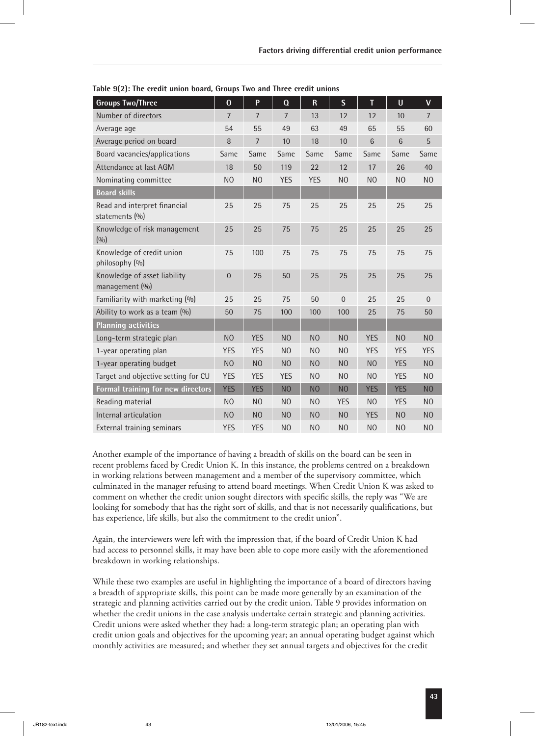| <b>Groups Two/Three</b>                        | $\mathbf 0$    | P              | $\Omega$       | $\mathsf R$    | $\overline{\mathsf{S}}$ | T               | $\mathsf{U}$    | $\mathsf{V}$   |
|------------------------------------------------|----------------|----------------|----------------|----------------|-------------------------|-----------------|-----------------|----------------|
| Number of directors                            | $\overline{7}$ | $\overline{7}$ | $\overline{7}$ | 13             | 12                      | 12              | 10              | $\overline{7}$ |
| Average age                                    | 54             | 55             | 49             | 63             | 49                      | 65              | 55              | 60             |
| Average period on board                        | 8              | $\overline{7}$ | 10             | 18             | 10                      | $6\phantom{1}6$ | $6\phantom{1}6$ | 5              |
| Board vacancies/applications                   | Same           | Same           | Same           | Same           | Same                    | Same            | Same            | Same           |
| Attendance at last AGM                         | 18             | 50             | 119            | 22             | 12                      | 17              | 26              | 40             |
| Nominating committee                           | N <sub>O</sub> | N <sub>O</sub> | <b>YES</b>     | <b>YES</b>     | N <sub>O</sub>          | N <sub>O</sub>  | N <sub>O</sub>  | N <sub>O</sub> |
| <b>Board skills</b>                            |                |                |                |                |                         |                 |                 |                |
| Read and interpret financial<br>statements (%) | 25             | 25             | 75             | 25             | 25                      | 25              | 25              | 25             |
| Knowledge of risk management<br>(0/0)          | 25             | 25             | 75             | 75             | 25                      | 25              | 25              | 25             |
| Knowledge of credit union<br>philosophy (%)    | 75             | 100            | 75             | 75             | 75                      | 75              | 75              | 75             |
| Knowledge of asset liability<br>management (%) | $\mathbf 0$    | 25             | 50             | 25             | 25                      | 25              | 25              | 25             |
| Familiarity with marketing (%)                 | 25             | 25             | 75             | 50             | $\overline{0}$          | 25              | 25              | $\overline{0}$ |
| Ability to work as a team (%)                  | 50             | 75             | 100            | 100            | 100                     | 25              | 75              | 50             |
| <b>Planning activities</b>                     |                |                |                |                |                         |                 |                 |                |
| Long-term strategic plan                       | N <sub>O</sub> | <b>YES</b>     | N <sub>O</sub> | N <sub>O</sub> | N <sub>O</sub>          | <b>YES</b>      | N <sub>O</sub>  | N <sub>O</sub> |
| 1-year operating plan                          | <b>YES</b>     | <b>YES</b>     | N <sub>O</sub> | N <sub>O</sub> | N <sub>O</sub>          | <b>YES</b>      | <b>YES</b>      | <b>YES</b>     |
| 1-year operating budget                        | N <sub>O</sub> | N <sub>O</sub> | N <sub>O</sub> | N <sub>O</sub> | N <sub>O</sub>          | N <sub>O</sub>  | <b>YES</b>      | N <sub>O</sub> |
| Target and objective setting for CU            | <b>YES</b>     | <b>YES</b>     | <b>YES</b>     | N <sub>O</sub> | N <sub>O</sub>          | N <sub>O</sub>  | <b>YES</b>      | N <sub>O</sub> |
| Formal training for new directors              | <b>YES</b>     | <b>YES</b>     | N <sub>O</sub> | N <sub>O</sub> | N <sub>O</sub>          | <b>YES</b>      | <b>YES</b>      | N <sub>O</sub> |
| Reading material                               | N <sub>O</sub> | N <sub>O</sub> | N <sub>O</sub> | N <sub>O</sub> | <b>YES</b>              | N <sub>O</sub>  | <b>YES</b>      | N <sub>O</sub> |
| Internal articulation                          | N <sub>O</sub> | N <sub>O</sub> | N <sub>O</sub> | N <sub>O</sub> | N <sub>O</sub>          | <b>YES</b>      | N <sub>O</sub>  | N <sub>O</sub> |
| External training seminars                     | <b>YES</b>     | <b>YES</b>     | N <sub>O</sub> | N <sub>O</sub> | N <sub>O</sub>          | N <sub>O</sub>  | N <sub>O</sub>  | N <sub>O</sub> |

**Table 9(2): The credit union board, Groups Two and Three credit unions**

Another example of the importance of having a breadth of skills on the board can be seen in recent problems faced by Credit Union K. In this instance, the problems centred on a breakdown in working relations between management and a member of the supervisory committee, which culminated in the manager refusing to attend board meetings. When Credit Union K was asked to comment on whether the credit union sought directors with specific skills, the reply was "We are looking for somebody that has the right sort of skills, and that is not necessarily qualifications, but has experience, life skills, but also the commitment to the credit union".

Again, the interviewers were left with the impression that, if the board of Credit Union K had had access to personnel skills, it may have been able to cope more easily with the aforementioned breakdown in working relationships.

While these two examples are useful in highlighting the importance of a board of directors having a breadth of appropriate skills, this point can be made more generally by an examination of the strategic and planning activities carried out by the credit union. Table 9 provides information on whether the credit unions in the case analysis undertake certain strategic and planning activities. Credit unions were asked whether they had: a long-term strategic plan; an operating plan with credit union goals and objectives for the upcoming year; an annual operating budget against which monthly activities are measured; and whether they set annual targets and objectives for the credit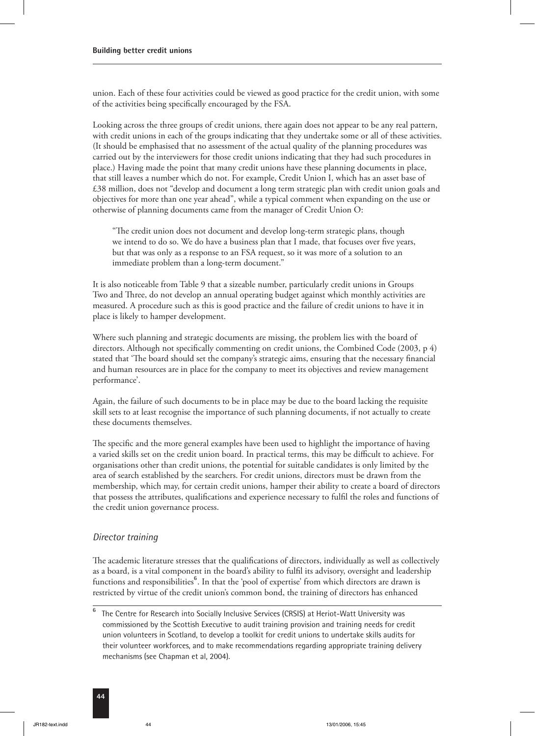union. Each of these four activities could be viewed as good practice for the credit union, with some of the activities being specifically encouraged by the FSA.

Looking across the three groups of credit unions, there again does not appear to be any real pattern, with credit unions in each of the groups indicating that they undertake some or all of these activities. (It should be emphasised that no assessment of the actual quality of the planning procedures was carried out by the interviewers for those credit unions indicating that they had such procedures in place.) Having made the point that many credit unions have these planning documents in place, that still leaves a number which do not. For example, Credit Union I, which has an asset base of £38 million, does not "develop and document a long term strategic plan with credit union goals and objectives for more than one year ahead", while a typical comment when expanding on the use or otherwise of planning documents came from the manager of Credit Union O:

"The credit union does not document and develop long-term strategic plans, though we intend to do so. We do have a business plan that I made, that focuses over five years, but that was only as a response to an FSA request, so it was more of a solution to an immediate problem than a long-term document."

It is also noticeable from Table 9 that a sizeable number, particularly credit unions in Groups Two and Three, do not develop an annual operating budget against which monthly activities are measured. A procedure such as this is good practice and the failure of credit unions to have it in place is likely to hamper development.

Where such planning and strategic documents are missing, the problem lies with the board of directors. Although not specifically commenting on credit unions, the Combined Code (2003, p 4) stated that 'The board should set the company's strategic aims, ensuring that the necessary financial and human resources are in place for the company to meet its objectives and review management performance'.

Again, the failure of such documents to be in place may be due to the board lacking the requisite skill sets to at least recognise the importance of such planning documents, if not actually to create these documents themselves.

The specific and the more general examples have been used to highlight the importance of having a varied skills set on the credit union board. In practical terms, this may be difficult to achieve. For organisations other than credit unions, the potential for suitable candidates is only limited by the area of search established by the searchers. For credit unions, directors must be drawn from the membership, which may, for certain credit unions, hamper their ability to create a board of directors that possess the attributes, qualifications and experience necessary to fulfil the roles and functions of the credit union governance process.

#### *Director training*

The academic literature stresses that the qualifications of directors, individually as well as collectively as a board, is a vital component in the board's ability to fulfil its advisory, oversight and leadership functions and responsibilities<sup>6</sup>. In that the 'pool of expertise' from which directors are drawn is restricted by virtue of the credit union's common bond, the training of directors has enhanced

**<sup>6</sup>** The Centre for Research into Socially Inclusive Services (CRSIS) at Heriot-Watt University was commissioned by the Scottish Executive to audit training provision and training needs for credit union volunteers in Scotland, to develop a toolkit for credit unions to undertake skills audits for their volunteer workforces, and to make recommendations regarding appropriate training delivery mechanisms (see Chapman et al, 2004).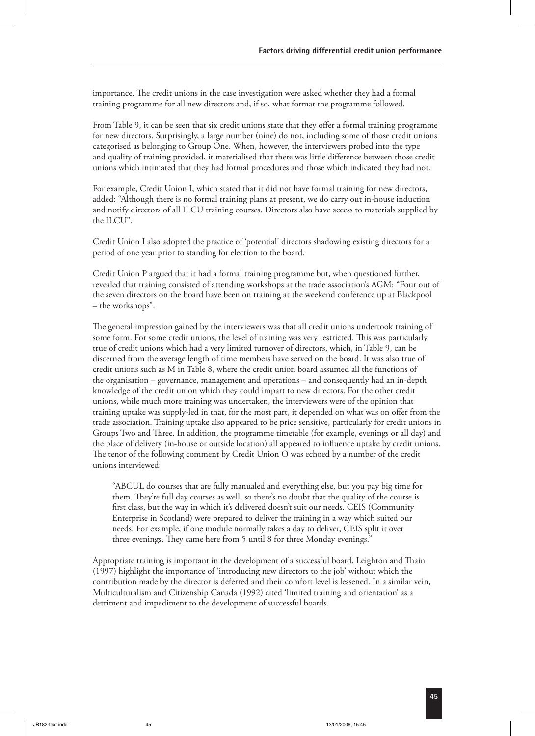importance. The credit unions in the case investigation were asked whether they had a formal training programme for all new directors and, if so, what format the programme followed.

From Table 9, it can be seen that six credit unions state that they offer a formal training programme for new directors. Surprisingly, a large number (nine) do not, including some of those credit unions categorised as belonging to Group One. When, however, the interviewers probed into the type and quality of training provided, it materialised that there was little difference between those credit unions which intimated that they had formal procedures and those which indicated they had not.

For example, Credit Union I, which stated that it did not have formal training for new directors, added: "Although there is no formal training plans at present, we do carry out in-house induction and notify directors of all ILCU training courses. Directors also have access to materials supplied by the ILCU".

Credit Union I also adopted the practice of 'potential' directors shadowing existing directors for a period of one year prior to standing for election to the board.

Credit Union P argued that it had a formal training programme but, when questioned further, revealed that training consisted of attending workshops at the trade association's AGM: "Four out of the seven directors on the board have been on training at the weekend conference up at Blackpool – the workshops".

The general impression gained by the interviewers was that all credit unions undertook training of some form. For some credit unions, the level of training was very restricted. This was particularly true of credit unions which had a very limited turnover of directors, which, in Table 9, can be discerned from the average length of time members have served on the board. It was also true of credit unions such as M in Table 8, where the credit union board assumed all the functions of the organisation – governance, management and operations – and consequently had an in-depth knowledge of the credit union which they could impart to new directors. For the other credit unions, while much more training was undertaken, the interviewers were of the opinion that training uptake was supply-led in that, for the most part, it depended on what was on offer from the trade association. Training uptake also appeared to be price sensitive, particularly for credit unions in Groups Two and Three. In addition, the programme timetable (for example, evenings or all day) and the place of delivery (in-house or outside location) all appeared to influence uptake by credit unions. The tenor of the following comment by Credit Union O was echoed by a number of the credit unions interviewed:

"ABCUL do courses that are fully manualed and everything else, but you pay big time for them. They're full day courses as well, so there's no doubt that the quality of the course is first class, but the way in which it's delivered doesn't suit our needs. CEIS (Community Enterprise in Scotland) were prepared to deliver the training in a way which suited our needs. For example, if one module normally takes a day to deliver, CEIS split it over three evenings. They came here from 5 until 8 for three Monday evenings."

Appropriate training is important in the development of a successful board. Leighton and Thain (1997) highlight the importance of 'introducing new directors to the job' without which the contribution made by the director is deferred and their comfort level is lessened. In a similar vein, Multiculturalism and Citizenship Canada (1992) cited 'limited training and orientation' as a detriment and impediment to the development of successful boards.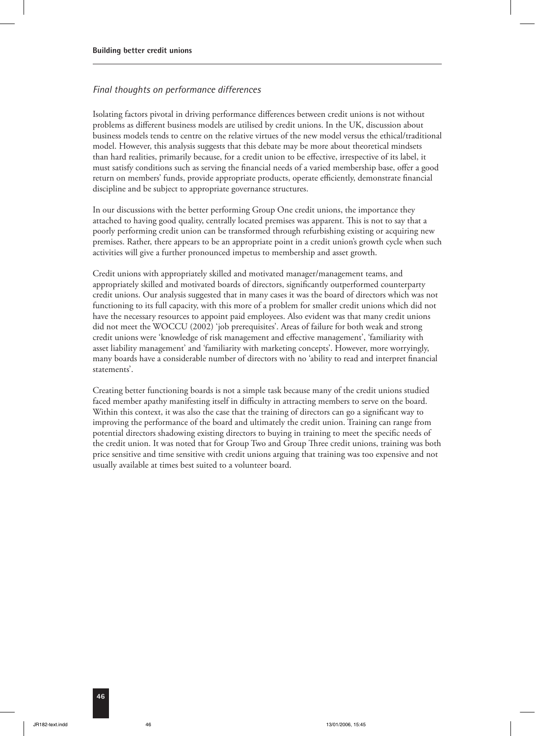#### *Final thoughts on performance differences*

Isolating factors pivotal in driving performance differences between credit unions is not without problems as different business models are utilised by credit unions. In the UK, discussion about business models tends to centre on the relative virtues of the new model versus the ethical/traditional model. However, this analysis suggests that this debate may be more about theoretical mindsets than hard realities, primarily because, for a credit union to be effective, irrespective of its label, it must satisfy conditions such as serving the financial needs of a varied membership base, offer a good return on members' funds, provide appropriate products, operate efficiently, demonstrate financial discipline and be subject to appropriate governance structures.

In our discussions with the better performing Group One credit unions, the importance they attached to having good quality, centrally located premises was apparent. This is not to say that a poorly performing credit union can be transformed through refurbishing existing or acquiring new premises. Rather, there appears to be an appropriate point in a credit union's growth cycle when such activities will give a further pronounced impetus to membership and asset growth.

Credit unions with appropriately skilled and motivated manager/management teams, and appropriately skilled and motivated boards of directors, significantly outperformed counterparty credit unions. Our analysis suggested that in many cases it was the board of directors which was not functioning to its full capacity, with this more of a problem for smaller credit unions which did not have the necessary resources to appoint paid employees. Also evident was that many credit unions did not meet the WOCCU (2002) 'job prerequisites'. Areas of failure for both weak and strong credit unions were 'knowledge of risk management and effective management', 'familiarity with asset liability management' and 'familiarity with marketing concepts'. However, more worryingly, many boards have a considerable number of directors with no 'ability to read and interpret financial statements'.

Creating better functioning boards is not a simple task because many of the credit unions studied faced member apathy manifesting itself in difficulty in attracting members to serve on the board. Within this context, it was also the case that the training of directors can go a significant way to improving the performance of the board and ultimately the credit union. Training can range from potential directors shadowing existing directors to buying in training to meet the specific needs of the credit union. It was noted that for Group Two and Group Three credit unions, training was both price sensitive and time sensitive with credit unions arguing that training was too expensive and not usually available at times best suited to a volunteer board.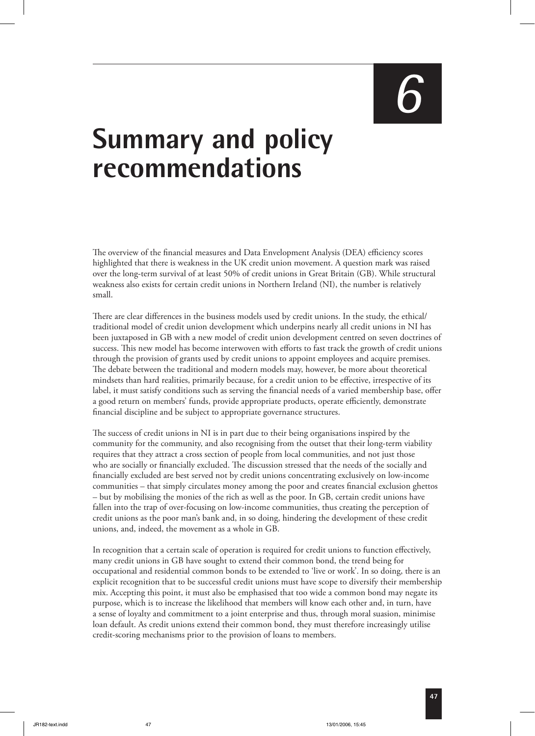# *6*

## **Summary and policy recommendations**

e overview of the financial measures and Data Envelopment Analysis (DEA) efficiency scores highlighted that there is weakness in the UK credit union movement. A question mark was raised over the long-term survival of at least 50% of credit unions in Great Britain (GB). While structural weakness also exists for certain credit unions in Northern Ireland (NI), the number is relatively small.

There are clear differences in the business models used by credit unions. In the study, the ethical/ traditional model of credit union development which underpins nearly all credit unions in NI has been juxtaposed in GB with a new model of credit union development centred on seven doctrines of success. This new model has become interwoven with efforts to fast track the growth of credit unions through the provision of grants used by credit unions to appoint employees and acquire premises. The debate between the traditional and modern models may, however, be more about theoretical mindsets than hard realities, primarily because, for a credit union to be effective, irrespective of its label, it must satisfy conditions such as serving the financial needs of a varied membership base, offer a good return on members' funds, provide appropriate products, operate efficiently, demonstrate financial discipline and be subject to appropriate governance structures.

The success of credit unions in NI is in part due to their being organisations inspired by the community for the community, and also recognising from the outset that their long-term viability requires that they attract a cross section of people from local communities, and not just those who are socially or financially excluded. The discussion stressed that the needs of the socially and financially excluded are best served not by credit unions concentrating exclusively on low-income communities – that simply circulates money among the poor and creates financial exclusion ghettos – but by mobilising the monies of the rich as well as the poor. In GB, certain credit unions have fallen into the trap of over-focusing on low-income communities, thus creating the perception of credit unions as the poor man's bank and, in so doing, hindering the development of these credit unions, and, indeed, the movement as a whole in GB.

In recognition that a certain scale of operation is required for credit unions to function effectively, many credit unions in GB have sought to extend their common bond, the trend being for occupational and residential common bonds to be extended to 'live or work'. In so doing, there is an explicit recognition that to be successful credit unions must have scope to diversify their membership mix. Accepting this point, it must also be emphasised that too wide a common bond may negate its purpose, which is to increase the likelihood that members will know each other and, in turn, have a sense of loyalty and commitment to a joint enterprise and thus, through moral suasion, minimise loan default. As credit unions extend their common bond, they must therefore increasingly utilise credit-scoring mechanisms prior to the provision of loans to members.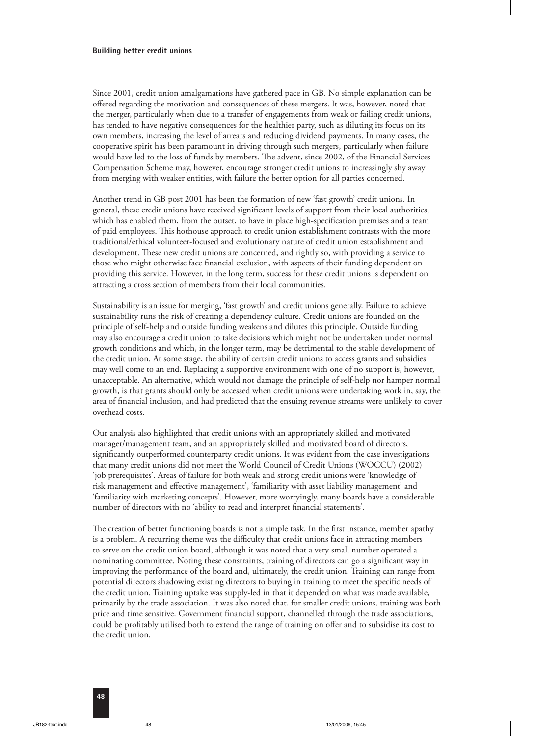Since 2001, credit union amalgamations have gathered pace in GB. No simple explanation can be offered regarding the motivation and consequences of these mergers. It was, however, noted that the merger, particularly when due to a transfer of engagements from weak or failing credit unions, has tended to have negative consequences for the healthier party, such as diluting its focus on its own members, increasing the level of arrears and reducing dividend payments. In many cases, the cooperative spirit has been paramount in driving through such mergers, particularly when failure would have led to the loss of funds by members. The advent, since 2002, of the Financial Services Compensation Scheme may, however, encourage stronger credit unions to increasingly shy away from merging with weaker entities, with failure the better option for all parties concerned.

Another trend in GB post 2001 has been the formation of new 'fast growth' credit unions. In general, these credit unions have received significant levels of support from their local authorities, which has enabled them, from the outset, to have in place high-specification premises and a team of paid employees. This hothouse approach to credit union establishment contrasts with the more traditional/ethical volunteer-focused and evolutionary nature of credit union establishment and development. These new credit unions are concerned, and rightly so, with providing a service to those who might otherwise face financial exclusion, with aspects of their funding dependent on providing this service. However, in the long term, success for these credit unions is dependent on attracting a cross section of members from their local communities.

Sustainability is an issue for merging, 'fast growth' and credit unions generally. Failure to achieve sustainability runs the risk of creating a dependency culture. Credit unions are founded on the principle of self-help and outside funding weakens and dilutes this principle. Outside funding may also encourage a credit union to take decisions which might not be undertaken under normal growth conditions and which, in the longer term, may be detrimental to the stable development of the credit union. At some stage, the ability of certain credit unions to access grants and subsidies may well come to an end. Replacing a supportive environment with one of no support is, however, unacceptable. An alternative, which would not damage the principle of self-help nor hamper normal growth, is that grants should only be accessed when credit unions were undertaking work in, say, the area of financial inclusion, and had predicted that the ensuing revenue streams were unlikely to cover overhead costs.

Our analysis also highlighted that credit unions with an appropriately skilled and motivated manager/management team, and an appropriately skilled and motivated board of directors, significantly outperformed counterparty credit unions. It was evident from the case investigations that many credit unions did not meet the World Council of Credit Unions (WOCCU) (2002) 'job prerequisites'. Areas of failure for both weak and strong credit unions were 'knowledge of risk management and effective management', 'familiarity with asset liability management' and 'familiarity with marketing concepts'. However, more worryingly, many boards have a considerable number of directors with no 'ability to read and interpret financial statements'.

The creation of better functioning boards is not a simple task. In the first instance, member apathy is a problem. A recurring theme was the difficulty that credit unions face in attracting members to serve on the credit union board, although it was noted that a very small number operated a nominating committee. Noting these constraints, training of directors can go a significant way in improving the performance of the board and, ultimately, the credit union. Training can range from potential directors shadowing existing directors to buying in training to meet the specific needs of the credit union. Training uptake was supply-led in that it depended on what was made available, primarily by the trade association. It was also noted that, for smaller credit unions, training was both price and time sensitive. Government financial support, channelled through the trade associations, could be profitably utilised both to extend the range of training on offer and to subsidise its cost to the credit union.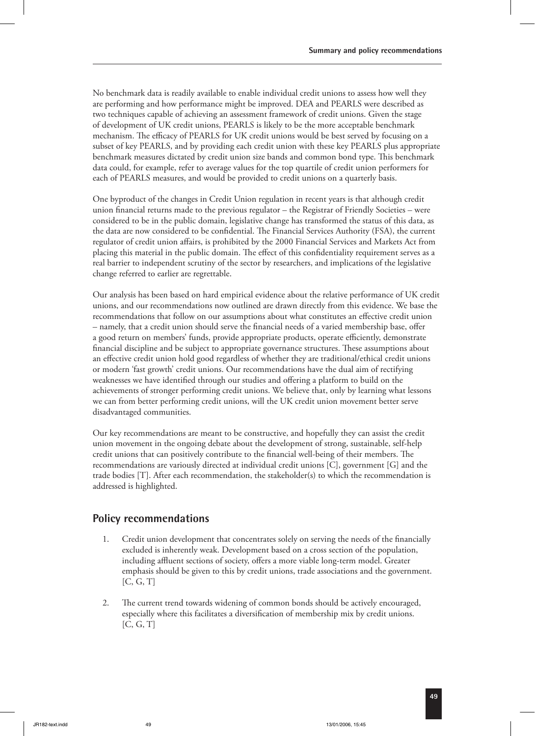No benchmark data is readily available to enable individual credit unions to assess how well they are performing and how performance might be improved. DEA and PEARLS were described as two techniques capable of achieving an assessment framework of credit unions. Given the stage of development of UK credit unions, PEARLS is likely to be the more acceptable benchmark mechanism. The efficacy of PEARLS for UK credit unions would be best served by focusing on a subset of key PEARLS, and by providing each credit union with these key PEARLS plus appropriate benchmark measures dictated by credit union size bands and common bond type. This benchmark data could, for example, refer to average values for the top quartile of credit union performers for each of PEARLS measures, and would be provided to credit unions on a quarterly basis.

One byproduct of the changes in Credit Union regulation in recent years is that although credit union financial returns made to the previous regulator – the Registrar of Friendly Societies – were considered to be in the public domain, legislative change has transformed the status of this data, as the data are now considered to be confidential. The Financial Services Authority (FSA), the current regulator of credit union affairs, is prohibited by the 2000 Financial Services and Markets Act from placing this material in the public domain. The effect of this confidentiality requirement serves as a real barrier to independent scrutiny of the sector by researchers, and implications of the legislative change referred to earlier are regrettable.

Our analysis has been based on hard empirical evidence about the relative performance of UK credit unions, and our recommendations now outlined are drawn directly from this evidence. We base the recommendations that follow on our assumptions about what constitutes an effective credit union – namely, that a credit union should serve the financial needs of a varied membership base, offer a good return on members' funds, provide appropriate products, operate efficiently, demonstrate financial discipline and be subject to appropriate governance structures. These assumptions about an effective credit union hold good regardless of whether they are traditional/ethical credit unions or modern 'fast growth' credit unions. Our recommendations have the dual aim of rectifying weaknesses we have identified through our studies and offering a platform to build on the achievements of stronger performing credit unions. We believe that, only by learning what lessons we can from better performing credit unions, will the UK credit union movement better serve disadvantaged communities.

Our key recommendations are meant to be constructive, and hopefully they can assist the credit union movement in the ongoing debate about the development of strong, sustainable, self-help credit unions that can positively contribute to the financial well-being of their members. The recommendations are variously directed at individual credit unions [C], government [G] and the trade bodies [T]. After each recommendation, the stakeholder(s) to which the recommendation is addressed is highlighted.

#### **Policy recommendations**

- 1. Credit union development that concentrates solely on serving the needs of the financially excluded is inherently weak. Development based on a cross section of the population, including affluent sections of society, offers a more viable long-term model. Greater emphasis should be given to this by credit unions, trade associations and the government.  $[C, G, T]$
- 2. The current trend towards widening of common bonds should be actively encouraged, especially where this facilitates a diversification of membership mix by credit unions. [C, G, T]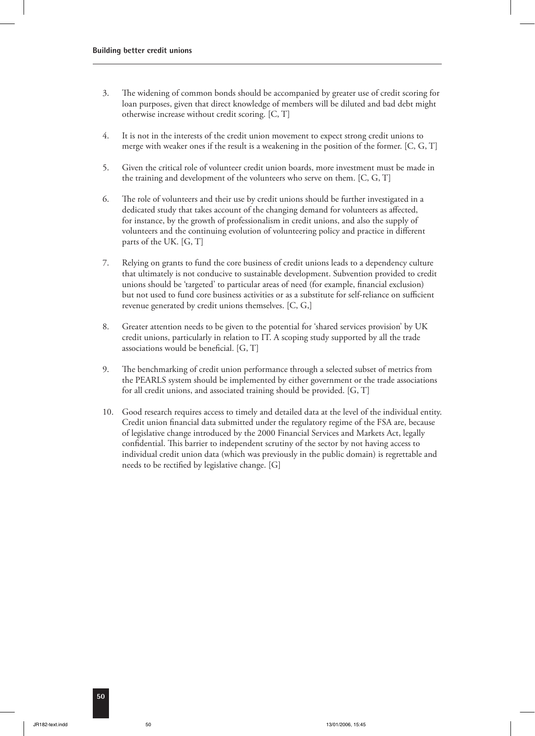- 3. The widening of common bonds should be accompanied by greater use of credit scoring for loan purposes, given that direct knowledge of members will be diluted and bad debt might otherwise increase without credit scoring. [C, T]
- 4. It is not in the interests of the credit union movement to expect strong credit unions to merge with weaker ones if the result is a weakening in the position of the former. [C, G, T]
- 5. Given the critical role of volunteer credit union boards, more investment must be made in the training and development of the volunteers who serve on them. [C, G, T]
- 6. The role of volunteers and their use by credit unions should be further investigated in a dedicated study that takes account of the changing demand for volunteers as affected, for instance, by the growth of professionalism in credit unions, and also the supply of volunteers and the continuing evolution of volunteering policy and practice in different parts of the UK. [G, T]
- 7. Relying on grants to fund the core business of credit unions leads to a dependency culture that ultimately is not conducive to sustainable development. Subvention provided to credit unions should be 'targeted' to particular areas of need (for example, financial exclusion) but not used to fund core business activities or as a substitute for self-reliance on sufficient revenue generated by credit unions themselves. [C, G,]
- 8. Greater attention needs to be given to the potential for 'shared services provision' by UK credit unions, particularly in relation to IT. A scoping study supported by all the trade associations would be beneficial. [G, T]
- 9. The benchmarking of credit union performance through a selected subset of metrics from the PEARLS system should be implemented by either government or the trade associations for all credit unions, and associated training should be provided. [G, T]
- 10. Good research requires access to timely and detailed data at the level of the individual entity. Credit union financial data submitted under the regulatory regime of the FSA are, because of legislative change introduced by the 2000 Financial Services and Markets Act, legally confidential. This barrier to independent scrutiny of the sector by not having access to individual credit union data (which was previously in the public domain) is regrettable and needs to be rectified by legislative change. [G]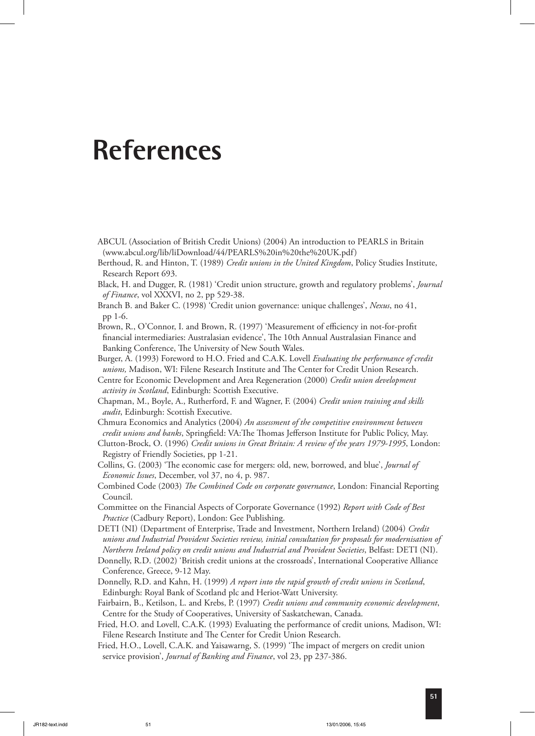### **References**

- ABCUL (Association of British Credit Unions) (2004) An introduction to PEARLS in Britain (www.abcul.org/lib/liDownload/44/PEARLS%20in%20the%20UK.pdf)
- Berthoud, R. and Hinton, T. (1989) *Credit unions in the United Kingdom*, Policy Studies Institute, Research Report 693.
- Black, H. and Dugger, R. (1981) 'Credit union structure, growth and regulatory problems', *Journal of Finance*, vol XXXVI, no 2, pp 529-38.
- Branch B. and Baker C. (1998) 'Credit union governance: unique challenges', *Nexus*, no 41, pp 1-6.
- Brown, R., O'Connor, I. and Brown, R. (1997) 'Measurement of efficiency in not-for-profit financial intermediaries: Australasian evidence', The 10th Annual Australasian Finance and Banking Conference, The University of New South Wales.
- Burger, A. (1993) Foreword to H.O. Fried and C.A.K. Lovell *Evaluating the performance of credit unions, Madison, WI: Filene Research Institute and The Center for Credit Union Research.*

 Centre for Economic Development and Area Regeneration (2000) *Credit union development activity in Scotland*, Edinburgh: Scottish Executive.

- Chapman, M., Boyle, A., Rutherford, F. and Wagner, F. (2004) *Credit union training and skills audit*, Edinburgh: Scottish Executive.
- Chmura Economics and Analytics (2004) *An assessment of the competitive environment between credit unions and banks*, Springfield: VA:The Thomas Jefferson Institute for Public Policy, May.
- Clutton-Brock, O. (1996) *Credit unions in Great Britain: A review of the years 1979-1995*, London: Registry of Friendly Societies, pp 1-21.
- Collins, G. (2003) 'The economic case for mergers: old, new, borrowed, and blue', *Journal of Economic Issues*, December, vol 37, no 4, p. 987.
- Combined Code (2003) *The Combined Code on corporate governance*, London: Financial Reporting Council.
- Committee on the Financial Aspects of Corporate Governance (1992) *Report with Code of Best Practice* (Cadbury Report), London: Gee Publishing.
- DETI (NI) (Department of Enterprise, Trade and Investment, Northern Ireland) (2004) Credit *unions and Industrial Provident Societies review, initial consultation for proposals for modernisation of Northern Ireland policy on credit unions and Industrial and Provident Societies*, Belfast: DETI (NI).
- Donnelly, R.D. (2002) 'British credit unions at the crossroads', International Cooperative Alliance Conference, Greece, 9-12 May.
- Donnelly, R.D. and Kahn, H. (1999) *A report into the rapid growth of credit unions in Scotland*, Edinburgh: Royal Bank of Scotland plc and Heriot-Watt University.

 Fairbairn, B., Ketilson, L. and Krebs, P. (1997) *Credit unions and community economic development*, Centre for the Study of Cooperatives, University of Saskatchewan, Canada.

- Fried, H.O. and Lovell, C.A.K. (1993) Evaluating the performance of credit unions*,* Madison, WI: Filene Research Institute and The Center for Credit Union Research.
- Fried, H.O., Lovell, C.A.K. and Yaisawarng, S. (1999) 'The impact of mergers on credit union service provision', *Journal of Banking and Finance*, vol 23, pp 237-386.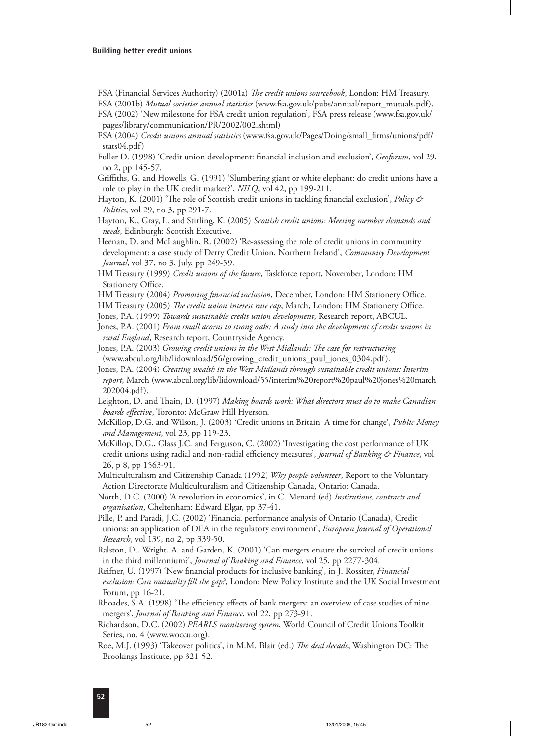- FSA (Financial Services Authority) (2001a) *The credit unions sourcebook*, London: HM Treasury.
- FSA (2001b) *Mutual societies annual statistics* (www.fsa.gov.uk/pubs/annual/report\_mutuals.pdf).
- FSA (2002) 'New milestone for FSA credit union regulation', FSA press release (www.fsa.gov.uk/ pages/library/communication/PR/2002/002.shtml)
- FSA (2004) *Credit unions annual statistics* (www.fsa.gov.uk/Pages/Doing/small\_firms/unions/pdf/ stats04.pdf)
- Fuller D. (1998) 'Credit union development: financial inclusion and exclusion', *Geoforum*, vol 29, no 2, pp 145-57.
- Griffiths, G. and Howells, G. (1991) 'Slumbering giant or white elephant: do credit unions have a role to play in the UK credit market?', *NILQ*, vol 42, pp 199-211.
- Hayton, K. (2001) 'The role of Scottish credit unions in tackling financial exclusion', *Policy & Politics*, vol 29, no 3, pp 291-7.
- Hayton, K., Gray, L. and Stirling, K. (2005) *Scottish credit unions: Meeting member demands and needs*, Edinburgh: Scottish Executive.
- Heenan, D. and McLaughlin, R. (2002) 'Re-assessing the role of credit unions in community development: a case study of Derry Credit Union, Northern Ireland', *Community Development Journal*, vol 37, no 3, July, pp 249-59.
- HM Treasury (1999) *Credit unions of the future*, Taskforce report, November, London: HM Stationery Office.
- HM Treasury (2004) *Promoting financial inclusion*, December, London: HM Stationery Office.
- HM Treasury (2005) *The credit union interest rate cap*, March, London: HM Stationery Office.
- Jones, P.A. (1999) *Towards sustainable credit union development*, Research report, ABCUL.
- Jones, P.A. (2001) *From small acorns to strong oaks: A study into the development of credit unions in rural England*, Research report, Countryside Agency.
- Jones, P.A. (2003) *Growing credit unions in the West Midlands: The case for restructuring* (www.abcul.org/lib/lidownload/56/growing\_credit\_unions\_paul\_jones\_0304.pdf).
- Jones, P.A. (2004) *Creating wealth in the West Midlands through sustainable credit unions: Interim report*, March (www.abcul.org/lib/lidownload/55/interim%20report%20paul%20jones%20march 202004.pdf).
- Leighton, D. and Thain, D. (1997) *Making boards work: What directors must do to make Canadian boards effective*, Toronto: McGraw Hill Hyerson.
- McKillop, D.G. and Wilson, J. (2003) 'Credit unions in Britain: A time for change', *Public Money and Management*, vol 23, pp 119-23.
- McKillop, D.G., Glass J.C. and Ferguson, C. (2002) 'Investigating the cost performance of UK credit unions using radial and non-radial efficiency measures', *Journal of Banking & Finance*, vol 26, p 8, pp 1563-91.
- Multiculturalism and Citizenship Canada (1992) *Why people volunteer*, Report to the Voluntary Action Directorate Multiculturalism and Citizenship Canada, Ontario: Canada.
- North, D.C. (2000) 'A revolution in economics', in C. Menard (ed) *Institutions, contracts and organisation*, Cheltenham: Edward Elgar, pp 37-41.
- Pille, P. and Paradi, J.C. (2002) 'Financial performance analysis of Ontario (Canada), Credit unions: an application of DEA in the regulatory environment', *European Journal of Operational Research*, vol 139, no 2, pp 339-50.
- Ralston, D., Wright, A. and Garden, K. (2001) 'Can mergers ensure the survival of credit unions in the third millennium?', *Journal of Banking and Finance*, vol 25, pp 2277-304.
- Reifner, U. (1997) 'New financial products for inclusive banking', in J. Rossiter, *Financial exclusion: Can mutuality fill the gap?*, London: New Policy Institute and the UK Social Investment Forum, pp 16-21.
- Rhoades, S.A. (1998) 'The efficiency effects of bank mergers: an overview of case studies of nine mergers', *Journal of Banking and Finance*, vol 22, pp 273-91.
- Richardson, D.C. (2002) *PEARLS monitoring system*, World Council of Credit Unions Toolkit Series, no. 4 (www.woccu.org).
- Roe, M.J. (1993) 'Takeover politics', in M.M. Blair (ed.) *The deal decade*, Washington DC: The Brookings Institute, pp 321-52.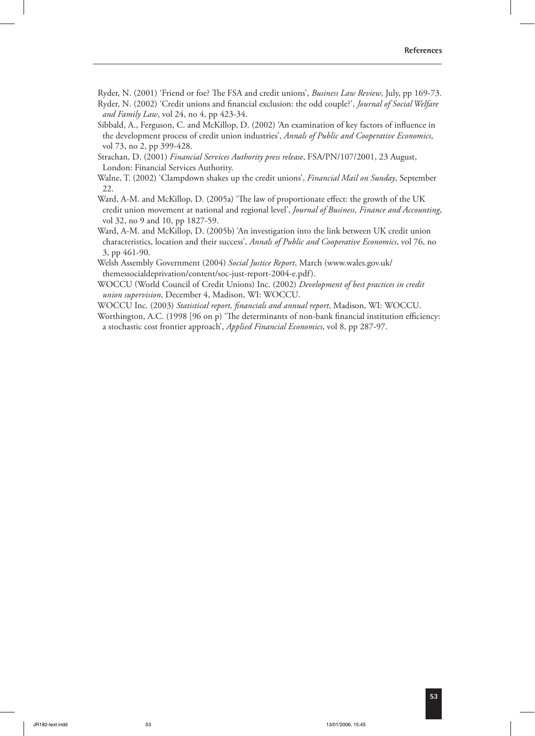Ryder, N. (2001) 'Friend or foe? The FSA and credit unions', *Business Law Review*, July, pp 169-73. Ryder, N. (2002) 'Credit unions and financial exclusion: the odd couple?', *Journal of Social Welfare and Family Law*, vol 24, no 4, pp 423-34.

 Sibbald, A., Ferguson, C. and McKillop, D. (2002) 'An examination of key factors of influence in the development process of credit union industries', *Annals of Public and Cooperative Economics*, vol 73, no 2, pp 399-428.

 Strachan, D. (2001) *Financial Services Authority press release*, FSA/PN/107/2001, 23 August, London: Financial Services Authority.

 Walne, T. (2002) 'Clampdown shakes up the credit unions', *Financial Mail on Sunday*, September 22.

Ward, A-M. and McKillop, D. (2005a) 'The law of proportionate effect: the growth of the UK credit union movement at national and regional level', *Journal of Business, Finance and Accounting*, vol 32, no 9 and 10, pp 1827-59.

 Ward, A-M. and McKillop, D. (2005b) 'An investigation into the link between UK credit union characteristics, location and their success', *Annals of Public and Cooperative Economics*, vol 76, no 3, pp 461-90.

 Welsh Assembly Government (2004) *Social Justice Report*, March (www.wales.gov.uk/ themessocialdeprivation/content/soc-just-report-2004-e.pdf).

 WOCCU World Council of Credit Unions) Inc. (2002) *Development of best practices in credit union supervision*, December 4, Madison, WI: WOCCU.

WOCCU Inc. (2003) *Statistical report, financials and annual report*, Madison, WI: WOCCU.

Worthington, A.C. (1998 [96 on p) 'The determinants of non-bank financial institution efficiency: a stochastic cost frontier approach', *Applied Financial Economics*, vol 8, pp 287-97.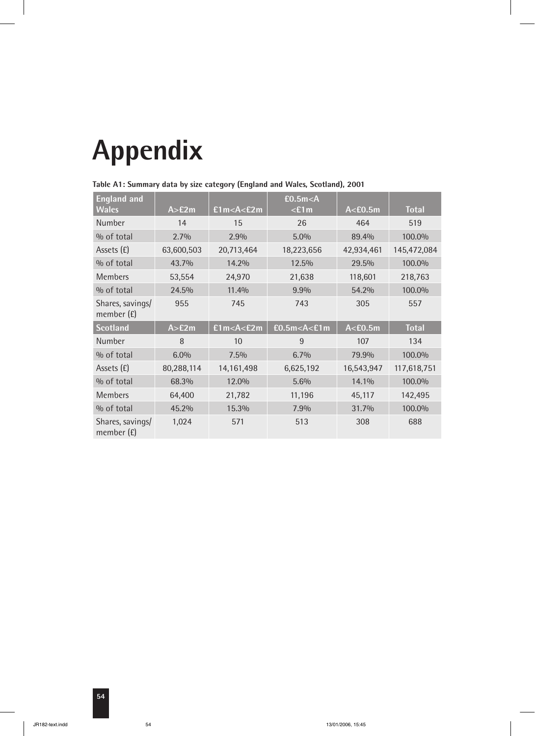# **Appendix**

| <b>England and</b><br><b>Wales</b> | A > E2m    | £1m < A < E2m | E0.5m< A<br>$<$ £1m | A < E0.5m  | <b>Total</b> |
|------------------------------------|------------|---------------|---------------------|------------|--------------|
| Number                             | 14         | 15            | 26                  | 464        | 519          |
| % of total                         | 2.7%       | 2.9%          | 5.0%                | 89.4%      | 100.0%       |
| Assets (£)                         | 63,600,503 | 20,713,464    | 18,223,656          | 42,934,461 | 145,472,084  |
| % of total                         | 43.7%      | 14.2%         | 12.5%               | 29.5%      | 100.0%       |
| <b>Members</b>                     | 53,554     | 24,970        | 21,638              | 118,601    | 218,763      |
| % of total                         | 24.5%      | 11.4%         | 9.9%                | 54.2%      | 100.0%       |
| Shares, savings/<br>member (£)     | 955        | 745           | 743                 | 305        | 557          |
| <b>Scotland</b>                    | A > E2m    | £1m < A < E2m | E0.5m < A < E1m     | A < E0.5m  | <b>Total</b> |
| Number                             | 8          | 10            | 9                   | 107        | 134          |
| % of total                         | 6.0%       | 7.5%          | 6.7%                | 79.9%      | 100.0%       |
| Assets (£)                         | 80,288,114 | 14,161,498    | 6,625,192           | 16,543,947 | 117,618,751  |
| % of total                         | 68.3%      | 12.0%         | 5.6%                | 14.1%      | 100.0%       |
| <b>Members</b>                     | 64,400     | 21,782        | 11,196              | 45,117     | 142,495      |
| % of total                         | 45.2%      | 15.3%         | 7.9%                | 31.7%      | 100.0%       |
| Shares, savings/<br>member (£)     | 1,024      | 571           | 513                 | 308        | 688          |